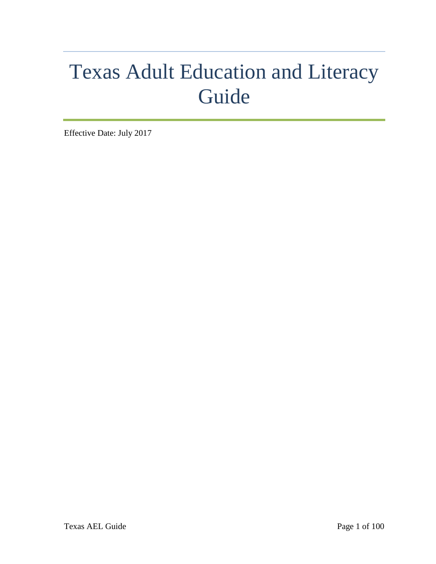# Texas Adult Education and Literacy Guide

Effective Date: July 2017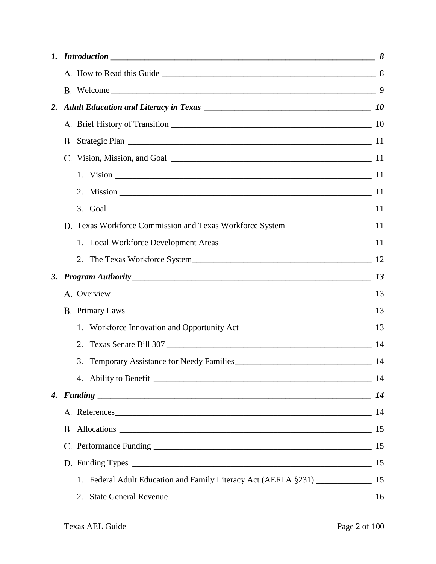| 1. | $Introduction$ $8$                                                                  |  |
|----|-------------------------------------------------------------------------------------|--|
|    |                                                                                     |  |
|    |                                                                                     |  |
|    |                                                                                     |  |
|    |                                                                                     |  |
|    |                                                                                     |  |
|    |                                                                                     |  |
|    |                                                                                     |  |
|    |                                                                                     |  |
|    |                                                                                     |  |
|    |                                                                                     |  |
|    |                                                                                     |  |
|    | 2. The Texas Workforce System                                                       |  |
| 3. |                                                                                     |  |
|    |                                                                                     |  |
|    |                                                                                     |  |
|    |                                                                                     |  |
|    |                                                                                     |  |
|    | 3.                                                                                  |  |
|    |                                                                                     |  |
|    |                                                                                     |  |
|    | A. References 14                                                                    |  |
|    | B. Allocations 15                                                                   |  |
|    |                                                                                     |  |
|    |                                                                                     |  |
|    | 1. Federal Adult Education and Family Literacy Act (AEFLA §231) ________________ 15 |  |
|    |                                                                                     |  |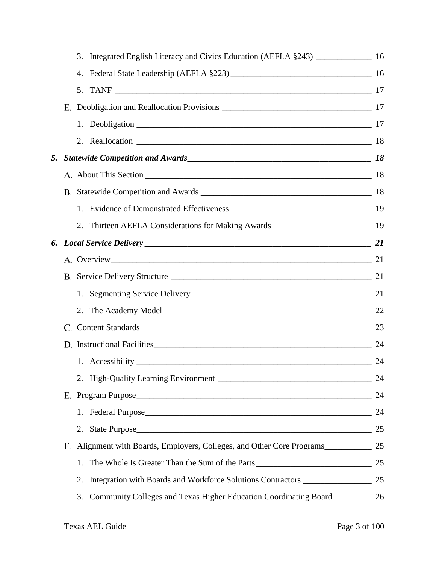|    | 3. | Integrated English Literacy and Civics Education (AEFLA §243) ___________________ 16 |    |
|----|----|--------------------------------------------------------------------------------------|----|
|    | 4. |                                                                                      |    |
|    |    |                                                                                      |    |
|    |    |                                                                                      |    |
|    |    |                                                                                      |    |
|    |    |                                                                                      |    |
| 5. |    |                                                                                      |    |
|    |    |                                                                                      |    |
|    |    |                                                                                      |    |
|    |    |                                                                                      |    |
|    |    | 2. Thirteen AEFLA Considerations for Making Awards ______________________________ 19 |    |
|    |    |                                                                                      |    |
|    |    |                                                                                      |    |
|    |    |                                                                                      |    |
|    |    |                                                                                      |    |
|    |    |                                                                                      |    |
|    | C. | Content Standards 23                                                                 |    |
|    |    | D. Instructional Facilities 24                                                       |    |
|    |    |                                                                                      | 24 |
|    |    |                                                                                      | 24 |
|    |    |                                                                                      | 24 |
|    |    |                                                                                      | 24 |
|    |    | 2. State Purpose                                                                     | 25 |
|    | F. | Alignment with Boards, Employers, Colleges, and Other Core Programs                  | 25 |
|    | 1. | The Whole Is Greater Than the Sum of the Parts                                       | 25 |
|    | 2. | Integration with Boards and Workforce Solutions Contractors ____________________     | 25 |
|    | 3. | Community Colleges and Texas Higher Education Coordinating Board_____________ 26     |    |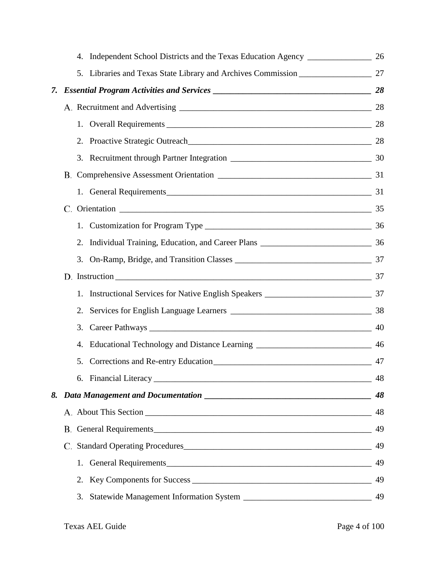|    | 4.                                                                                                                                                                                                                            |    |
|----|-------------------------------------------------------------------------------------------------------------------------------------------------------------------------------------------------------------------------------|----|
|    | 5.                                                                                                                                                                                                                            |    |
| 7. |                                                                                                                                                                                                                               |    |
|    |                                                                                                                                                                                                                               | 28 |
|    |                                                                                                                                                                                                                               |    |
|    |                                                                                                                                                                                                                               |    |
|    |                                                                                                                                                                                                                               |    |
|    |                                                                                                                                                                                                                               |    |
|    | 1. General Requirements 2000 and 2000 and 2000 and 2000 and 2000 and 2000 and 2000 and 2000 and 2000 and 2000 and 2000 and 2000 and 2000 and 2000 and 2000 and 2000 and 2000 and 2000 and 2000 and 2000 and 2000 and 2000 and |    |
|    | C. Orientation 2008. The 35                                                                                                                                                                                                   |    |
|    |                                                                                                                                                                                                                               |    |
|    |                                                                                                                                                                                                                               |    |
|    |                                                                                                                                                                                                                               |    |
|    |                                                                                                                                                                                                                               |    |
|    | 1.                                                                                                                                                                                                                            |    |
|    | 2.                                                                                                                                                                                                                            |    |
|    | 3.                                                                                                                                                                                                                            |    |
|    | 4.                                                                                                                                                                                                                            |    |
|    | 5.                                                                                                                                                                                                                            |    |
|    |                                                                                                                                                                                                                               | 48 |
|    |                                                                                                                                                                                                                               | 48 |
|    |                                                                                                                                                                                                                               | 48 |
|    | B. General Requirements                                                                                                                                                                                                       | 49 |
|    | C. Standard Operating Procedures                                                                                                                                                                                              | 49 |
|    | 1. General Requirements                                                                                                                                                                                                       | 49 |
|    | 2.                                                                                                                                                                                                                            | 49 |
|    | 3.                                                                                                                                                                                                                            | 49 |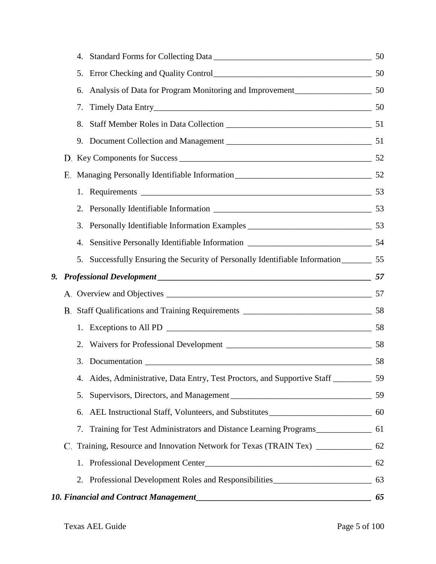|    |    | 4.                                                                                           |    |
|----|----|----------------------------------------------------------------------------------------------|----|
|    |    | 5.                                                                                           |    |
|    |    | Analysis of Data for Program Monitoring and Improvement<br>150<br>6.                         |    |
|    |    | 7.                                                                                           |    |
|    |    | 8.                                                                                           |    |
|    |    | 9.                                                                                           |    |
|    |    |                                                                                              |    |
|    | Е. |                                                                                              |    |
|    |    |                                                                                              |    |
|    |    |                                                                                              |    |
|    |    | 3.                                                                                           |    |
|    |    | 4.                                                                                           |    |
|    |    | Successfully Ensuring the Security of Personally Identifiable Information_________ 55<br>5.  |    |
| 9. |    |                                                                                              |    |
|    |    |                                                                                              |    |
|    |    |                                                                                              |    |
|    |    |                                                                                              |    |
|    |    | 2.                                                                                           |    |
|    |    |                                                                                              |    |
|    |    | Aides, Administrative, Data Entry, Test Proctors, and Supportive Staff ____________ 59<br>4. |    |
|    |    | 5.                                                                                           | 59 |
|    |    | 6.                                                                                           |    |
|    |    | Training for Test Administrators and Distance Learning Programs_________________ 61<br>7.    |    |
|    |    | C. Training, Resource and Innovation Network for Texas (TRAIN Tex) ______________ 62         |    |
|    |    |                                                                                              | 62 |
|    |    | 2. Professional Development Roles and Responsibilities__________________________             | 63 |
|    |    |                                                                                              | 65 |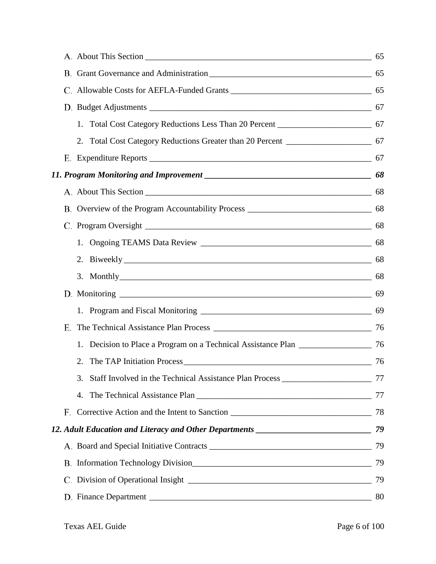| Total Cost Category Reductions Less Than 20 Percent _____________________________ 67<br>1. |  |
|--------------------------------------------------------------------------------------------|--|
| 2. Total Cost Category Reductions Greater than 20 Percent _______________________ 67       |  |
|                                                                                            |  |
|                                                                                            |  |
|                                                                                            |  |
|                                                                                            |  |
|                                                                                            |  |
|                                                                                            |  |
|                                                                                            |  |
| 3. Monthly 68                                                                              |  |
|                                                                                            |  |
|                                                                                            |  |
| Е.                                                                                         |  |
|                                                                                            |  |
| 2.                                                                                         |  |
| 3.                                                                                         |  |
|                                                                                            |  |
|                                                                                            |  |
|                                                                                            |  |
|                                                                                            |  |
|                                                                                            |  |
|                                                                                            |  |
|                                                                                            |  |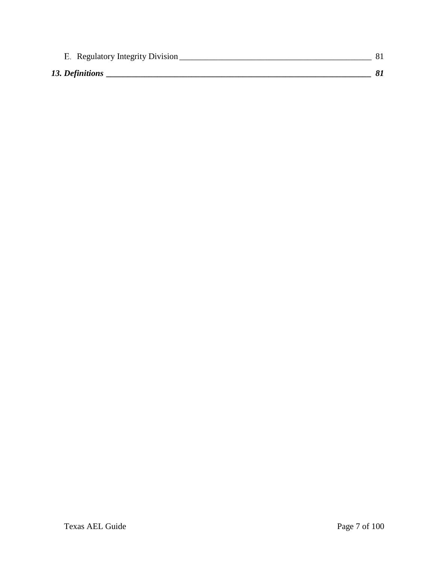| E. Regulatory Integrity Division |  |
|----------------------------------|--|
| 13. Definitions                  |  |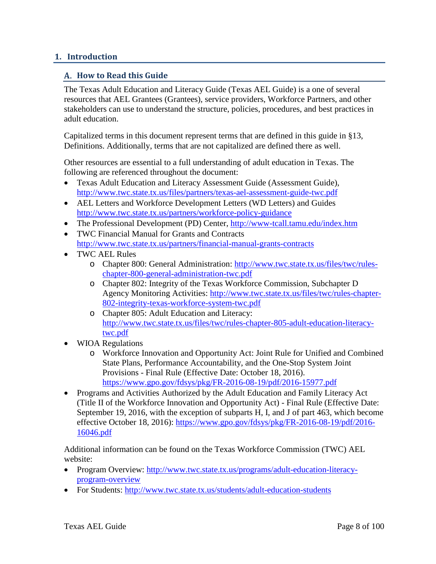## <span id="page-7-0"></span>**1. Introduction**

## <span id="page-7-1"></span>**How to Read this Guide**

The Texas Adult Education and Literacy Guide (Texas AEL Guide) is a one of several resources that AEL Grantees (Grantees), service providers, Workforce Partners, and other stakeholders can use to understand the structure, policies, procedures, and best practices in adult education.

Capitalized terms in this document represent terms that are defined in this guide in §13, Definitions. Additionally, terms that are not capitalized are defined there as well.

Other resources are essential to a full understanding of adult education in Texas. The following are referenced throughout the document:

- Texas Adult Education and Literacy Assessment Guide (Assessment Guide), <http://www.twc.state.tx.us/files/partners/texas-ael-assessment-guide-twc.pdf>
- AEL Letters and Workforce Development Letters (WD Letters) and Guides <http://www.twc.state.tx.us/partners/workforce-policy-guidance>
- The Professional Development (PD) Center,<http://www-tcall.tamu.edu/index.htm>
- TWC Financial Manual for Grants and Contracts <http://www.twc.state.tx.us/partners/financial-manual-grants-contracts>
- TWC AEL Rules
	- o Chapter 800: General Administration: [http://www.twc.state.tx.us/files/twc/rules](http://www.twc.state.tx.us/files/twc/rules-chapter-800-general-administration-twc.pdf)[chapter-800-general-administration-twc.pdf](http://www.twc.state.tx.us/files/twc/rules-chapter-800-general-administration-twc.pdf)
	- o Chapter 802: Integrity of the Texas Workforce Commission, Subchapter D Agency Monitoring Activities: [http://www.twc.state.tx.us/files/twc/rules-chapter-](http://www.twc.state.tx.us/files/twc/rules-chapter-802-integrity-texas-workforce-system-twc.pdf)[802-integrity-texas-workforce-system-twc.pdf](http://www.twc.state.tx.us/files/twc/rules-chapter-802-integrity-texas-workforce-system-twc.pdf)
	- o Chapter 805: Adult Education and Literacy: [http://www.twc.state.tx.us/files/twc/rules-chapter-805-adult-education-literacy](http://www.twc.state.tx.us/files/twc/rules-chapter-805-adult-education-literacy-twc.pdf)[twc.pdf](http://www.twc.state.tx.us/files/twc/rules-chapter-805-adult-education-literacy-twc.pdf)
- WIOA Regulations
	- o Workforce Innovation and Opportunity Act: Joint Rule for Unified and Combined State Plans, Performance Accountability, and the One-Stop System Joint Provisions - Final Rule (Effective Date: October 18, 2016). <https://www.gpo.gov/fdsys/pkg/FR-2016-08-19/pdf/2016-15977.pdf>
- Programs and Activities Authorized by the Adult Education and Family Literacy Act (Title II of the Workforce Innovation and Opportunity Act) - Final Rule (Effective Date: September 19, 2016, with the exception of subparts H, I, and J of part 463, which become effective October 18, 2016): [https://www.gpo.gov/fdsys/pkg/FR-2016-08-19/pdf/2016-](https://www.gpo.gov/fdsys/pkg/FR-2016-08-19/pdf/2016-16046.pdf) [16046.pdf](https://www.gpo.gov/fdsys/pkg/FR-2016-08-19/pdf/2016-16046.pdf)

Additional information can be found on the Texas Workforce Commission (TWC) AEL website:

- Program Overview: [http://www.twc.state.tx.us/programs/adult-education-literacy](http://www.twc.state.tx.us/programs/adult-education-literacy-program-overview)[program-overview](http://www.twc.state.tx.us/programs/adult-education-literacy-program-overview)
- For Students:<http://www.twc.state.tx.us/students/adult-education-students>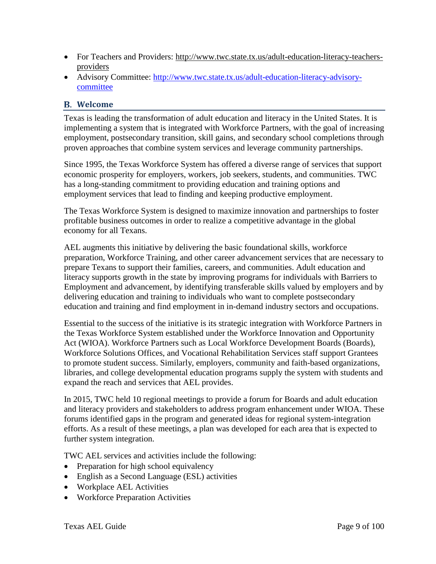- For Teachers and Providers: [http://www.twc.state.tx.us/adult-education-literacy-teachers](http://www.twc.state.tx.us/adult-education-literacy-teachers-providers)[providers](http://www.twc.state.tx.us/adult-education-literacy-teachers-providers)
- Advisory Committee: [http://www.twc.state.tx.us/adult-education-literacy-advisory](http://www.twc.state.tx.us/adult-education-literacy-advisory-committee)[committee](http://www.twc.state.tx.us/adult-education-literacy-advisory-committee)

#### <span id="page-8-0"></span>**Welcome**

Texas is leading the transformation of adult education and literacy in the United States. It is implementing a system that is integrated with Workforce Partners, with the goal of increasing employment, postsecondary transition, skill gains, and secondary school completions through proven approaches that combine system services and leverage community partnerships.

Since 1995, the Texas Workforce System has offered a diverse range of services that support economic prosperity for employers, workers, job seekers, students, and communities. TWC has a long-standing commitment to providing education and training options and employment services that lead to finding and keeping productive employment.

The Texas Workforce System is designed to maximize innovation and partnerships to foster profitable business outcomes in order to realize a competitive advantage in the global economy for all Texans.

AEL augments this initiative by delivering the basic foundational skills, workforce preparation, Workforce Training, and other career advancement services that are necessary to prepare Texans to support their families, careers, and communities. Adult education and literacy supports growth in the state by improving programs for individuals with Barriers to Employment and advancement, by identifying transferable skills valued by employers and by delivering education and training to individuals who want to complete postsecondary education and training and find employment in in-demand industry sectors and occupations.

Essential to the success of the initiative is its strategic integration with Workforce Partners in the Texas Workforce System established under the Workforce Innovation and Opportunity Act (WIOA). Workforce Partners such as Local Workforce Development Boards (Boards), Workforce Solutions Offices, and Vocational Rehabilitation Services staff support Grantees to promote student success. Similarly, employers, community and faith-based organizations, libraries, and college developmental education programs supply the system with students and expand the reach and services that AEL provides.

In 2015, TWC held 10 regional meetings to provide a forum for Boards and adult education and literacy providers and stakeholders to address program enhancement under WIOA. These forums identified gaps in the program and generated ideas for regional system-integration efforts. As a result of these meetings, a plan was developed for each area that is expected to further system integration.

TWC AEL services and activities include the following:

- Preparation for high school equivalency
- English as a Second Language (ESL) activities
- Workplace AEL Activities
- Workforce Preparation Activities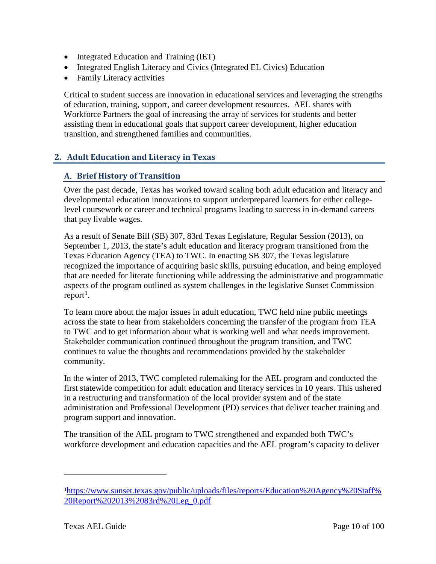- Integrated Education and Training (IET)
- Integrated English Literacy and Civics (Integrated EL Civics) Education
- Family Literacy activities

Critical to student success are innovation in educational services and leveraging the strengths of education, training, support, and career development resources. AEL shares with Workforce Partners the goal of increasing the array of services for students and better assisting them in educational goals that support career development, higher education transition, and strengthened families and communities.

# <span id="page-9-0"></span>**2. Adult Education and Literacy in Texas**

## <span id="page-9-1"></span>**Brief History of Transition**

Over the past decade, Texas has worked toward scaling both adult education and literacy and developmental education innovations to support underprepared learners for either collegelevel coursework or career and technical programs leading to success in in-demand careers that pay livable wages.

As a result of Senate Bill (SB) 307, 83rd Texas Legislature, Regular Session (2013), on September 1, 2013, the state's adult education and literacy program transitioned from the Texas Education Agency (TEA) to TWC. In enacting SB 307, the Texas legislature recognized the importance of acquiring basic skills, pursuing education, and being employed that are needed for literate functioning while addressing the administrative and programmatic aspects of the program outlined as system challenges in the legislative Sunset Commission  $report<sup>1</sup>$  $report<sup>1</sup>$  $report<sup>1</sup>$ .

To learn more about the major issues in adult education, TWC held nine public meetings across the state to hear from stakeholders concerning the transfer of the program from TEA to TWC and to get information about what is working well and what needs improvement. Stakeholder communication continued throughout the program transition, and TWC continues to value the thoughts and recommendations provided by the stakeholder community.

In the winter of 2013, TWC completed rulemaking for the AEL program and conducted the first statewide competition for adult education and literacy services in 10 years. This ushered in a restructuring and transformation of the local provider system and of the state administration and Professional Development (PD) services that deliver teacher training and program support and innovation.

The transition of the AEL program to TWC strengthened and expanded both TWC's workforce development and education capacities and the AEL program's capacity to deliver

<span id="page-9-2"></span><sup>1</sup>[https://www.sunset.texas.gov/public/uploads/files/reports/Education%20Agency%20Staff%](https://www.sunset.texas.gov/public/uploads/files/reports/Education%20Agency%20Staff%20Report%202013%2083rd%20Leg_0.pdf) [20Report%202013%2083rd%20Leg\\_0.pdf](https://www.sunset.texas.gov/public/uploads/files/reports/Education%20Agency%20Staff%20Report%202013%2083rd%20Leg_0.pdf)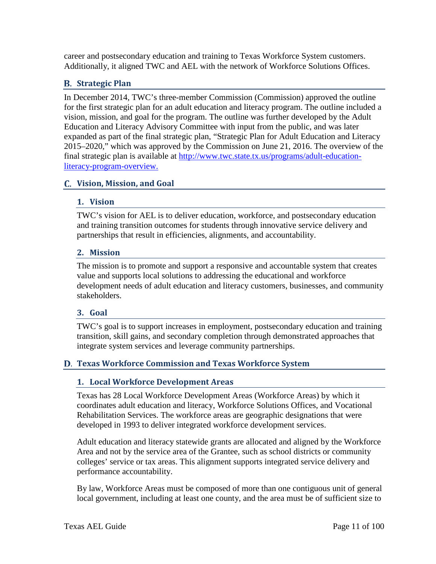career and postsecondary education and training to Texas Workforce System customers. Additionally, it aligned TWC and AEL with the network of Workforce Solutions Offices.

# <span id="page-10-0"></span>**Strategic Plan**

In December 2014, TWC's three-member Commission (Commission) approved the outline for the first strategic plan for an adult education and literacy program. The outline included a vision, mission, and goal for the program. The outline was further developed by the Adult Education and Literacy Advisory Committee with input from the public, and was later expanded as part of the final strategic plan, "Strategic Plan for Adult Education and Literacy 2015–2020," which was approved by the Commission on June 21, 2016. The overview of the final strategic plan is available at [http://www.twc.state.tx.us/programs/adult-education](http://www.twc.state.tx.us/programs/adult-education-literacy-program-overview)[literacy-program-overview.](http://www.twc.state.tx.us/programs/adult-education-literacy-program-overview)

# <span id="page-10-2"></span><span id="page-10-1"></span>**Vision, Mission, and Goal**

## **1. Vision**

TWC's vision for AEL is to deliver education, workforce, and postsecondary education and training transition outcomes for students through innovative service delivery and partnerships that result in efficiencies, alignments, and accountability.

## <span id="page-10-3"></span>**2. Mission**

The mission is to promote and support a responsive and accountable system that creates value and supports local solutions to addressing the educational and workforce development needs of adult education and literacy customers, businesses, and community stakeholders.

## <span id="page-10-4"></span>**3. Goal**

TWC's goal is to support increases in employment, postsecondary education and training transition, skill gains, and secondary completion through demonstrated approaches that integrate system services and leverage community partnerships.

# <span id="page-10-6"></span><span id="page-10-5"></span>**Texas Workforce Commission and Texas Workforce System**

## **1. Local Workforce Development Areas**

Texas has 28 Local Workforce Development Areas (Workforce Areas) by which it coordinates adult education and literacy, Workforce Solutions Offices, and Vocational Rehabilitation Services. The workforce areas are geographic designations that were developed in 1993 to deliver integrated workforce development services.

Adult education and literacy statewide grants are allocated and aligned by the Workforce Area and not by the service area of the Grantee, such as school districts or community colleges' service or tax areas. This alignment supports integrated service delivery and performance accountability.

By law, Workforce Areas must be composed of more than one contiguous unit of general local government, including at least one county, and the area must be of sufficient size to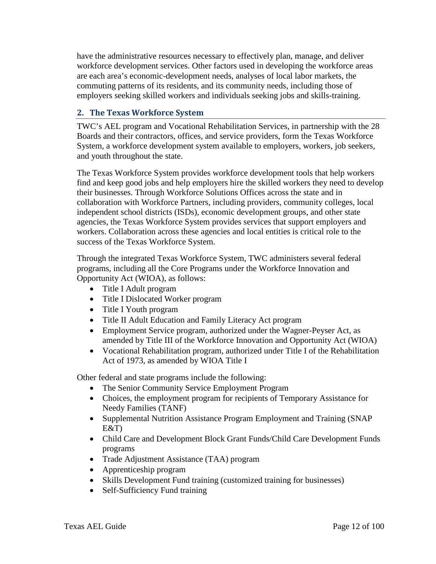have the administrative resources necessary to effectively plan, manage, and deliver workforce development services. Other factors used in developing the workforce areas are each area's economic-development needs, analyses of local labor markets, the commuting patterns of its residents, and its community needs, including those of employers seeking skilled workers and individuals seeking jobs and skills-training.

# <span id="page-11-0"></span>**2. The Texas Workforce System**

TWC's AEL program and Vocational Rehabilitation Services, in partnership with the 28 Boards and their contractors, offices, and service providers, form the Texas Workforce System, a workforce development system available to employers, workers, job seekers, and youth throughout the state.

The Texas Workforce System provides workforce development tools that help workers find and keep good jobs and help employers hire the skilled workers they need to develop their businesses. Through Workforce Solutions Offices across the state and in collaboration with Workforce Partners, including providers, community colleges, local independent school districts (ISDs), economic development groups, and other state agencies, the Texas Workforce System provides services that support employers and workers. Collaboration across these agencies and local entities is critical role to the success of the Texas Workforce System.

Through the integrated Texas Workforce System, TWC administers several federal programs, including all the Core Programs under the Workforce Innovation and Opportunity Act (WIOA), as follows:

- Title I Adult program
- Title I Dislocated Worker program
- Title I Youth program
- Title II Adult Education and Family Literacy Act program
- Employment Service program, authorized under the Wagner-Peyser Act, as amended by Title III of the Workforce Innovation and Opportunity Act (WIOA)
- Vocational Rehabilitation program, authorized under Title I of the Rehabilitation Act of 1973, as amended by WIOA Title I

Other federal and state programs include the following:

- The Senior Community Service Employment Program
- Choices, the employment program for recipients of Temporary Assistance for Needy Families (TANF)
- Supplemental Nutrition Assistance Program Employment and Training (SNAP E&T)
- Child Care and Development Block Grant Funds/Child Care Development Funds programs
- Trade Adjustment Assistance (TAA) program
- Apprenticeship program
- Skills Development Fund training (customized training for businesses)
- Self-Sufficiency Fund training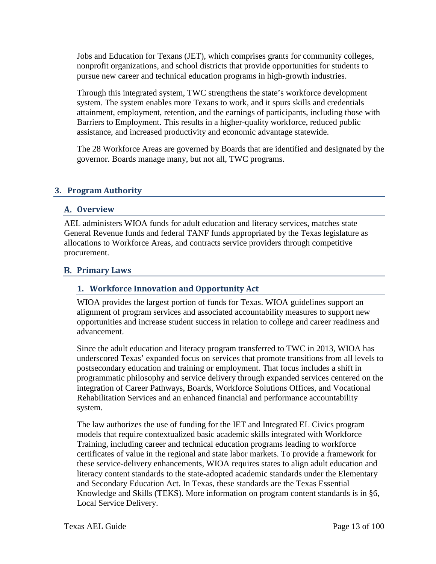Jobs and Education for Texans (JET), which comprises grants for community colleges, nonprofit organizations, and school districts that provide opportunities for students to pursue new career and technical education programs in high-growth industries.

Through this integrated system, TWC strengthens the state's workforce development system. The system enables more Texans to work, and it spurs skills and credentials attainment, employment, retention, and the earnings of participants, including those with Barriers to Employment. This results in a higher-quality workforce, reduced public assistance, and increased productivity and economic advantage statewide.

The 28 Workforce Areas are governed by Boards that are identified and designated by the governor. Boards manage many, but not all, TWC programs.

# <span id="page-12-0"></span>**3. Program Authority**

#### <span id="page-12-1"></span>**Overview**

AEL administers WIOA funds for adult education and literacy services, matches state General Revenue funds and federal TANF funds appropriated by the Texas legislature as allocations to Workforce Areas, and contracts service providers through competitive procurement.

#### <span id="page-12-3"></span><span id="page-12-2"></span>**Primary Laws**

#### **1. Workforce Innovation and Opportunity Act**

WIOA provides the largest portion of funds for Texas. WIOA guidelines support an alignment of program services and associated accountability measures to support new opportunities and increase student success in relation to college and career readiness and advancement.

Since the adult education and literacy program transferred to TWC in 2013, WIOA has underscored Texas' expanded focus on services that promote transitions from all levels to postsecondary education and training or employment. That focus includes a shift in programmatic philosophy and service delivery through expanded services centered on the integration of Career Pathways, Boards, Workforce Solutions Offices, and Vocational Rehabilitation Services and an enhanced financial and performance accountability system.

The law authorizes the use of funding for the IET and Integrated EL Civics program models that require contextualized basic academic skills integrated with Workforce Training, including career and technical education programs leading to workforce certificates of value in the regional and state labor markets. To provide a framework for these service-delivery enhancements, WIOA requires states to align adult education and literacy content standards to the state-adopted academic standards under the Elementary and Secondary Education Act. In Texas, these standards are the Texas Essential Knowledge and Skills (TEKS). More information on program content standards is in §6, Local Service Delivery.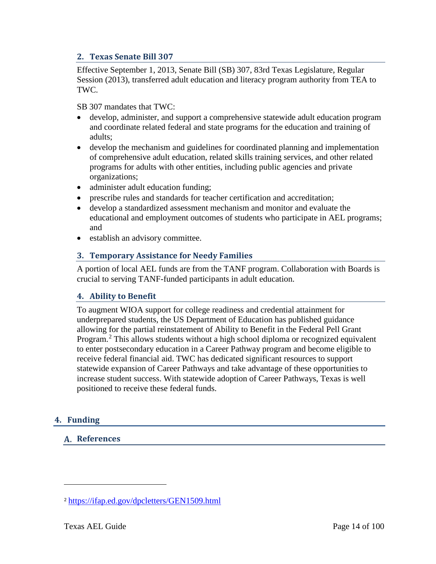## <span id="page-13-0"></span>**2. Texas Senate Bill 307**

Effective September 1, 2013, Senate Bill (SB) 307, 83rd Texas Legislature, Regular Session (2013), transferred adult education and literacy program authority from TEA to TWC.

SB 307 mandates that TWC:

- develop, administer, and support a comprehensive statewide adult education program and coordinate related federal and state programs for the education and training of adults;
- develop the mechanism and guidelines for coordinated planning and implementation of comprehensive adult education, related skills training services, and other related programs for adults with other entities, including public agencies and private organizations;
- administer adult education funding;
- prescribe rules and standards for teacher certification and accreditation;
- develop a standardized assessment mechanism and monitor and evaluate the educational and employment outcomes of students who participate in AEL programs; and
- establish an advisory committee.

#### <span id="page-13-1"></span>**3. Temporary Assistance for Needy Families**

A portion of local AEL funds are from the TANF program. Collaboration with Boards is crucial to serving TANF-funded participants in adult education.

## <span id="page-13-2"></span>**4. Ability to Benefit**

To augment WIOA support for college readiness and credential attainment for underprepared students, the US Department of Education has published guidance allowing for the partial reinstatement of Ability to Benefit in the Federal Pell Grant Program.<sup>[2](#page-13-5)</sup> This allows students without a high school diploma or recognized equivalent to enter postsecondary education in a Career Pathway program and become eligible to receive federal financial aid. TWC has dedicated significant resources to support statewide expansion of Career Pathways and take advantage of these opportunities to increase student success. With statewide adoption of Career Pathways, Texas is well positioned to receive these federal funds.

## <span id="page-13-4"></span><span id="page-13-3"></span>**4. Funding**

 $\overline{a}$ 

## **References**

<span id="page-13-5"></span><sup>2</sup> <https://ifap.ed.gov/dpcletters/GEN1509.html>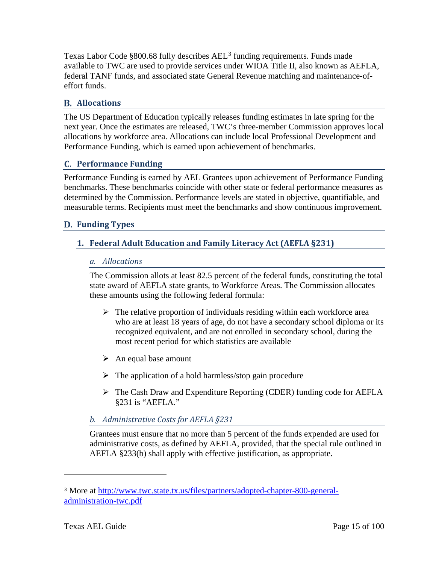Texas Labor Code  $\S 800.68$  fully describes AEL<sup>[3](#page-14-4)</sup> funding requirements. Funds made available to TWC are used to provide services under WIOA Title II, also known as AEFLA, federal TANF funds, and associated state General Revenue matching and maintenance-ofeffort funds.

# <span id="page-14-0"></span>**Allocations**

The US Department of Education typically releases funding estimates in late spring for the next year. Once the estimates are released, TWC's three-member Commission approves local allocations by workforce area. Allocations can include local Professional Development and Performance Funding, which is earned upon achievement of benchmarks.

# <span id="page-14-1"></span>**Performance Funding**

Performance Funding is earned by AEL Grantees upon achievement of Performance Funding benchmarks. These benchmarks coincide with other state or federal performance measures as determined by the Commission. Performance levels are stated in objective, quantifiable, and measurable terms. Recipients must meet the benchmarks and show continuous improvement.

# <span id="page-14-3"></span><span id="page-14-2"></span>**Funding Types**

# **1. Federal Adult Education and Family Literacy Act (AEFLA §231)**

## *a. Allocations*

The Commission allots at least 82.5 percent of the federal funds, constituting the total state award of AEFLA state grants, to Workforce Areas. The Commission allocates these amounts using the following federal formula:

- $\triangleright$  The relative proportion of individuals residing within each workforce area who are at least 18 years of age, do not have a secondary school diploma or its recognized equivalent, and are not enrolled in secondary school, during the most recent period for which statistics are available
- $\triangleright$  An equal base amount
- $\triangleright$  The application of a hold harmless/stop gain procedure
- $\triangleright$  The Cash Draw and Expenditure Reporting (CDER) funding code for AEFLA §231 is "AEFLA."

# *b. Administrative Costs for AEFLA §231*

Grantees must ensure that no more than 5 percent of the funds expended are used for administrative costs, as defined by AEFLA, provided, that the special rule outlined in AEFLA §233(b) shall apply with effective justification, as appropriate.

<span id="page-14-4"></span><sup>3</sup> More at [http://www.twc.state.tx.us/files/partners/adopted-chapter-800-general](http://www.twc.state.tx.us/files/partners/adopted-chapter-800-general-administration-twc.pdf)[administration-twc.pdf](http://www.twc.state.tx.us/files/partners/adopted-chapter-800-general-administration-twc.pdf)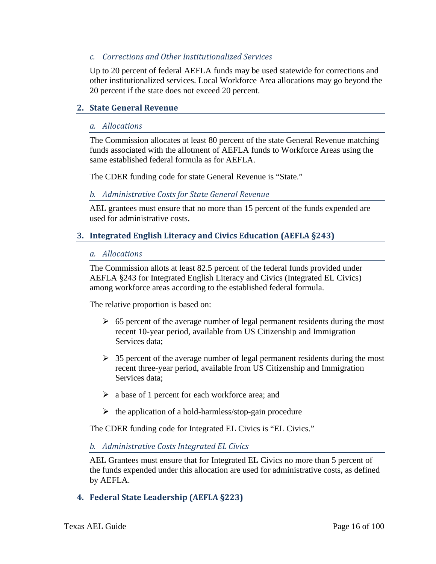## *c. Corrections and Other Institutionalized Services*

Up to 20 percent of federal AEFLA funds may be used statewide for corrections and other institutionalized services. Local Workforce Area allocations may go beyond the 20 percent if the state does not exceed 20 percent.

## <span id="page-15-0"></span>**2. State General Revenue**

#### *a. Allocations*

The Commission allocates at least 80 percent of the state General Revenue matching funds associated with the allotment of AEFLA funds to Workforce Areas using the same established federal formula as for AEFLA.

The CDER funding code for state General Revenue is "State."

#### *b. Administrative Costs for State General Revenue*

AEL grantees must ensure that no more than 15 percent of the funds expended are used for administrative costs.

#### <span id="page-15-1"></span>**3. Integrated English Literacy and Civics Education (AEFLA §243)**

#### *a. Allocations*

The Commission allots at least 82.5 percent of the federal funds provided under AEFLA §243 for Integrated English Literacy and Civics (Integrated EL Civics) among workforce areas according to the established federal formula.

The relative proportion is based on:

- $\geq 65$  percent of the average number of legal permanent residents during the most recent 10-year period, available from US Citizenship and Immigration Services data;
- $\geq$  35 percent of the average number of legal permanent residents during the most recent three-year period, available from US Citizenship and Immigration Services data;
- $\triangleright$  a base of 1 percent for each workforce area; and
- $\triangleright$  the application of a hold-harmless/stop-gain procedure

The CDER funding code for Integrated EL Civics is "EL Civics."

#### *b. Administrative Costs Integrated EL Civics*

AEL Grantees must ensure that for Integrated EL Civics no more than 5 percent of the funds expended under this allocation are used for administrative costs, as defined by AEFLA.

## <span id="page-15-2"></span>**4. Federal State Leadership (AEFLA §223)**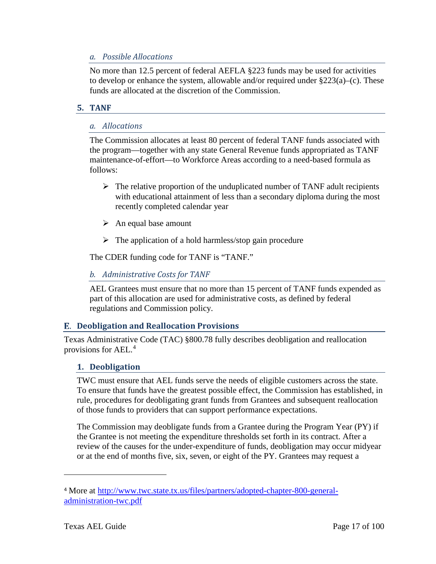#### *a. Possible Allocations*

No more than 12.5 percent of federal AEFLA §223 funds may be used for activities to develop or enhance the system, allowable and/or required under §223(a)–(c). These funds are allocated at the discretion of the Commission.

## <span id="page-16-0"></span>**5. TANF**

#### *a. Allocations*

The Commission allocates at least 80 percent of federal TANF funds associated with the program—together with any state General Revenue funds appropriated as TANF maintenance-of-effort—to Workforce Areas according to a need-based formula as follows:

- $\triangleright$  The relative proportion of the unduplicated number of TANF adult recipients with educational attainment of less than a secondary diploma during the most recently completed calendar year
- $\triangleright$  An equal base amount
- $\triangleright$  The application of a hold harmless/stop gain procedure

The CDER funding code for TANF is "TANF."

#### *b. Administrative Costs for TANF*

AEL Grantees must ensure that no more than 15 percent of TANF funds expended as part of this allocation are used for administrative costs, as defined by federal regulations and Commission policy.

## <span id="page-16-1"></span>**Deobligation and Reallocation Provisions**

Texas Administrative Code (TAC) §800.78 fully describes deobligation and reallocation provisions for AEL.[4](#page-16-3)

#### <span id="page-16-2"></span>**1. Deobligation**

TWC must ensure that AEL funds serve the needs of eligible customers across the state. To ensure that funds have the greatest possible effect, the Commission has established, in rule, procedures for deobligating grant funds from Grantees and subsequent reallocation of those funds to providers that can support performance expectations.

The Commission may deobligate funds from a Grantee during the Program Year (PY) if the Grantee is not meeting the expenditure thresholds set forth in its contract. After a review of the causes for the under-expenditure of funds, deobligation may occur midyear or at the end of months five, six, seven, or eight of the PY. Grantees may request a

<span id="page-16-3"></span><sup>4</sup> More at [http://www.twc.state.tx.us/files/partners/adopted-chapter-800-general](http://www.twc.state.tx.us/files/partners/adopted-chapter-800-general-administration-twc.pdf)[administration-twc.pdf](http://www.twc.state.tx.us/files/partners/adopted-chapter-800-general-administration-twc.pdf)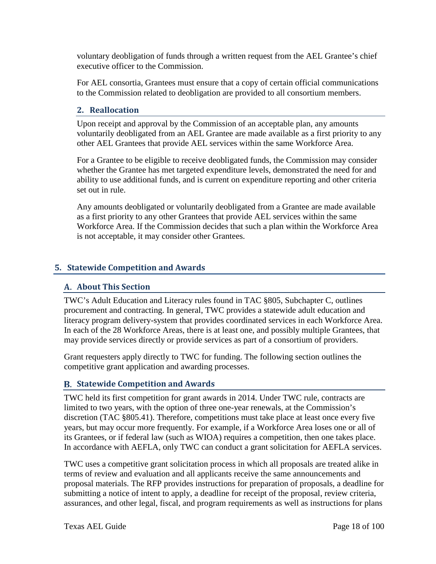voluntary deobligation of funds through a written request from the AEL Grantee's chief executive officer to the Commission.

For AEL consortia, Grantees must ensure that a copy of certain official communications to the Commission related to deobligation are provided to all consortium members.

## <span id="page-17-0"></span>**2. Reallocation**

Upon receipt and approval by the Commission of an acceptable plan, any amounts voluntarily deobligated from an AEL Grantee are made available as a first priority to any other AEL Grantees that provide AEL services within the same Workforce Area.

For a Grantee to be eligible to receive deobligated funds, the Commission may consider whether the Grantee has met targeted expenditure levels, demonstrated the need for and ability to use additional funds, and is current on expenditure reporting and other criteria set out in rule.

Any amounts deobligated or voluntarily deobligated from a Grantee are made available as a first priority to any other Grantees that provide AEL services within the same Workforce Area. If the Commission decides that such a plan within the Workforce Area is not acceptable, it may consider other Grantees.

## <span id="page-17-2"></span><span id="page-17-1"></span>**5. Statewide Competition and Awards**

#### **About This Section**

TWC's Adult Education and Literacy rules found in TAC §805, Subchapter C, outlines procurement and contracting. In general, TWC provides a statewide adult education and literacy program delivery-system that provides coordinated services in each Workforce Area. In each of the 28 Workforce Areas, there is at least one, and possibly multiple Grantees, that may provide services directly or provide services as part of a consortium of providers.

Grant requesters apply directly to TWC for funding. The following section outlines the competitive grant application and awarding processes.

## <span id="page-17-3"></span>**Statewide Competition and Awards**

TWC held its first competition for grant awards in 2014. Under TWC rule, contracts are limited to two years, with the option of three one-year renewals, at the Commission's discretion (TAC §805.41). Therefore, competitions must take place at least once every five years, but may occur more frequently. For example, if a Workforce Area loses one or all of its Grantees, or if federal law (such as WIOA) requires a competition, then one takes place. In accordance with AEFLA, only TWC can conduct a grant solicitation for AEFLA services.

TWC uses a competitive grant solicitation process in which all proposals are treated alike in terms of review and evaluation and all applicants receive the same announcements and proposal materials. The RFP provides instructions for preparation of proposals, a deadline for submitting a notice of intent to apply, a deadline for receipt of the proposal, review criteria, assurances, and other legal, fiscal, and program requirements as well as instructions for plans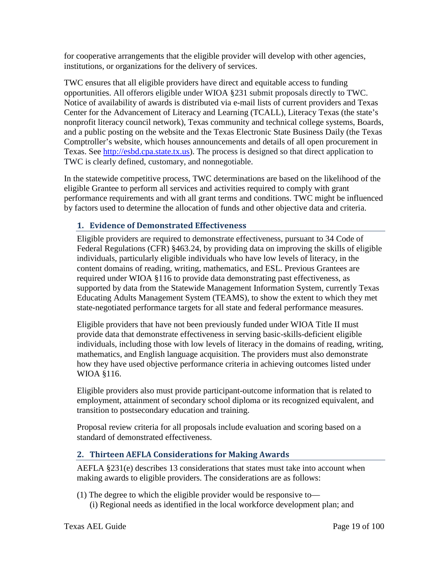for cooperative arrangements that the eligible provider will develop with other agencies, institutions, or organizations for the delivery of services.

TWC ensures that all eligible providers have direct and equitable access to funding opportunities. All offerors eligible under WIOA §231 submit proposals directly to TWC. Notice of availability of awards is distributed via e-mail lists of current providers and Texas Center for the Advancement of Literacy and Learning (TCALL), Literacy Texas (the state's nonprofit literacy council network), Texas community and technical college systems, Boards, and a public posting on the website and the Texas Electronic State Business Daily (the Texas Comptroller's website, which houses announcements and details of all open procurement in Texas. See [http://esbd.cpa.state.tx.us\)](http://esbd.cpa.state.tx.us/). The process is designed so that direct application to TWC is clearly defined, customary, and nonnegotiable.

In the statewide competitive process, TWC determinations are based on the likelihood of the eligible Grantee to perform all services and activities required to comply with grant performance requirements and with all grant terms and conditions. TWC might be influenced by factors used to determine the allocation of funds and other objective data and criteria.

# <span id="page-18-0"></span>**1. Evidence of Demonstrated Effectiveness**

Eligible providers are required to demonstrate effectiveness, pursuant to 34 Code of Federal Regulations (CFR) §463.24, by providing data on improving the skills of eligible individuals, particularly eligible individuals who have low levels of literacy, in the content domains of reading, writing, mathematics, and ESL. Previous Grantees are required under WIOA §116 to provide data demonstrating past effectiveness, as supported by data from the Statewide Management Information System, currently Texas Educating Adults Management System (TEAMS), to show the extent to which they met state-negotiated performance targets for all state and federal performance measures.

Eligible providers that have not been previously funded under WIOA Title II must provide data that demonstrate effectiveness in serving basic-skills-deficient eligible individuals, including those with low levels of literacy in the domains of reading, writing, mathematics, and English language acquisition. The providers must also demonstrate how they have used objective performance criteria in achieving outcomes listed under WIOA §116.

Eligible providers also must provide participant-outcome information that is related to employment, attainment of secondary school diploma or its recognized equivalent, and transition to postsecondary education and training.

Proposal review criteria for all proposals include evaluation and scoring based on a standard of demonstrated effectiveness.

# <span id="page-18-1"></span>**2. Thirteen AEFLA Considerations for Making Awards**

AEFLA §231(e) describes 13 considerations that states must take into account when making awards to eligible providers. The considerations are as follows:

(1) The degree to which the eligible provider would be responsive to— (i) Regional needs as identified in the local workforce development plan; and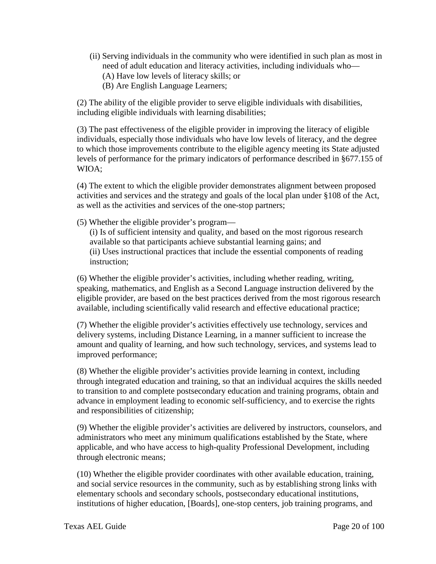- (ii) Serving individuals in the community who were identified in such plan as most in need of adult education and literacy activities, including individuals who—
	- (A) Have low levels of literacy skills; or
	- (B) Are English Language Learners;

(2) The ability of the eligible provider to serve eligible individuals with disabilities, including eligible individuals with learning disabilities;

(3) The past effectiveness of the eligible provider in improving the literacy of eligible individuals, especially those individuals who have low levels of literacy, and the degree to which those improvements contribute to the eligible agency meeting its State adjusted levels of performance for the primary indicators of performance described in §677.155 of WIOA;

(4) The extent to which the eligible provider demonstrates alignment between proposed activities and services and the strategy and goals of the local plan under §108 of the Act, as well as the activities and services of the one-stop partners;

(5) Whether the eligible provider's program—

(i) Is of sufficient intensity and quality, and based on the most rigorous research available so that participants achieve substantial learning gains; and (ii) Uses instructional practices that include the essential components of reading instruction;

(6) Whether the eligible provider's activities, including whether reading, writing, speaking, mathematics, and English as a Second Language instruction delivered by the eligible provider, are based on the best practices derived from the most rigorous research available, including scientifically valid research and effective educational practice;

(7) Whether the eligible provider's activities effectively use technology, services and delivery systems, including Distance Learning, in a manner sufficient to increase the amount and quality of learning, and how such technology, services, and systems lead to improved performance;

(8) Whether the eligible provider's activities provide learning in context, including through integrated education and training, so that an individual acquires the skills needed to transition to and complete postsecondary education and training programs, obtain and advance in employment leading to economic self-sufficiency, and to exercise the rights and responsibilities of citizenship;

(9) Whether the eligible provider's activities are delivered by instructors, counselors, and administrators who meet any minimum qualifications established by the State, where applicable, and who have access to high-quality Professional Development, including through electronic means;

(10) Whether the eligible provider coordinates with other available education, training, and social service resources in the community, such as by establishing strong links with elementary schools and secondary schools, postsecondary educational institutions, institutions of higher education, [Boards], one-stop centers, job training programs, and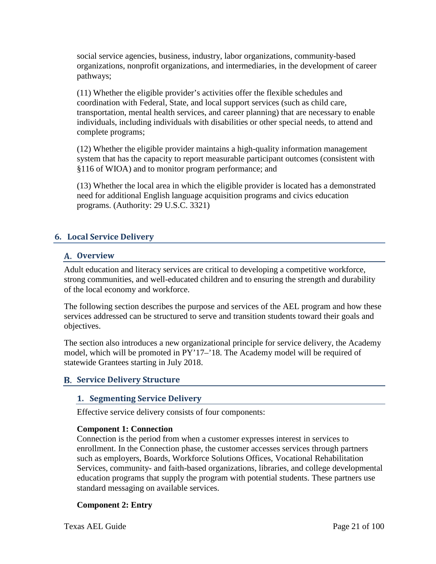social service agencies, business, industry, labor organizations, community-based organizations, nonprofit organizations, and intermediaries, in the development of career pathways;

(11) Whether the eligible provider's activities offer the flexible schedules and coordination with Federal, State, and local support services (such as child care, transportation, mental health services, and career planning) that are necessary to enable individuals, including individuals with disabilities or other special needs, to attend and complete programs;

(12) Whether the eligible provider maintains a high-quality information management system that has the capacity to report measurable participant outcomes (consistent with §116 of WIOA) and to monitor program performance; and

(13) Whether the local area in which the eligible provider is located has a demonstrated need for additional English language acquisition programs and civics education programs. (Authority: 29 U.S.C. 3321)

# <span id="page-20-1"></span><span id="page-20-0"></span>**6. Local Service Delivery**

#### **Overview**

Adult education and literacy services are critical to developing a competitive workforce, strong communities, and well-educated children and to ensuring the strength and durability of the local economy and workforce.

The following section describes the purpose and services of the AEL program and how these services addressed can be structured to serve and transition students toward their goals and objectives.

The section also introduces a new organizational principle for service delivery, the Academy model, which will be promoted in PY'17–'18. The Academy model will be required of statewide Grantees starting in July 2018.

## <span id="page-20-3"></span><span id="page-20-2"></span>**Service Delivery Structure**

## **1. Segmenting Service Delivery**

Effective service delivery consists of four components:

#### **Component 1: Connection**

Connection is the period from when a customer expresses interest in services to enrollment. In the Connection phase, the customer accesses services through partners such as employers, Boards, Workforce Solutions Offices, Vocational Rehabilitation Services, community- and faith-based organizations, libraries, and college developmental education programs that supply the program with potential students. These partners use standard messaging on available services.

#### **Component 2: Entry**

Texas AEL Guide Page 21 of 100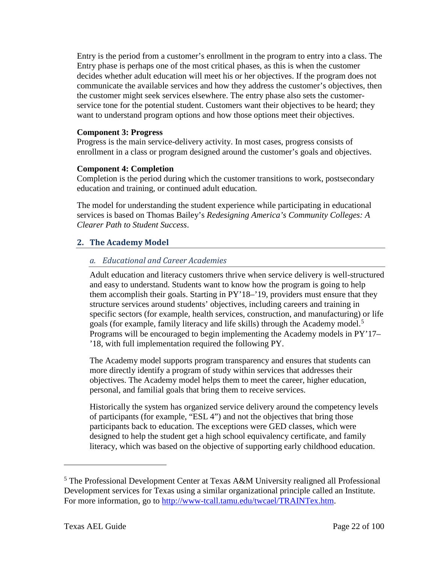Entry is the period from a customer's enrollment in the program to entry into a class. The Entry phase is perhaps one of the most critical phases, as this is when the customer decides whether adult education will meet his or her objectives. If the program does not communicate the available services and how they address the customer's objectives, then the customer might seek services elsewhere. The entry phase also sets the customerservice tone for the potential student. Customers want their objectives to be heard; they want to understand program options and how those options meet their objectives.

#### **Component 3: Progress**

Progress is the main service-delivery activity. In most cases, progress consists of enrollment in a class or program designed around the customer's goals and objectives.

#### **Component 4: Completion**

Completion is the period during which the customer transitions to work, postsecondary education and training, or continued adult education.

The model for understanding the student experience while participating in educational services is based on Thomas Bailey's *Redesigning America's Community Colleges: A Clearer Path to Student Success*.

#### <span id="page-21-0"></span>**2. The Academy Model**

#### *a. Educational and Career Academies*

Adult education and literacy customers thrive when service delivery is well-structured and easy to understand. Students want to know how the program is going to help them accomplish their goals. Starting in PY'18–'19, providers must ensure that they structure services around students' objectives, including careers and training in specific sectors (for example, health services, construction, and manufacturing) or life goals (for example, family literacy and life skills) through the Academy model.<sup>[5](#page-21-1)</sup> Programs will be encouraged to begin implementing the Academy models in PY'17– '18, with full implementation required the following PY.

The Academy model supports program transparency and ensures that students can more directly identify a program of study within services that addresses their objectives. The Academy model helps them to meet the career, higher education, personal, and familial goals that bring them to receive services.

Historically the system has organized service delivery around the competency levels of participants (for example, "ESL 4") and not the objectives that bring those participants back to education. The exceptions were GED classes, which were designed to help the student get a high school equivalency certificate, and family literacy, which was based on the objective of supporting early childhood education.

<span id="page-21-1"></span><sup>5</sup> The Professional Development Center at Texas A&M University realigned all Professional Development services for Texas using a similar organizational principle called an Institute. For more information, go to [http://www-tcall.tamu.edu/twcael/TRAINTex.htm.](http://www-tcall.tamu.edu/twcael/TRAINTex.htm)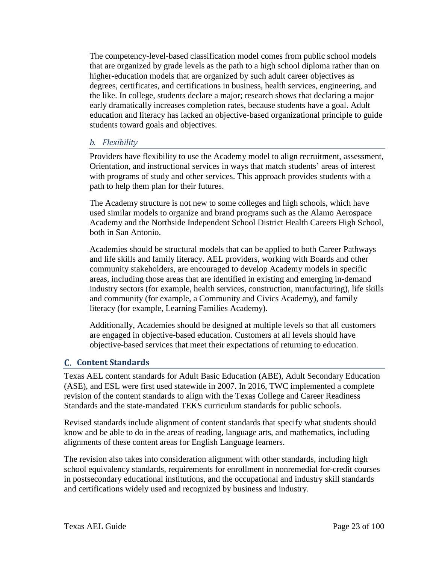The competency-level-based classification model comes from public school models that are organized by grade levels as the path to a high school diploma rather than on higher-education models that are organized by such adult career objectives as degrees, certificates, and certifications in business, health services, engineering, and the like. In college, students declare a major; research shows that declaring a major early dramatically increases completion rates, because students have a goal. Adult education and literacy has lacked an objective-based organizational principle to guide students toward goals and objectives.

#### *b. Flexibility*

Providers have flexibility to use the Academy model to align recruitment, assessment, Orientation, and instructional services in ways that match students' areas of interest with programs of study and other services. This approach provides students with a path to help them plan for their futures.

The Academy structure is not new to some colleges and high schools, which have used similar models to organize and brand programs such as the Alamo Aerospace Academy and the Northside Independent School District Health Careers High School, both in San Antonio.

Academies should be structural models that can be applied to both Career Pathways and life skills and family literacy. AEL providers, working with Boards and other community stakeholders, are encouraged to develop Academy models in specific areas, including those areas that are identified in existing and emerging in-demand industry sectors (for example, health services, construction, manufacturing), life skills and community (for example, a Community and Civics Academy), and family literacy (for example, Learning Families Academy).

Additionally, Academies should be designed at multiple levels so that all customers are engaged in objective-based education. Customers at all levels should have objective-based services that meet their expectations of returning to education.

## <span id="page-22-0"></span>**C.** Content Standards

Texas AEL content standards for Adult Basic Education (ABE), Adult Secondary Education (ASE), and ESL were first used statewide in 2007. In 2016, TWC implemented a complete revision of the content standards to align with the Texas College and Career Readiness Standards and the state-mandated TEKS curriculum standards for public schools.

Revised standards include alignment of content standards that specify what students should know and be able to do in the areas of reading, language arts, and mathematics, including alignments of these content areas for English Language learners.

The revision also takes into consideration alignment with other standards, including high school equivalency standards, requirements for enrollment in nonremedial for-credit courses in postsecondary educational institutions, and the occupational and industry skill standards and certifications widely used and recognized by business and industry.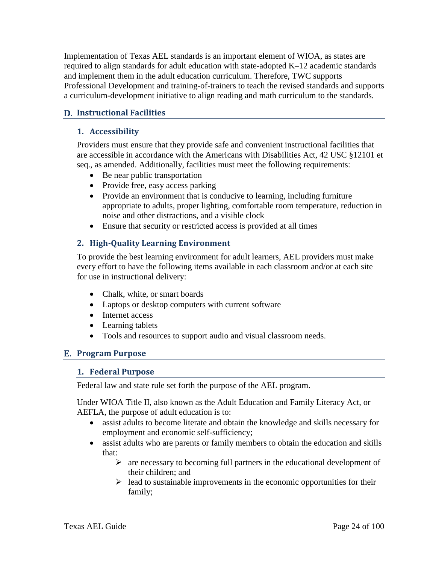Implementation of Texas AEL standards is an important element of WIOA, as states are required to align standards for adult education with state-adopted K–12 academic standards and implement them in the adult education curriculum. Therefore, TWC supports Professional Development and training-of-trainers to teach the revised standards and supports a curriculum-development initiative to align reading and math curriculum to the standards.

# <span id="page-23-1"></span><span id="page-23-0"></span>**Instructional Facilities**

## **1. Accessibility**

Providers must ensure that they provide safe and convenient instructional facilities that are accessible in accordance with the Americans with Disabilities Act, 42 USC §12101 et seq., as amended. Additionally, facilities must meet the following requirements:

- Be near public transportation
- Provide free, easy access parking
- Provide an environment that is conducive to learning, including furniture appropriate to adults, proper lighting, comfortable room temperature, reduction in noise and other distractions, and a visible clock
- Ensure that security or restricted access is provided at all times

# <span id="page-23-2"></span>**2. High-Quality Learning Environment**

To provide the best learning environment for adult learners, AEL providers must make every effort to have the following items available in each classroom and/or at each site for use in instructional delivery:

- Chalk, white, or smart boards
- Laptops or desktop computers with current software
- Internet access
- Learning tablets
- Tools and resources to support audio and visual classroom needs.

## <span id="page-23-4"></span><span id="page-23-3"></span>**Program Purpose**

#### **1. Federal Purpose**

Federal law and state rule set forth the purpose of the AEL program.

Under WIOA Title II, also known as the Adult Education and Family Literacy Act, or AEFLA, the purpose of adult education is to:

- assist adults to become literate and obtain the knowledge and skills necessary for employment and economic self-sufficiency;
- assist adults who are parents or family members to obtain the education and skills that:
	- $\triangleright$  are necessary to becoming full partners in the educational development of their children; and
	- $\triangleright$  lead to sustainable improvements in the economic opportunities for their family;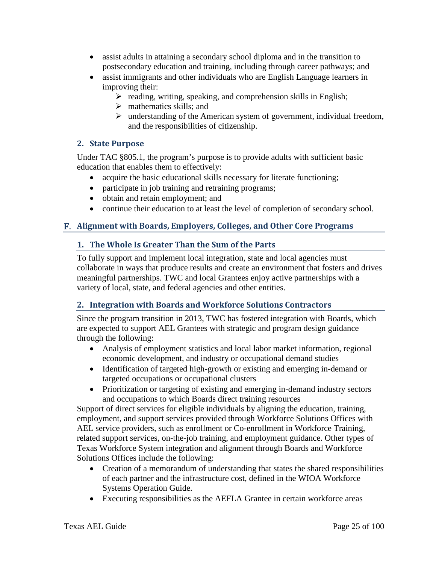- assist adults in attaining a secondary school diploma and in the transition to postsecondary education and training, including through career pathways; and
- assist immigrants and other individuals who are English Language learners in improving their:
	- $\triangleright$  reading, writing, speaking, and comprehension skills in English;
	- $\triangleright$  mathematics skills; and
	- $\triangleright$  understanding of the American system of government, individual freedom, and the responsibilities of citizenship.

# <span id="page-24-0"></span>**2. State Purpose**

Under TAC §805.1, the program's purpose is to provide adults with sufficient basic education that enables them to effectively:

- acquire the basic educational skills necessary for literate functioning;
- participate in job training and retraining programs;
- obtain and retain employment; and
- continue their education to at least the level of completion of secondary school.

# <span id="page-24-2"></span><span id="page-24-1"></span>**Alignment with Boards, Employers, Colleges, and Other Core Programs**

# **1. The Whole Is Greater Than the Sum of the Parts**

To fully support and implement local integration, state and local agencies must collaborate in ways that produce results and create an environment that fosters and drives meaningful partnerships. TWC and local Grantees enjoy active partnerships with a variety of local, state, and federal agencies and other entities.

## <span id="page-24-3"></span>**2. Integration with Boards and Workforce Solutions Contractors**

Since the program transition in 2013, TWC has fostered integration with Boards, which are expected to support AEL Grantees with strategic and program design guidance through the following:

- Analysis of employment statistics and local labor market information, regional economic development, and industry or occupational demand studies
- Identification of targeted high-growth or existing and emerging in-demand or targeted occupations or occupational clusters
- Prioritization or targeting of existing and emerging in-demand industry sectors and occupations to which Boards direct training resources

Support of direct services for eligible individuals by aligning the education, training, employment, and support services provided through Workforce Solutions Offices with AEL service providers, such as enrollment or Co-enrollment in Workforce Training, related support services, on-the-job training, and employment guidance. Other types of Texas Workforce System integration and alignment through Boards and Workforce Solutions Offices include the following:

- Creation of a memorandum of understanding that states the shared responsibilities of each partner and the infrastructure cost, defined in the WIOA Workforce Systems Operation Guide.
- Executing responsibilities as the AEFLA Grantee in certain workforce areas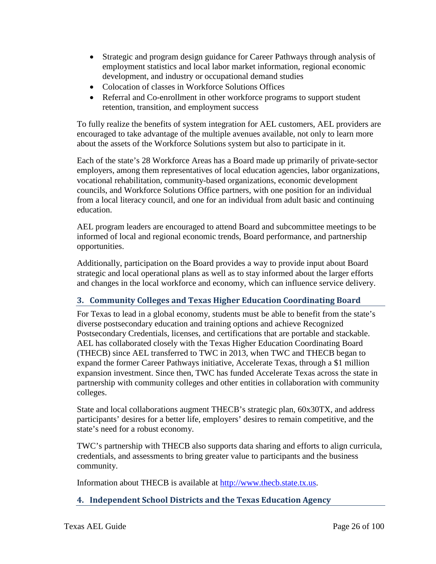- Strategic and program design guidance for Career Pathways through analysis of employment statistics and local labor market information, regional economic development, and industry or occupational demand studies
- Colocation of classes in Workforce Solutions Offices
- Referral and Co-enrollment in other workforce programs to support student retention, transition, and employment success

To fully realize the benefits of system integration for AEL customers, AEL providers are encouraged to take advantage of the multiple avenues available, not only to learn more about the assets of the Workforce Solutions system but also to participate in it.

Each of the state's 28 Workforce Areas has a Board made up primarily of private-sector employers, among them representatives of local education agencies, labor organizations, vocational rehabilitation, community-based organizations, economic development councils, and Workforce Solutions Office partners, with one position for an individual from a local literacy council, and one for an individual from adult basic and continuing education.

AEL program leaders are encouraged to attend Board and subcommittee meetings to be informed of local and regional economic trends, Board performance, and partnership opportunities.

Additionally, participation on the Board provides a way to provide input about Board strategic and local operational plans as well as to stay informed about the larger efforts and changes in the local workforce and economy, which can influence service delivery.

# <span id="page-25-0"></span>**3. Community Colleges and Texas Higher Education Coordinating Board**

For Texas to lead in a global economy, students must be able to benefit from the state's diverse postsecondary education and training options and achieve Recognized Postsecondary Credentials, licenses, and certifications that are portable and stackable. AEL has collaborated closely with the Texas Higher Education Coordinating Board (THECB) since AEL transferred to TWC in 2013, when TWC and THECB began to expand the former Career Pathways initiative, Accelerate Texas, through a \$1 million expansion investment. Since then, TWC has funded Accelerate Texas across the state in partnership with community colleges and other entities in collaboration with community colleges.

State and local collaborations augment THECB's strategic plan, 60x30TX, and address participants' desires for a better life, employers' desires to remain competitive, and the state's need for a robust economy.

TWC's partnership with THECB also supports data sharing and efforts to align curricula, credentials, and assessments to bring greater value to participants and the business community.

Information about THECB is available at [http://www.thecb.state.tx.us.](http://www.thecb.state.tx.us/)

# <span id="page-25-1"></span>**4. Independent School Districts and the Texas Education Agency**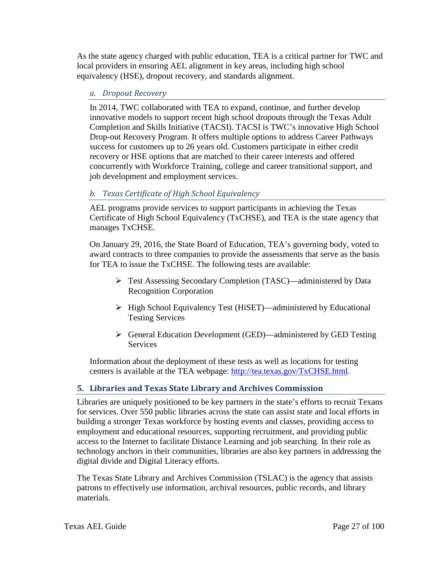As the state agency charged with public education, TEA is a critical partner for TWC and local providers in ensuring AEL alignment in key areas, including high school equivalency (HSE), dropout recovery, and standards alignment.

#### *a. Dropout Recovery*

In 2014, TWC collaborated with TEA to expand, continue, and further develop innovative models to support recent high school dropouts through the Texas Adult Completion and Skills Initiative (TACSI). TACSI is TWC's innovative High School Drop-out Recovery Program. It offers multiple options to address Career Pathways success for customers up to 26 years old. Customers participate in either credit recovery or HSE options that are matched to their career interests and offered concurrently with Workforce Training, college and career transitional support, and job development and employment services.

# *b. Texas Certificate of High School Equivalency*

AEL programs provide services to support participants in achieving the Texas Certificate of High School Equivalency (TxCHSE), and TEA is the state agency that manages TxCHSE.

On January 29, 2016, the State Board of Education, TEA's governing body, voted to award contracts to three companies to provide the assessments that serve as the basis for TEA to issue the TxCHSE. The following tests are available:

- Test Assessing Secondary Completion (TASC)—administered by Data Recognition Corporation
- High School Equivalency Test (HiSET)—administered by Educational Testing Services
- General Education Development (GED)—administered by GED Testing **Services**

Information about the deployment of these tests as well as locations for testing centers is available at the TEA webpage: [http://tea.texas.gov/TxCHSE.html.](http://tea.texas.gov/TxCHSE.html)

## <span id="page-26-0"></span>**5. Libraries and Texas State Library and Archives Commission**

Libraries are uniquely positioned to be key partners in the state's efforts to recruit Texans for services. Over 550 public libraries across the state can assist state and local efforts in building a stronger Texas workforce by hosting events and classes, providing access to employment and educational resources, supporting recruitment, and providing public access to the Internet to facilitate Distance Learning and job searching. In their role as technology anchors in their communities, libraries are also key partners in addressing the digital divide and Digital Literacy efforts.

The Texas State Library and Archives Commission (TSLAC) is the agency that assists patrons to effectively use information, archival resources, public records, and library materials.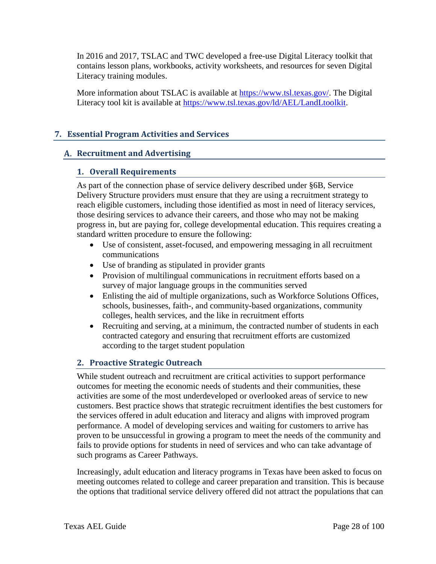In 2016 and 2017, TSLAC and TWC developed a free-use Digital Literacy toolkit that contains lesson plans, workbooks, activity worksheets, and resources for seven Digital Literacy training modules.

More information about TSLAC is available at [https://www.tsl.texas.gov/.](https://www.tsl.texas.gov/) The Digital Literacy tool kit is available at [https://www.tsl.texas.gov/ld/AEL/LandLtoolkit.](https://www.tsl.texas.gov/ld/AEL/LandLtoolkit)

# <span id="page-27-0"></span>**7. Essential Program Activities and Services**

#### <span id="page-27-2"></span><span id="page-27-1"></span>**Recruitment and Advertising**

#### **1. Overall Requirements**

As part of the connection phase of service delivery described under §6B, Service Delivery Structure providers must ensure that they are using a recruitment strategy to reach eligible customers, including those identified as most in need of literacy services, those desiring services to advance their careers, and those who may not be making progress in, but are paying for, college developmental education. This requires creating a standard written procedure to ensure the following:

- Use of consistent, asset-focused, and empowering messaging in all recruitment communications
- Use of branding as stipulated in provider grants
- Provision of multilingual communications in recruitment efforts based on a survey of major language groups in the communities served
- Enlisting the aid of multiple organizations, such as Workforce Solutions Offices, schools, businesses, faith-, and community-based organizations, community colleges, health services, and the like in recruitment efforts
- Recruiting and serving, at a minimum, the contracted number of students in each contracted category and ensuring that recruitment efforts are customized according to the target student population

## <span id="page-27-3"></span>**2. Proactive Strategic Outreach**

While student outreach and recruitment are critical activities to support performance outcomes for meeting the economic needs of students and their communities, these activities are some of the most underdeveloped or overlooked areas of service to new customers. Best practice shows that strategic recruitment identifies the best customers for the services offered in adult education and literacy and aligns with improved program performance. A model of developing services and waiting for customers to arrive has proven to be unsuccessful in growing a program to meet the needs of the community and fails to provide options for students in need of services and who can take advantage of such programs as Career Pathways.

Increasingly, adult education and literacy programs in Texas have been asked to focus on meeting outcomes related to college and career preparation and transition. This is because the options that traditional service delivery offered did not attract the populations that can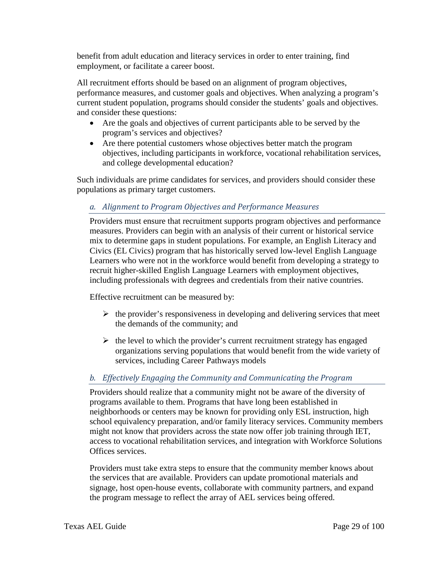benefit from adult education and literacy services in order to enter training, find employment, or facilitate a career boost.

All recruitment efforts should be based on an alignment of program objectives, performance measures, and customer goals and objectives. When analyzing a program's current student population, programs should consider the students' goals and objectives. and consider these questions:

- Are the goals and objectives of current participants able to be served by the program's services and objectives?
- Are there potential customers whose objectives better match the program objectives, including participants in workforce, vocational rehabilitation services, and college developmental education?

Such individuals are prime candidates for services, and providers should consider these populations as primary target customers.

# *a. Alignment to Program Objectives and Performance Measures*

Providers must ensure that recruitment supports program objectives and performance measures. Providers can begin with an analysis of their current or historical service mix to determine gaps in student populations. For example, an English Literacy and Civics (EL Civics) program that has historically served low-level English Language Learners who were not in the workforce would benefit from developing a strategy to recruit higher-skilled English Language Learners with employment objectives, including professionals with degrees and credentials from their native countries.

Effective recruitment can be measured by:

- $\triangleright$  the provider's responsiveness in developing and delivering services that meet the demands of the community; and
- $\triangleright$  the level to which the provider's current recruitment strategy has engaged organizations serving populations that would benefit from the wide variety of services, including Career Pathways models

# *b. Effectively Engaging the Community and Communicating the Program*

Providers should realize that a community might not be aware of the diversity of programs available to them. Programs that have long been established in neighborhoods or centers may be known for providing only ESL instruction, high school equivalency preparation, and/or family literacy services. Community members might not know that providers across the state now offer job training through IET, access to vocational rehabilitation services, and integration with Workforce Solutions Offices services.

Providers must take extra steps to ensure that the community member knows about the services that are available. Providers can update promotional materials and signage, host open-house events, collaborate with community partners, and expand the program message to reflect the array of AEL services being offered.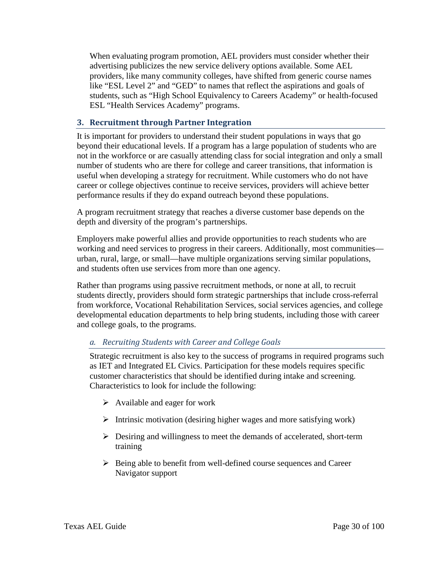When evaluating program promotion, AEL providers must consider whether their advertising publicizes the new service delivery options available. Some AEL providers, like many community colleges, have shifted from generic course names like "ESL Level 2" and "GED" to names that reflect the aspirations and goals of students, such as "High School Equivalency to Careers Academy" or health-focused ESL "Health Services Academy" programs.

#### <span id="page-29-0"></span>**3. Recruitment through Partner Integration**

It is important for providers to understand their student populations in ways that go beyond their educational levels. If a program has a large population of students who are not in the workforce or are casually attending class for social integration and only a small number of students who are there for college and career transitions, that information is useful when developing a strategy for recruitment. While customers who do not have career or college objectives continue to receive services, providers will achieve better performance results if they do expand outreach beyond these populations.

A program recruitment strategy that reaches a diverse customer base depends on the depth and diversity of the program's partnerships.

Employers make powerful allies and provide opportunities to reach students who are working and need services to progress in their careers. Additionally, most communities urban, rural, large, or small—have multiple organizations serving similar populations, and students often use services from more than one agency.

Rather than programs using passive recruitment methods, or none at all, to recruit students directly, providers should form strategic partnerships that include cross-referral from workforce, Vocational Rehabilitation Services, social services agencies, and college developmental education departments to help bring students, including those with career and college goals, to the programs.

## *a. Recruiting Students with Career and College Goals*

Strategic recruitment is also key to the success of programs in required programs such as IET and Integrated EL Civics. Participation for these models requires specific customer characteristics that should be identified during intake and screening. Characteristics to look for include the following:

- $\triangleright$  Available and eager for work
- $\triangleright$  Intrinsic motivation (desiring higher wages and more satisfying work)
- $\triangleright$  Desiring and willingness to meet the demands of accelerated, short-term training
- $\triangleright$  Being able to benefit from well-defined course sequences and Career Navigator support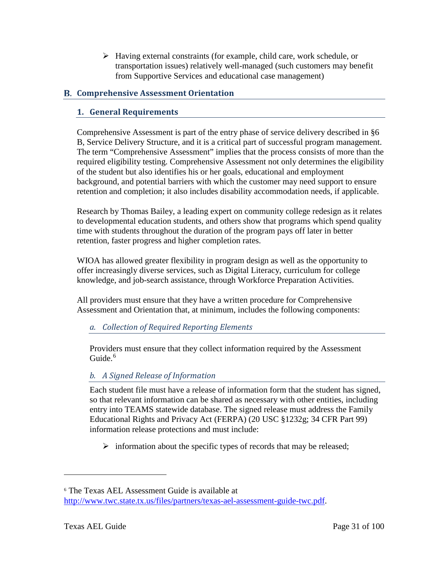$\triangleright$  Having external constraints (for example, child care, work schedule, or transportation issues) relatively well-managed (such customers may benefit from Supportive Services and educational case management)

# <span id="page-30-1"></span><span id="page-30-0"></span>**Comprehensive Assessment Orientation**

# **1. General Requirements**

Comprehensive Assessment is part of the entry phase of service delivery described in §6 B, Service Delivery Structure, and it is a critical part of successful program management. The term "Comprehensive Assessment" implies that the process consists of more than the required eligibility testing. Comprehensive Assessment not only determines the eligibility of the student but also identifies his or her goals, educational and employment background, and potential barriers with which the customer may need support to ensure retention and completion; it also includes disability accommodation needs, if applicable.

Research by Thomas Bailey, a leading expert on community college redesign as it relates to developmental education students, and others show that programs which spend quality time with students throughout the duration of the program pays off later in better retention, faster progress and higher completion rates.

WIOA has allowed greater flexibility in program design as well as the opportunity to offer increasingly diverse services, such as Digital Literacy, curriculum for college knowledge, and job-search assistance, through Workforce Preparation Activities.

All providers must ensure that they have a written procedure for Comprehensive Assessment and Orientation that, at minimum, includes the following components:

## *a. Collection of Required Reporting Elements*

Providers must ensure that they collect information required by the Assessment  $Guide<sup>6</sup>$  $Guide<sup>6</sup>$  $Guide<sup>6</sup>$ 

# *b. A Signed Release of Information*

Each student file must have a release of information form that the student has signed, so that relevant information can be shared as necessary with other entities, including entry into TEAMS statewide database. The signed release must address the Family Educational Rights and Privacy Act (FERPA) (20 USC §1232g; 34 CFR Part 99) information release protections and must include:

 $\triangleright$  information about the specific types of records that may be released;

<span id="page-30-2"></span><sup>6</sup> The Texas AEL Assessment Guide is available at [http://www.twc.state.tx.us/files/partners/texas-ael-assessment-guide-twc.pdf.](http://www.twc.state.tx.us/files/partners/texas-ael-assessment-guide-twc.pdf)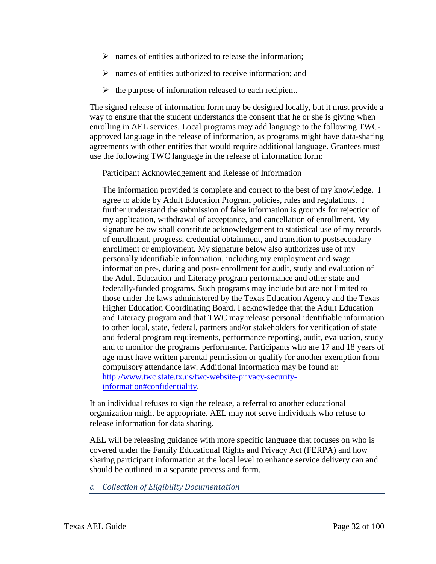- $\triangleright$  names of entities authorized to release the information;
- $\triangleright$  names of entities authorized to receive information; and
- $\triangleright$  the purpose of information released to each recipient.

The signed release of information form may be designed locally, but it must provide a way to ensure that the student understands the consent that he or she is giving when enrolling in AEL services. Local programs may add language to the following TWCapproved language in the release of information, as programs might have data-sharing agreements with other entities that would require additional language. Grantees must use the following TWC language in the release of information form:

Participant Acknowledgement and Release of Information

The information provided is complete and correct to the best of my knowledge. I agree to abide by Adult Education Program policies, rules and regulations. I further understand the submission of false information is grounds for rejection of my application, withdrawal of acceptance, and cancellation of enrollment. My signature below shall constitute acknowledgement to statistical use of my records of enrollment, progress, credential obtainment, and transition to postsecondary enrollment or employment. My signature below also authorizes use of my personally identifiable information, including my employment and wage information pre-, during and post- enrollment for audit, study and evaluation of the Adult Education and Literacy program performance and other state and federally-funded programs. Such programs may include but are not limited to those under the laws administered by the Texas Education Agency and the Texas Higher Education Coordinating Board. I acknowledge that the Adult Education and Literacy program and that TWC may release personal identifiable information to other local, state, federal, partners and/or stakeholders for verification of state and federal program requirements, performance reporting, audit, evaluation, study and to monitor the programs performance. Participants who are 17 and 18 years of age must have written parental permission or qualify for another exemption from compulsory attendance law. Additional information may be found at: [http://www.twc.state.tx.us/twc-website-privacy-security](http://www.twc.state.tx.us/twc-website-privacy-security-information#confidentiality)[information#confidentiality.](http://www.twc.state.tx.us/twc-website-privacy-security-information#confidentiality)

If an individual refuses to sign the release, a referral to another educational organization might be appropriate. AEL may not serve individuals who refuse to release information for data sharing.

AEL will be releasing guidance with more specific language that focuses on who is covered under the Family Educational Rights and Privacy Act (FERPA) and how sharing participant information at the local level to enhance service delivery can and should be outlined in a separate process and form.

*c. Collection of Eligibility Documentation*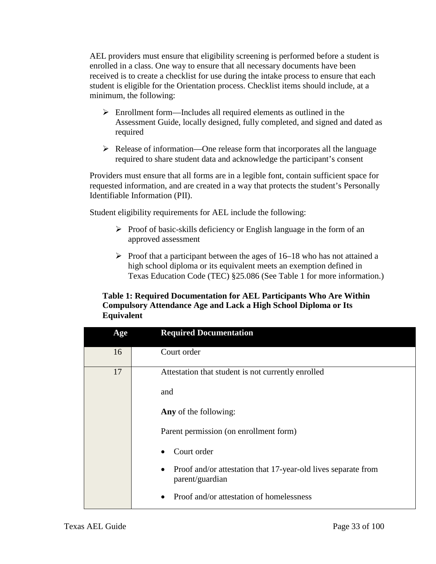AEL providers must ensure that eligibility screening is performed before a student is enrolled in a class. One way to ensure that all necessary documents have been received is to create a checklist for use during the intake process to ensure that each student is eligible for the Orientation process. Checklist items should include, at a minimum, the following:

- $\triangleright$  Enrollment form—Includes all required elements as outlined in the Assessment Guide, locally designed, fully completed, and signed and dated as required
- $\triangleright$  Release of information—One release form that incorporates all the language required to share student data and acknowledge the participant's consent

Providers must ensure that all forms are in a legible font, contain sufficient space for requested information, and are created in a way that protects the student's Personally Identifiable Information (PII).

Student eligibility requirements for AEL include the following:

- $\triangleright$  Proof of basic-skills deficiency or English language in the form of an approved assessment
- <span id="page-32-0"></span> $\triangleright$  Proof that a participant between the ages of 16–18 who has not attained a high school diploma or its equivalent meets an exemption defined in Texas Education Code (TEC) §25.086 [\(See Table 1](#page-32-0) for more information.)

#### **Table 1: Required Documentation for AEL Participants Who Are Within Compulsory Attendance Age and Lack a High School Diploma or Its Equivalent**

| Age | <b>Required Documentation</b>                                                    |
|-----|----------------------------------------------------------------------------------|
| 16  | Court order                                                                      |
| 17  | Attestation that student is not currently enrolled<br>and                        |
|     | Any of the following:                                                            |
|     | Parent permission (on enrollment form)                                           |
|     | Court order                                                                      |
|     | Proof and/or attestation that 17-year-old lives separate from<br>parent/guardian |
|     | Proof and/or attestation of homelessness                                         |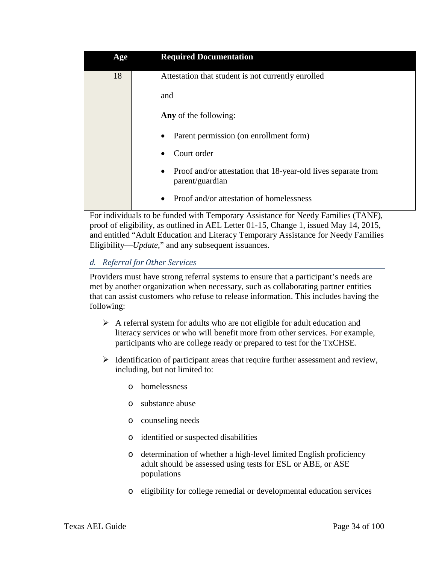| Age | <b>Required Documentation</b>                                                         |
|-----|---------------------------------------------------------------------------------------|
| 18  | Attestation that student is not currently enrolled                                    |
|     | and                                                                                   |
|     | Any of the following:                                                                 |
|     | Parent permission (on enrollment form)<br>٠                                           |
|     | Court order<br>$\bullet$                                                              |
|     | Proof and/or attestation that 18-year-old lives separate from<br>٠<br>parent/guardian |
|     | Proof and/or attestation of homelessness                                              |

For individuals to be funded with Temporary Assistance for Needy Families (TANF), proof of eligibility, as outlined in AEL Letter 01-15, Change 1, issued May 14, 2015, and entitled "Adult Education and Literacy Temporary Assistance for Needy Families Eligibility—*Update*," and any subsequent issuances.

# *d. Referral for Other Services*

Providers must have strong referral systems to ensure that a participant's needs are met by another organization when necessary, such as collaborating partner entities that can assist customers who refuse to release information. This includes having the following:

- $\triangleright$  A referral system for adults who are not eligible for adult education and literacy services or who will benefit more from other services. For example, participants who are college ready or prepared to test for the TxCHSE.
- $\triangleright$  Identification of participant areas that require further assessment and review, including, but not limited to:
	- o homelessness
	- o substance abuse
	- o counseling needs
	- o identified or suspected disabilities
	- o determination of whether a high-level limited English proficiency adult should be assessed using tests for ESL or ABE, or ASE populations
	- o eligibility for college remedial or developmental education services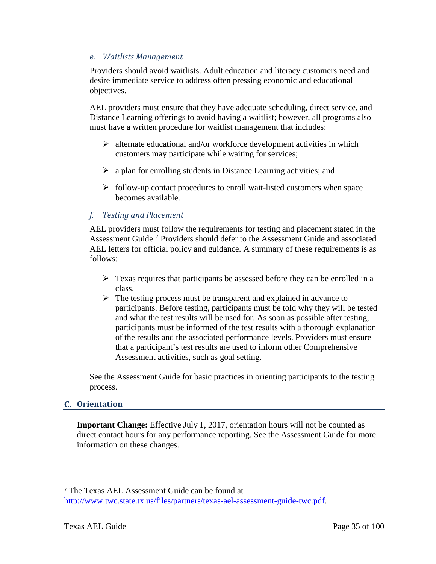#### *e. Waitlists Management*

Providers should avoid waitlists. Adult education and literacy customers need and desire immediate service to address often pressing economic and educational objectives.

AEL providers must ensure that they have adequate scheduling, direct service, and Distance Learning offerings to avoid having a waitlist; however, all programs also must have a written procedure for waitlist management that includes:

- $\triangleright$  alternate educational and/or workforce development activities in which customers may participate while waiting for services;
- $\triangleright$  a plan for enrolling students in Distance Learning activities; and
- $\triangleright$  follow-up contact procedures to enroll wait-listed customers when space becomes available.

## *f. Testing and Placement*

AEL providers must follow the requirements for testing and placement stated in the Assessment Guide.<sup>[7](#page-34-1)</sup> Providers should defer to the Assessment Guide and associated AEL letters for official policy and guidance. A summary of these requirements is as follows:

- $\triangleright$  Texas requires that participants be assessed before they can be enrolled in a class.
- $\triangleright$  The testing process must be transparent and explained in advance to participants. Before testing, participants must be told why they will be tested and what the test results will be used for. As soon as possible after testing, participants must be informed of the test results with a thorough explanation of the results and the associated performance levels. Providers must ensure that a participant's test results are used to inform other Comprehensive Assessment activities, such as goal setting.

See the Assessment Guide for basic practices in orienting participants to the testing process.

## <span id="page-34-0"></span>**Orientation**

**Important Change:** Effective July 1, 2017, orientation hours will not be counted as direct contact hours for any performance reporting. See the Assessment Guide for more information on these changes.

<span id="page-34-1"></span><sup>7</sup> The Texas AEL Assessment Guide can be found at [http://www.twc.state.tx.us/files/partners/texas-ael-assessment-guide-twc.pdf.](http://www.twc.state.tx.us/files/partners/texas-ael-assessment-guide-twc.pdf)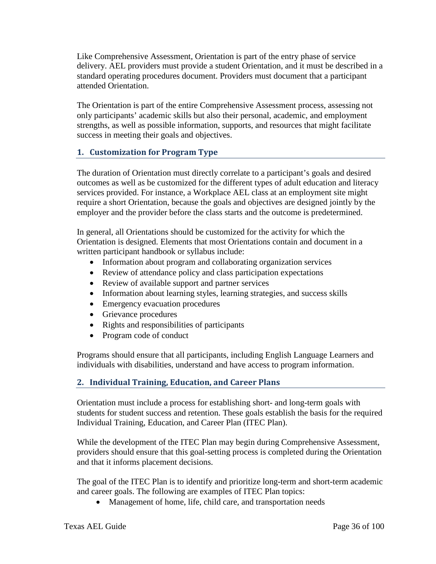Like Comprehensive Assessment, Orientation is part of the entry phase of service delivery. AEL providers must provide a student Orientation, and it must be described in a standard operating procedures document. Providers must document that a participant attended Orientation.

The Orientation is part of the entire Comprehensive Assessment process, assessing not only participants' academic skills but also their personal, academic, and employment strengths, as well as possible information, supports, and resources that might facilitate success in meeting their goals and objectives.

## <span id="page-35-0"></span>**1. Customization for Program Type**

The duration of Orientation must directly correlate to a participant's goals and desired outcomes as well as be customized for the different types of adult education and literacy services provided. For instance, a Workplace AEL class at an employment site might require a short Orientation, because the goals and objectives are designed jointly by the employer and the provider before the class starts and the outcome is predetermined.

In general, all Orientations should be customized for the activity for which the Orientation is designed. Elements that most Orientations contain and document in a written participant handbook or syllabus include:

- Information about program and collaborating organization services
- Review of attendance policy and class participation expectations
- Review of available support and partner services
- Information about learning styles, learning strategies, and success skills
- Emergency evacuation procedures
- Grievance procedures
- Rights and responsibilities of participants
- Program code of conduct

Programs should ensure that all participants, including English Language Learners and individuals with disabilities, understand and have access to program information.

## <span id="page-35-1"></span>**2. Individual Training, Education, and Career Plans**

Orientation must include a process for establishing short- and long-term goals with students for student success and retention. These goals establish the basis for the required Individual Training, Education, and Career Plan (ITEC Plan).

While the development of the ITEC Plan may begin during Comprehensive Assessment, providers should ensure that this goal-setting process is completed during the Orientation and that it informs placement decisions.

The goal of the ITEC Plan is to identify and prioritize long-term and short-term academic and career goals. The following are examples of ITEC Plan topics:

• Management of home, life, child care, and transportation needs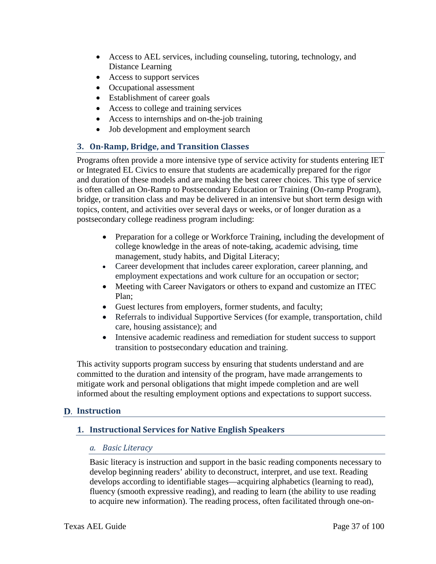- Access to AEL services, including counseling, tutoring, technology, and Distance Learning
- Access to support services
- Occupational assessment
- Establishment of career goals
- Access to college and training services
- Access to internships and on-the-job training
- Job development and employment search

## **3. On-Ramp, Bridge, and Transition Classes**

Programs often provide a more intensive type of service activity for students entering IET or Integrated EL Civics to ensure that students are academically prepared for the rigor and duration of these models and are making the best career choices. This type of service is often called an On-Ramp to Postsecondary Education or Training (On-ramp Program), bridge, or transition class and may be delivered in an intensive but short term design with topics, content, and activities over several days or weeks, or of longer duration as a postsecondary college readiness program including:

- Preparation for a college or Workforce Training, including the development of college knowledge in the areas of note-taking, academic advising, time management, study habits, and Digital Literacy;
- Career development that includes career exploration, career planning, and employment expectations and work culture for an occupation or sector;
- Meeting with Career Navigators or others to expand and customize an ITEC Plan;
- Guest lectures from employers, former students, and faculty;
- Referrals to individual Supportive Services (for example, transportation, child care, housing assistance); and
- Intensive academic readiness and remediation for student success to support transition to postsecondary education and training.

This activity supports program success by ensuring that students understand and are committed to the duration and intensity of the program, have made arrangements to mitigate work and personal obligations that might impede completion and are well informed about the resulting employment options and expectations to support success.

## **Instruction**

## **1. Instructional Services for Native English Speakers**

#### *a. Basic Literacy*

Basic literacy is instruction and support in the basic reading components necessary to develop beginning readers' ability to deconstruct, interpret, and use text. Reading develops according to identifiable stages—acquiring alphabetics (learning to read), fluency (smooth expressive reading), and reading to learn (the ability to use reading to acquire new information). The reading process, often facilitated through one-on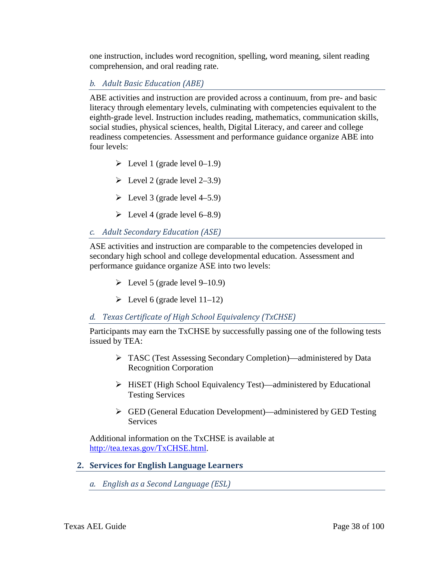one instruction, includes word recognition, spelling, word meaning, silent reading comprehension, and oral reading rate.

## *b. Adult Basic Education (ABE)*

ABE activities and instruction are provided across a continuum, from pre- and basic literacy through elementary levels, culminating with competencies equivalent to the eighth-grade level. Instruction includes reading, mathematics, communication skills, social studies, physical sciences, health, Digital Literacy, and career and college readiness competencies. Assessment and performance guidance organize ABE into four levels:

- $\triangleright$  Level 1 (grade level 0–1.9)
- $\blacktriangleright$  Level 2 (grade level 2–3.9)
- $\blacktriangleright$  Level 3 (grade level 4–5.9)
- $\geq$  Level 4 (grade level 6–8.9)

## *c. Adult Secondary Education (ASE)*

ASE activities and instruction are comparable to the competencies developed in secondary high school and college developmental education. Assessment and performance guidance organize ASE into two levels:

- $\blacktriangleright$  Level 5 (grade level 9–10.9)
- $\triangleright$  Level 6 (grade level 11–12)

## *d. Texas Certificate of High School Equivalency (TxCHSE)*

Participants may earn the TxCHSE by successfully passing one of the following tests issued by TEA:

- TASC (Test Assessing Secondary Completion)—administered by Data Recognition Corporation
- HiSET (High School Equivalency Test)—administered by Educational Testing Services
- GED (General Education Development)—administered by GED Testing **Services**

Additional information on the TxCHSE is available at [http://tea.texas.gov/TxCHSE.html.](http://tea.texas.gov/TxCHSE.html)

## **2. Services for English Language Learners**

*a. English as a Second Language (ESL)*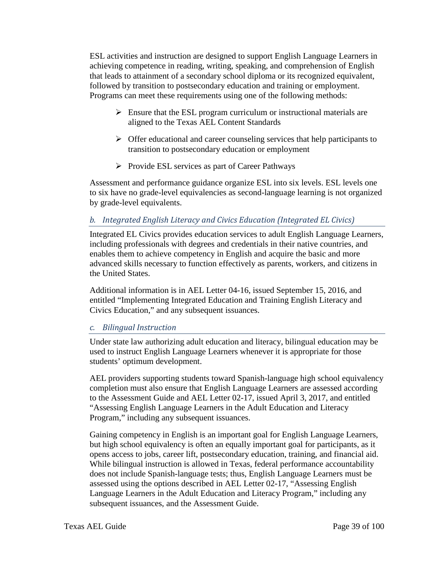ESL activities and instruction are designed to support English Language Learners in achieving competence in reading, writing, speaking, and comprehension of English that leads to attainment of a secondary school diploma or its recognized equivalent, followed by transition to postsecondary education and training or employment. Programs can meet these requirements using one of the following methods:

- $\triangleright$  Ensure that the ESL program curriculum or instructional materials are aligned to the Texas AEL Content Standards
- $\triangleright$  Offer educational and career counseling services that help participants to transition to postsecondary education or employment
- $\triangleright$  Provide ESL services as part of Career Pathways

Assessment and performance guidance organize ESL into six levels. ESL levels one to six have no grade-level equivalencies as second-language learning is not organized by grade-level equivalents.

# *b. Integrated English Literacy and Civics Education (Integrated EL Civics)*

Integrated EL Civics provides education services to adult English Language Learners, including professionals with degrees and credentials in their native countries, and enables them to achieve competency in English and acquire the basic and more advanced skills necessary to function effectively as parents, workers, and citizens in the United States.

Additional information is in AEL Letter 04-16, issued September 15, 2016, and entitled "Implementing Integrated Education and Training English Literacy and Civics Education," and any subsequent issuances.

## *c. Bilingual Instruction*

Under state law authorizing adult education and literacy, bilingual education may be used to instruct English Language Learners whenever it is appropriate for those students' optimum development.

AEL providers supporting students toward Spanish-language high school equivalency completion must also ensure that English Language Learners are assessed according to the Assessment Guide and AEL Letter 02-17, issued April 3, 2017, and entitled "Assessing English Language Learners in the Adult Education and Literacy Program," including any subsequent issuances.

Gaining competency in English is an important goal for English Language Learners, but high school equivalency is often an equally important goal for participants, as it opens access to jobs, career lift, postsecondary education, training, and financial aid. While bilingual instruction is allowed in Texas, federal performance accountability does not include Spanish-language tests; thus, English Language Learners must be assessed using the options described in AEL Letter 02-17, "Assessing English Language Learners in the Adult Education and Literacy Program," including any subsequent issuances, and the Assessment Guide.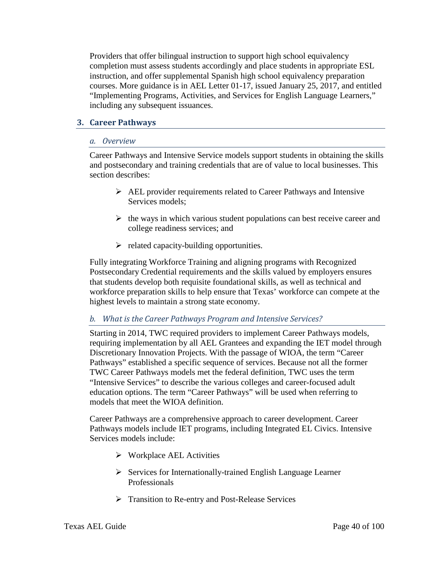Providers that offer bilingual instruction to support high school equivalency completion must assess students accordingly and place students in appropriate ESL instruction, and offer supplemental Spanish high school equivalency preparation courses. More guidance is in AEL Letter 01-17, issued January 25, 2017, and entitled "Implementing Programs, Activities, and Services for English Language Learners," including any subsequent issuances.

#### **3. Career Pathways**

#### *a. Overview*

Career Pathways and Intensive Service models support students in obtaining the skills and postsecondary and training credentials that are of value to local businesses. This section describes:

- $\triangleright$  AEL provider requirements related to Career Pathways and Intensive Services models;
- $\triangleright$  the ways in which various student populations can best receive career and college readiness services; and
- $\triangleright$  related capacity-building opportunities.

Fully integrating Workforce Training and aligning programs with Recognized Postsecondary Credential requirements and the skills valued by employers ensures that students develop both requisite foundational skills, as well as technical and workforce preparation skills to help ensure that Texas' workforce can compete at the highest levels to maintain a strong state economy.

## *b. What is the Career Pathways Program and Intensive Services?*

Starting in 2014, TWC required providers to implement Career Pathways models, requiring implementation by all AEL Grantees and expanding the IET model through Discretionary Innovation Projects. With the passage of WIOA, the term "Career Pathways" established a specific sequence of services. Because not all the former TWC Career Pathways models met the federal definition, TWC uses the term "Intensive Services" to describe the various colleges and career-focused adult education options. The term "Career Pathways" will be used when referring to models that meet the WIOA definition.

Career Pathways are a comprehensive approach to career development. Career Pathways models include IET programs, including Integrated EL Civics. Intensive Services models include:

- $\triangleright$  Workplace AEL Activities
- $\triangleright$  Services for Internationally-trained English Language Learner Professionals
- **Figure 3** Transition to Re-entry and Post-Release Services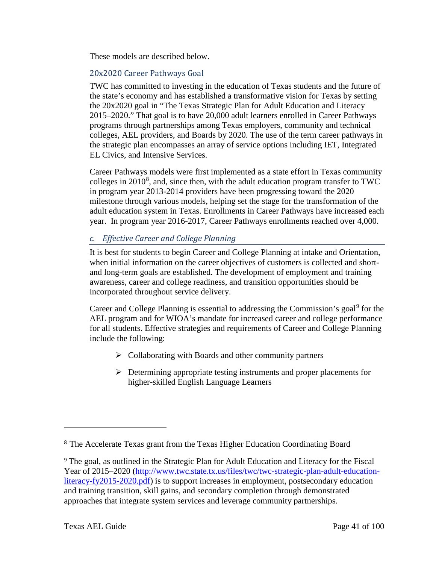These models are described below.

## 20x2020 Career Pathways Goal

TWC has committed to investing in the education of Texas students and the future of the state's economy and has established a transformative vision for Texas by setting the 20x2020 goal in "The Texas Strategic Plan for Adult Education and Literacy 2015–2020." That goal is to have 20,000 adult learners enrolled in Career Pathways programs through partnerships among Texas employers, community and technical colleges, AEL providers, and Boards by 2020. The use of the term career pathways in the strategic plan encompasses an array of service options including IET, Integrated EL Civics, and Intensive Services.

Career Pathways models were first implemented as a state effort in Texas community colleges in  $2010^8$  $2010^8$ , and, since then, with the adult education program transfer to TWC in program year 2013-2014 providers have been progressing toward the 2020 milestone through various models, helping set the stage for the transformation of the adult education system in Texas. Enrollments in Career Pathways have increased each year. In program year 2016-2017, Career Pathways enrollments reached over 4,000.

# *c. Effective Career and College Planning*

It is best for students to begin Career and College Planning at intake and Orientation, when initial information on the career objectives of customers is collected and shortand long-term goals are established. The development of employment and training awareness, career and college readiness, and transition opportunities should be incorporated throughout service delivery.

Career and College Planning is essential to addressing the Commission's goal<sup>[9](#page-40-1)</sup> for the AEL program and for WIOA's mandate for increased career and college performance for all students. Effective strategies and requirements of Career and College Planning include the following:

- $\triangleright$  Collaborating with Boards and other community partners
- $\triangleright$  Determining appropriate testing instruments and proper placements for higher-skilled English Language Learners

<span id="page-40-0"></span><sup>8</sup> The Accelerate Texas grant from the Texas Higher Education Coordinating Board

<span id="page-40-1"></span><sup>9</sup> The goal, as outlined in the Strategic Plan for Adult Education and Literacy for the Fiscal Year of 2015–2020 [\(http://www.twc.state.tx.us/files/twc/twc-strategic-plan-adult-education](http://www.twc.state.tx.us/files/twc/twc-strategic-plan-adult-education-literacy-fy2015-2020.pdf)[literacy-fy2015-2020.pdf\)](http://www.twc.state.tx.us/files/twc/twc-strategic-plan-adult-education-literacy-fy2015-2020.pdf) is to support increases in employment, postsecondary education and training transition, skill gains, and secondary completion through demonstrated approaches that integrate system services and leverage community partnerships.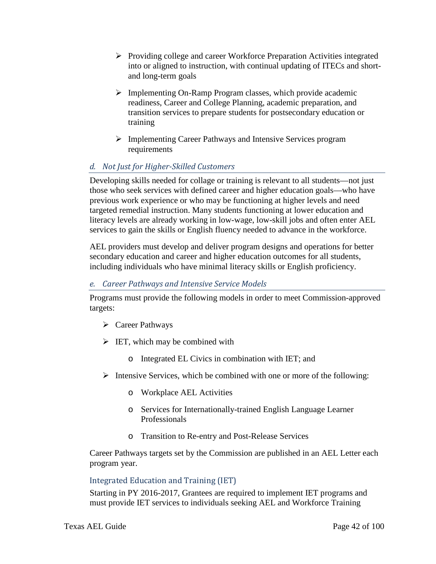- $\triangleright$  Providing college and career Workforce Preparation Activities integrated into or aligned to instruction, with continual updating of ITECs and shortand long-term goals
- $\triangleright$  Implementing On-Ramp Program classes, which provide academic readiness, Career and College Planning, academic preparation, and transition services to prepare students for postsecondary education or training
- Implementing Career Pathways and Intensive Services program requirements

# *d. Not Just for Higher-Skilled Customers*

Developing skills needed for collage or training is relevant to all students—not just those who seek services with defined career and higher education goals—who have previous work experience or who may be functioning at higher levels and need targeted remedial instruction. Many students functioning at lower education and literacy levels are already working in low-wage, low-skill jobs and often enter AEL services to gain the skills or English fluency needed to advance in the workforce.

AEL providers must develop and deliver program designs and operations for better secondary education and career and higher education outcomes for all students, including individuals who have minimal literacy skills or English proficiency.

## *e. Career Pathways and Intensive Service Models*

Programs must provide the following models in order to meet Commission-approved targets:

- Career Pathways
- $\triangleright$  IET, which may be combined with
	- o Integrated EL Civics in combination with IET; and
- $\triangleright$  Intensive Services, which be combined with one or more of the following:
	- o Workplace AEL Activities
	- o Services for Internationally-trained English Language Learner Professionals
	- o Transition to Re-entry and Post-Release Services

Career Pathways targets set by the Commission are published in an AEL Letter each program year.

## Integrated Education and Training (IET)

Starting in PY 2016-2017, Grantees are required to implement IET programs and must provide IET services to individuals seeking AEL and Workforce Training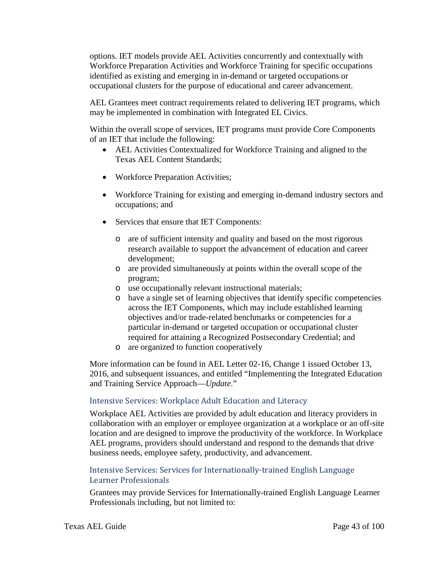options. IET models provide AEL Activities concurrently and contextually with Workforce Preparation Activities and Workforce Training for specific occupations identified as existing and emerging in in-demand or targeted occupations or occupational clusters for the purpose of educational and career advancement.

AEL Grantees meet contract requirements related to delivering IET programs, which may be implemented in combination with Integrated EL Civics.

Within the overall scope of services, IET programs must provide Core Components of an IET that include the following:

- AEL Activities Contextualized for Workforce Training and aligned to the Texas AEL Content Standards;
- Workforce Preparation Activities;
- Workforce Training for existing and emerging in-demand industry sectors and occupations; and
- Services that ensure that IET Components:
	- o are of sufficient intensity and quality and based on the most rigorous research available to support the advancement of education and career development;
	- o are provided simultaneously at points within the overall scope of the program;
	- o use occupationally relevant instructional materials;
	- o have a single set of learning objectives that identify specific competencies across the IET Components, which may include established learning objectives and/or trade-related benchmarks or competencies for a particular in-demand or targeted occupation or occupational cluster required for attaining a Recognized Postsecondary Credential; and
	- o are organized to function cooperatively

More information can be found in AEL Letter 02-16, Change 1 issued October 13, 2016, and subsequent issuances, and entitled "Implementing the Integrated Education and Training Service Approach—*Update*."

## Intensive Services: Workplace Adult Education and Literacy

Workplace AEL Activities are provided by adult education and literacy providers in collaboration with an employer or employee organization at a workplace or an off-site location and are designed to improve the productivity of the workforce. In Workplace AEL programs, providers should understand and respond to the demands that drive business needs, employee safety, productivity, and advancement.

## Intensive Services: Services for Internationally-trained English Language Learner Professionals

Grantees may provide Services for Internationally-trained English Language Learner Professionals including, but not limited to: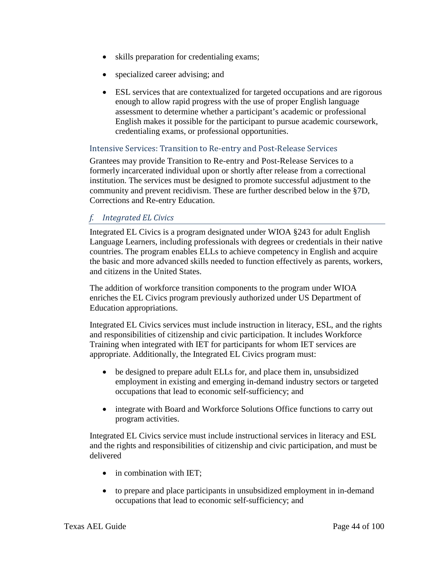- skills preparation for credentialing exams;
- specialized career advising; and
- ESL services that are contextualized for targeted occupations and are rigorous enough to allow rapid progress with the use of proper English language assessment to determine whether a participant's academic or professional English makes it possible for the participant to pursue academic coursework, credentialing exams, or professional opportunities.

## Intensive Services: Transition to Re-entry and Post-Release Services

Grantees may provide Transition to Re-entry and Post-Release Services to a formerly incarcerated individual upon or shortly after release from a correctional institution. The services must be designed to promote successful adjustment to the community and prevent recidivism. These are further described below in the §7D, Corrections and Re-entry Education.

## *f. Integrated EL Civics*

Integrated EL Civics is a program designated under WIOA §243 for adult English Language Learners, including professionals with degrees or credentials in their native countries. The program enables ELLs to achieve competency in English and acquire the basic and more advanced skills needed to function effectively as parents, workers, and citizens in the United States.

The addition of workforce transition components to the program under WIOA enriches the EL Civics program previously authorized under US Department of Education appropriations.

Integrated EL Civics services must include instruction in literacy, ESL, and the rights and responsibilities of citizenship and civic participation. It includes Workforce Training when integrated with IET for participants for whom IET services are appropriate. Additionally, the Integrated EL Civics program must:

- be designed to prepare adult ELLs for, and place them in, unsubsidized employment in existing and emerging in-demand industry sectors or targeted occupations that lead to economic self-sufficiency; and
- integrate with Board and Workforce Solutions Office functions to carry out program activities.

Integrated EL Civics service must include instructional services in literacy and ESL and the rights and responsibilities of citizenship and civic participation, and must be delivered

- in combination with IET;
- to prepare and place participants in unsubsidized employment in in-demand occupations that lead to economic self-sufficiency; and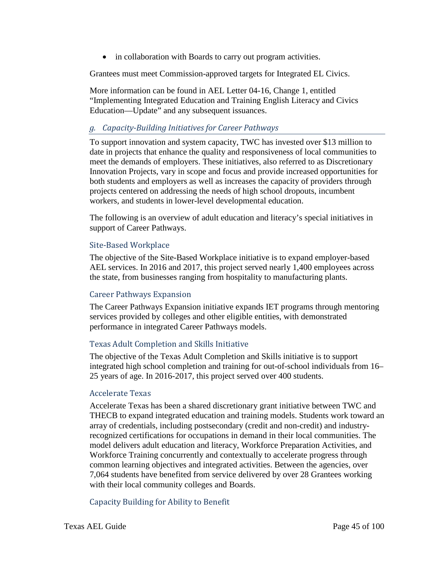• in collaboration with Boards to carry out program activities.

Grantees must meet Commission-approved targets for Integrated EL Civics.

More information can be found in AEL Letter 04-16, Change 1, entitled "Implementing Integrated Education and Training English Literacy and Civics Education—Update" and any subsequent issuances.

## *g. Capacity-Building Initiatives for Career Pathways*

To support innovation and system capacity, TWC has invested over \$13 million to date in projects that enhance the quality and responsiveness of local communities to meet the demands of employers. These initiatives, also referred to as Discretionary Innovation Projects, vary in scope and focus and provide increased opportunities for both students and employers as well as increases the capacity of providers through projects centered on addressing the needs of high school dropouts, incumbent workers, and students in lower-level developmental education.

The following is an overview of adult education and literacy's special initiatives in support of Career Pathways.

## Site-Based Workplace

The objective of the Site-Based Workplace initiative is to expand employer-based AEL services. In 2016 and 2017, this project served nearly 1,400 employees across the state, from businesses ranging from hospitality to manufacturing plants.

## Career Pathways Expansion

The Career Pathways Expansion initiative expands IET programs through mentoring services provided by colleges and other eligible entities, with demonstrated performance in integrated Career Pathways models.

## Texas Adult Completion and Skills Initiative

The objective of the Texas Adult Completion and Skills initiative is to support integrated high school completion and training for out-of-school individuals from 16– 25 years of age. In 2016-2017, this project served over 400 students.

## Accelerate Texas

Accelerate Texas has been a shared discretionary grant initiative between TWC and THECB to expand integrated education and training models. Students work toward an array of credentials, including postsecondary (credit and non-credit) and industryrecognized certifications for occupations in demand in their local communities. The model delivers adult education and literacy, Workforce Preparation Activities, and Workforce Training concurrently and contextually to accelerate progress through common learning objectives and integrated activities. Between the agencies, over 7,064 students have benefited from service delivered by over 28 Grantees working with their local community colleges and Boards.

## Capacity Building for Ability to Benefit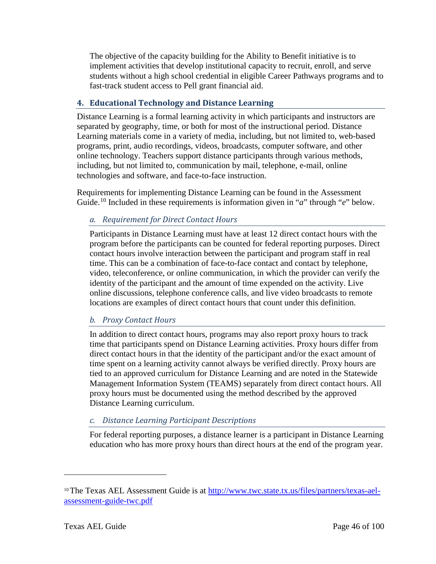The objective of the capacity building for the Ability to Benefit initiative is to implement activities that develop institutional capacity to recruit, enroll, and serve students without a high school credential in eligible Career Pathways programs and to fast-track student access to Pell grant financial aid.

## **4. Educational Technology and Distance Learning**

Distance Learning is a formal learning activity in which participants and instructors are separated by geography, time, or both for most of the instructional period. Distance Learning materials come in a variety of media, including, but not limited to, web-based programs, print, audio recordings, videos, broadcasts, computer software, and other online technology. Teachers support distance participants through various methods, including, but not limited to, communication by mail, telephone, e-mail, online technologies and software, and face-to-face instruction.

Requirements for implementing Distance Learning can be found in the Assessment Guide.<sup>[10](#page-45-0)</sup> Included in these requirements is information given in "*a*" through "*e*" below.

# *a. Requirement for Direct Contact Hours*

Participants in Distance Learning must have at least 12 direct contact hours with the program before the participants can be counted for federal reporting purposes. Direct contact hours involve interaction between the participant and program staff in real time. This can be a combination of face-to-face contact and contact by telephone, video, teleconference, or online communication, in which the provider can verify the identity of the participant and the amount of time expended on the activity. Live online discussions, telephone conference calls, and live video broadcasts to remote locations are examples of direct contact hours that count under this definition.

# *b. Proxy Contact Hours*

In addition to direct contact hours, programs may also report proxy hours to track time that participants spend on Distance Learning activities. Proxy hours differ from direct contact hours in that the identity of the participant and/or the exact amount of time spent on a learning activity cannot always be verified directly. Proxy hours are tied to an approved curriculum for Distance Learning and are noted in the Statewide Management Information System (TEAMS) separately from direct contact hours. All proxy hours must be documented using the method described by the approved Distance Learning curriculum.

# *c. Distance Learning Participant Descriptions*

For federal reporting purposes, a distance learner is a participant in Distance Learning education who has more proxy hours than direct hours at the end of the program year.

<span id="page-45-0"></span> $10$  The Texas AEL Assessment Guide is at [http://www.twc.state.tx.us/files/partners/texas-ael](http://www.twc.state.tx.us/files/partners/texas-ael-assessment-guide-twc.pdf)[assessment-guide-twc.pdf](http://www.twc.state.tx.us/files/partners/texas-ael-assessment-guide-twc.pdf)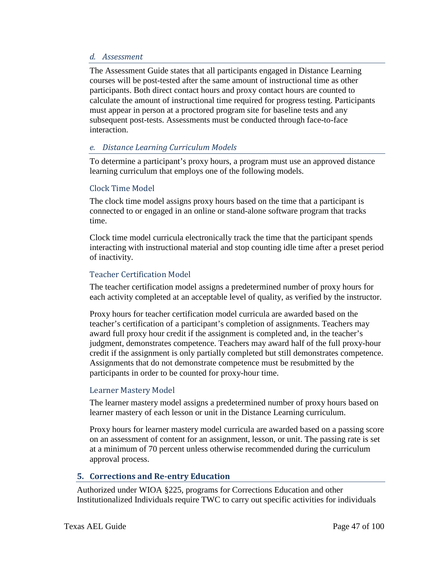#### *d. Assessment*

The Assessment Guide states that all participants engaged in Distance Learning courses will be post-tested after the same amount of instructional time as other participants. Both direct contact hours and proxy contact hours are counted to calculate the amount of instructional time required for progress testing. Participants must appear in person at a proctored program site for baseline tests and any subsequent post-tests. Assessments must be conducted through face-to-face interaction.

## *e. Distance Learning Curriculum Models*

To determine a participant's proxy hours, a program must use an approved distance learning curriculum that employs one of the following models.

#### Clock Time Model

The clock time model assigns proxy hours based on the time that a participant is connected to or engaged in an online or stand-alone software program that tracks time.

Clock time model curricula electronically track the time that the participant spends interacting with instructional material and stop counting idle time after a preset period of inactivity.

#### Teacher Certification Model

The teacher certification model assigns a predetermined number of proxy hours for each activity completed at an acceptable level of quality, as verified by the instructor.

Proxy hours for teacher certification model curricula are awarded based on the teacher's certification of a participant's completion of assignments. Teachers may award full proxy hour credit if the assignment is completed and, in the teacher's judgment, demonstrates competence. Teachers may award half of the full proxy-hour credit if the assignment is only partially completed but still demonstrates competence. Assignments that do not demonstrate competence must be resubmitted by the participants in order to be counted for proxy-hour time.

#### Learner Mastery Model

The learner mastery model assigns a predetermined number of proxy hours based on learner mastery of each lesson or unit in the Distance Learning curriculum.

Proxy hours for learner mastery model curricula are awarded based on a passing score on an assessment of content for an assignment, lesson, or unit. The passing rate is set at a minimum of 70 percent unless otherwise recommended during the curriculum approval process.

## **5. Corrections and Re-entry Education**

Authorized under WIOA §225, programs for Corrections Education and other Institutionalized Individuals require TWC to carry out specific activities for individuals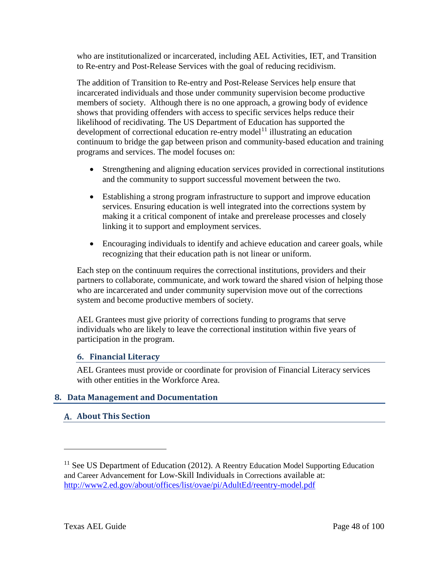who are institutionalized or incarcerated, including AEL Activities, IET, and Transition to Re-entry and Post-Release Services with the goal of reducing recidivism.

The addition of Transition to Re-entry and Post-Release Services help ensure that incarcerated individuals and those under community supervision become productive members of society. Although there is no one approach, a growing body of evidence shows that providing offenders with access to specific services helps reduce their likelihood of recidivating. The US Department of Education has supported the development of correctional education re-entry model<sup>[11](#page-47-0)</sup> illustrating an education continuum to bridge the gap between prison and community-based education and training programs and services. The model focuses on:

- Strengthening and aligning education services provided in correctional institutions and the community to support successful movement between the two.
- Establishing a strong program infrastructure to support and improve education services. Ensuring education is well integrated into the corrections system by making it a critical component of intake and prerelease processes and closely linking it to support and employment services.
- Encouraging individuals to identify and achieve education and career goals, while recognizing that their education path is not linear or uniform.

Each step on the continuum requires the correctional institutions, providers and their partners to collaborate, communicate, and work toward the shared vision of helping those who are incarcerated and under community supervision move out of the corrections system and become productive members of society.

AEL Grantees must give priority of corrections funding to programs that serve individuals who are likely to leave the correctional institution within five years of participation in the program.

## **6. Financial Literacy**

AEL Grantees must provide or coordinate for provision of Financial Literacy services with other entities in the Workforce Area.

## **8. Data Management and Documentation**

## **About This Section**

<span id="page-47-0"></span> $11$  See US Department of Education (2012). A Reentry Education Model Supporting Education and Career Advancement for Low-Skill Individuals in Corrections available at: <http://www2.ed.gov/about/offices/list/ovae/pi/AdultEd/reentry-model.pdf>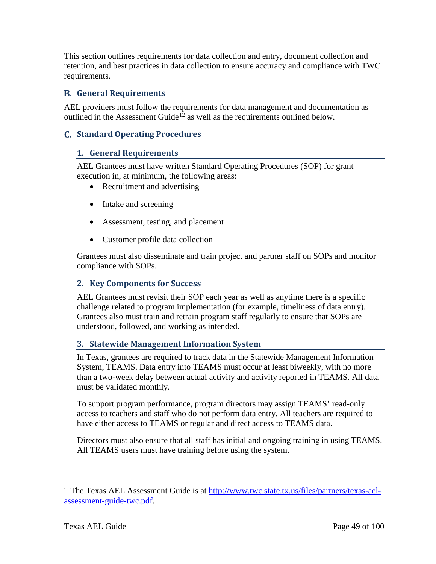This section outlines requirements for data collection and entry, document collection and retention, and best practices in data collection to ensure accuracy and compliance with TWC requirements.

## **General Requirements**

AEL providers must follow the requirements for data management and documentation as outlined in the Assessment Guide<sup>[12](#page-48-0)</sup> as well as the requirements outlined below.

## **Standard Operating Procedures**

#### **1. General Requirements**

AEL Grantees must have written Standard Operating Procedures (SOP) for grant execution in, at minimum, the following areas:

- Recruitment and advertising
- Intake and screening
- Assessment, testing, and placement
- Customer profile data collection

Grantees must also disseminate and train project and partner staff on SOPs and monitor compliance with SOPs.

#### **2. Key Components for Success**

AEL Grantees must revisit their SOP each year as well as anytime there is a specific challenge related to program implementation (for example, timeliness of data entry). Grantees also must train and retrain program staff regularly to ensure that SOPs are understood, followed, and working as intended.

#### **3. Statewide Management Information System**

In Texas, grantees are required to track data in the Statewide Management Information System, TEAMS. Data entry into TEAMS must occur at least biweekly, with no more than a two-week delay between actual activity and activity reported in TEAMS. All data must be validated monthly.

To support program performance, program directors may assign TEAMS' read-only access to teachers and staff who do not perform data entry. All teachers are required to have either access to TEAMS or regular and direct access to TEAMS data.

Directors must also ensure that all staff has initial and ongoing training in using TEAMS. All TEAMS users must have training before using the system.

<span id="page-48-0"></span><sup>12</sup> The Texas AEL Assessment Guide is at [http://www.twc.state.tx.us/files/partners/texas-ael](http://www.twc.state.tx.us/files/partners/texas-ael-assessment-guide-twc.pdf)[assessment-guide-twc.pdf.](http://www.twc.state.tx.us/files/partners/texas-ael-assessment-guide-twc.pdf)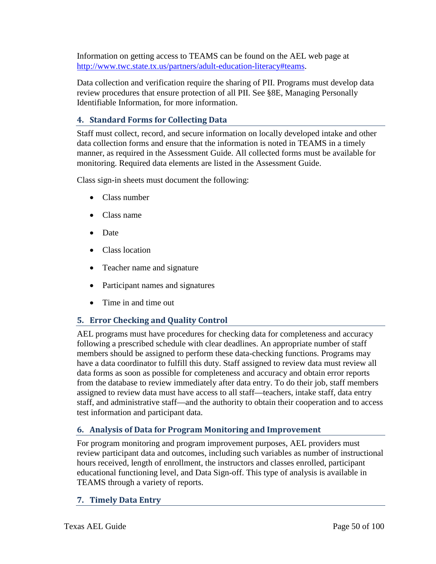Information on getting access to TEAMS can be found on the AEL web page at [http://www.twc.state.tx.us/partners/adult-education-literacy#teams.](http://www.twc.state.tx.us/partners/adult-education-literacy%23teams)

Data collection and verification require the sharing of PII. Programs must develop data review procedures that ensure protection of all PII. See §8E, Managing Personally Identifiable Information, for more information.

## **4. Standard Forms for Collecting Data**

Staff must collect, record, and secure information on locally developed intake and other data collection forms and ensure that the information is noted in TEAMS in a timely manner, as required in the Assessment Guide. All collected forms must be available for monitoring. Required data elements are listed in the Assessment Guide.

Class sign-in sheets must document the following:

- Class number
- Class name
- Date
- Class location
- Teacher name and signature
- Participant names and signatures
- Time in and time out

# **5. Error Checking and Quality Control**

AEL programs must have procedures for checking data for completeness and accuracy following a prescribed schedule with clear deadlines. An appropriate number of staff members should be assigned to perform these data-checking functions. Programs may have a data coordinator to fulfill this duty. Staff assigned to review data must review all data forms as soon as possible for completeness and accuracy and obtain error reports from the database to review immediately after data entry. To do their job, staff members assigned to review data must have access to all staff—teachers, intake staff, data entry staff, and administrative staff—and the authority to obtain their cooperation and to access test information and participant data.

# **6. Analysis of Data for Program Monitoring and Improvement**

For program monitoring and program improvement purposes, AEL providers must review participant data and outcomes, including such variables as number of instructional hours received, length of enrollment, the instructors and classes enrolled, participant educational functioning level, and Data Sign-off. This type of analysis is available in TEAMS through a variety of reports.

## **7. Timely Data Entry**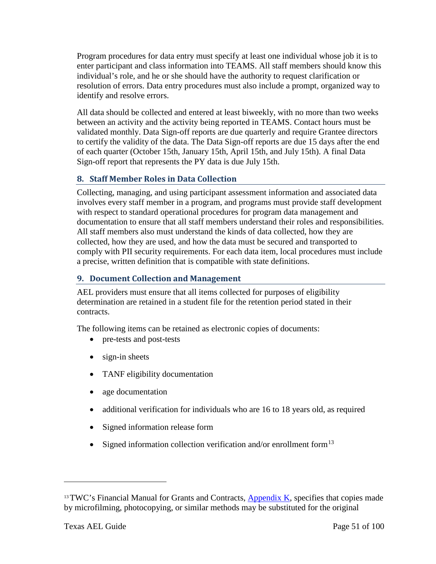Program procedures for data entry must specify at least one individual whose job it is to enter participant and class information into TEAMS. All staff members should know this individual's role, and he or she should have the authority to request clarification or resolution of errors. Data entry procedures must also include a prompt, organized way to identify and resolve errors.

All data should be collected and entered at least biweekly, with no more than two weeks between an activity and the activity being reported in TEAMS. Contact hours must be validated monthly. Data Sign-off reports are due quarterly and require Grantee directors to certify the validity of the data. The Data Sign-off reports are due 15 days after the end of each quarter (October 15th, January 15th, April 15th, and July 15th). A final Data Sign-off report that represents the PY data is due July 15th.

# **8. Staff Member Roles in Data Collection**

Collecting, managing, and using participant assessment information and associated data involves every staff member in a program, and programs must provide staff development with respect to standard operational procedures for program data management and documentation to ensure that all staff members understand their roles and responsibilities. All staff members also must understand the kinds of data collected, how they are collected, how they are used, and how the data must be secured and transported to comply with PII security requirements. For each data item, local procedures must include a precise, written definition that is compatible with state definitions.

## **9. Document Collection and Management**

AEL providers must ensure that all items collected for purposes of eligibility determination are retained in a student file for the retention period stated in their contracts.

The following items can be retained as electronic copies of documents:

- pre-tests and post-tests
- sign-in sheets
- TANF eligibility documentation
- age documentation
- additional verification for individuals who are 16 to 18 years old, as required
- Signed information release form
- Signed information collection verification and/or enrollment form $^{13}$  $^{13}$  $^{13}$

<span id="page-50-0"></span><sup>&</sup>lt;sup>13</sup>TWC's Financial Manual for Grants and Contracts, [Appendix K,](http://www.twc.state.tx.us/financial-manual-grants-contracts-appendix-k-record-retention-access-requirements) specifies that copies made by microfilming, photocopying, or similar methods may be substituted for the original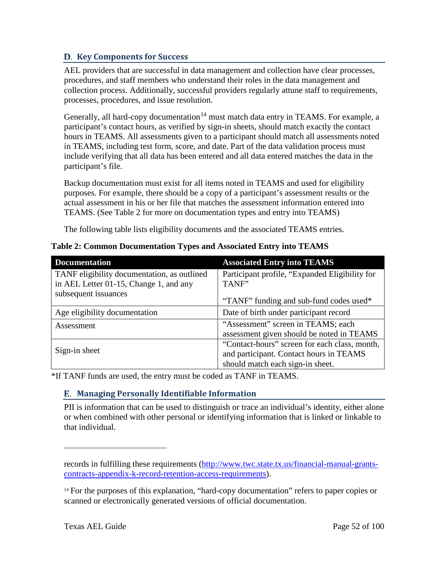## **D.** Key Components for Success

AEL providers that are successful in data management and collection have clear processes, procedures, and staff members who understand their roles in the data management and collection process. Additionally, successful providers regularly attune staff to requirements, processes, procedures, and issue resolution.

Generally, all hard-copy documentation<sup>[14](#page-51-0)</sup> must match data entry in TEAMS. For example, a participant's contact hours, as verified by sign-in sheets, should match exactly the contact hours in TEAMS. All assessments given to a participant should match all assessments noted in TEAMS, including test form, score, and date. Part of the data validation process must include verifying that all data has been entered and all data entered matches the data in the participant's file.

Backup documentation must exist for all items noted in TEAMS and used for eligibility purposes. For example, there should be a copy of a participant's assessment results or the actual assessment in his or her file that matches the assessment information entered into TEAMS. (See Table 2 for more on documentation types and entry into TEAMS)

The following table lists eligibility documents and the associated TEAMS entries.

| <b>Documentation</b>                        | <b>Associated Entry into TEAMS</b>             |
|---------------------------------------------|------------------------------------------------|
| TANF eligibility documentation, as outlined | Participant profile, "Expanded Eligibility for |
| in AEL Letter 01-15, Change 1, and any      | TANF"                                          |
| subsequent issuances                        | "TANF" funding and sub-fund codes used*        |
| Age eligibility documentation               | Date of birth under participant record         |
| Assessment                                  | "Assessment" screen in TEAMS; each             |
|                                             | assessment given should be noted in TEAMS      |
|                                             | "Contact-hours" screen for each class, month,  |
| Sign-in sheet                               | and participant. Contact hours in TEAMS        |
|                                             | should match each sign-in sheet.               |

**Table 2: Common Documentation Types and Associated Entry into TEAMS**

\*If TANF funds are used, the entry must be coded as TANF in TEAMS.

# **Managing Personally Identifiable Information**

PII is information that can be used to distinguish or trace an individual's identity, either alone or when combined with other personal or identifying information that is linked or linkable to that individual.

records in fulfilling these requirements [\(http://www.twc.state.tx.us/financial-manual-grants](http://www.twc.state.tx.us/financial-manual-grants-contracts-appendix-k-record-retention-access-requirements)[contracts-appendix-k-record-retention-access-requirements\)](http://www.twc.state.tx.us/financial-manual-grants-contracts-appendix-k-record-retention-access-requirements).

<span id="page-51-0"></span><sup>&</sup>lt;sup>14</sup> For the purposes of this explanation, "hard-copy documentation" refers to paper copies or scanned or electronically generated versions of official documentation.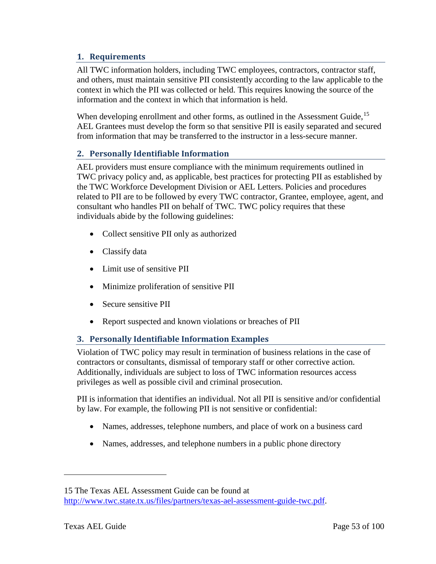## **1. Requirements**

All TWC information holders, including TWC employees, contractors, contractor staff, and others, must maintain sensitive PII consistently according to the law applicable to the context in which the PII was collected or held. This requires knowing the source of the information and the context in which that information is held.

When developing enrollment and other forms, as outlined in the Assessment Guide, <sup>[15](#page-52-0)</sup> AEL Grantees must develop the form so that sensitive PII is easily separated and secured from information that may be transferred to the instructor in a less-secure manner.

## **2. Personally Identifiable Information**

AEL providers must ensure compliance with the minimum requirements outlined in TWC privacy policy and, as applicable, best practices for protecting PII as established by the TWC Workforce Development Division or AEL Letters. Policies and procedures related to PII are to be followed by every TWC contractor, Grantee, employee, agent, and consultant who handles PII on behalf of TWC. TWC policy requires that these individuals abide by the following guidelines:

- Collect sensitive PII only as authorized
- Classify data
- Limit use of sensitive PII
- Minimize proliferation of sensitive PII
- Secure sensitive PII
- Report suspected and known violations or breaches of PII

## **3. Personally Identifiable Information Examples**

Violation of TWC policy may result in termination of business relations in the case of contractors or consultants, dismissal of temporary staff or other corrective action. Additionally, individuals are subject to loss of TWC information resources access privileges as well as possible civil and criminal prosecution.

PII is information that identifies an individual. Not all PII is sensitive and/or confidential by law. For example, the following PII is not sensitive or confidential:

- Names, addresses, telephone numbers, and place of work on a business card
- Names, addresses, and telephone numbers in a public phone directory

<span id="page-52-0"></span><sup>15</sup> The Texas AEL Assessment Guide can be found at [http://www.twc.state.tx.us/files/partners/texas-ael-assessment-guide-twc.pdf.](http://www.twc.state.tx.us/files/partners/texas-ael-assessment-guide-twc.pdf)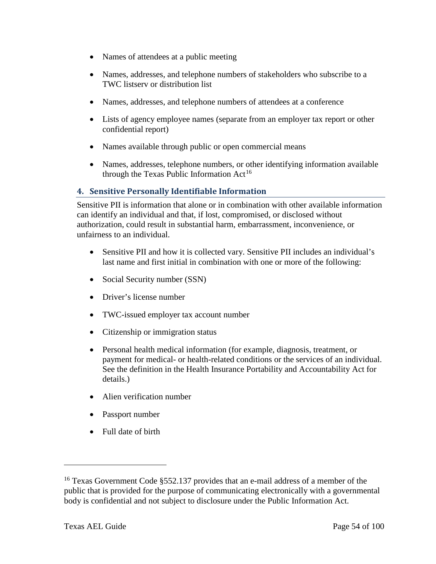- Names of attendees at a public meeting
- Names, addresses, and telephone numbers of stakeholders who subscribe to a TWC listserv or distribution list
- Names, addresses, and telephone numbers of attendees at a conference
- Lists of agency employee names (separate from an employer tax report or other confidential report)
- Names available through public or open commercial means
- Names, addresses, telephone numbers, or other identifying information available through the Texas Public Information  $Act^{16}$  $Act^{16}$  $Act^{16}$

## **4. Sensitive Personally Identifiable Information**

Sensitive PII is information that alone or in combination with other available information can identify an individual and that, if lost, compromised, or disclosed without authorization, could result in substantial harm, embarrassment, inconvenience, or unfairness to an individual.

- Sensitive PII and how it is collected vary. Sensitive PII includes an individual's last name and first initial in combination with one or more of the following:
- Social Security number (SSN)
- Driver's license number
- TWC-issued employer tax account number
- Citizenship or immigration status
- Personal health medical information (for example, diagnosis, treatment, or payment for medical- or health-related conditions or the services of an individual. See the definition in the Health Insurance Portability and Accountability Act for details.)
- Alien verification number
- Passport number
- Full date of birth

<span id="page-53-0"></span><sup>&</sup>lt;sup>16</sup> Texas Government Code §552.137 provides that an e-mail address of a member of the public that is provided for the purpose of communicating electronically with a governmental body is confidential and not subject to disclosure under the Public Information Act.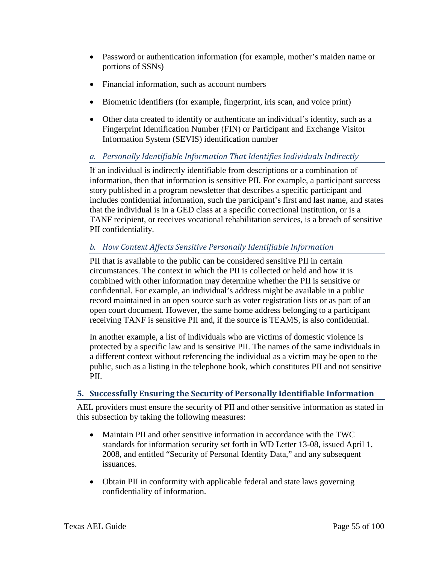- Password or authentication information (for example, mother's maiden name or portions of SSNs)
- Financial information, such as account numbers
- Biometric identifiers (for example, fingerprint, iris scan, and voice print)
- Other data created to identify or authenticate an individual's identity, such as a Fingerprint Identification Number (FIN) or Participant and Exchange Visitor Information System (SEVIS) identification number

## *a. Personally Identifiable Information That Identifies Individuals Indirectly*

If an individual is indirectly identifiable from descriptions or a combination of information, then that information is sensitive PII. For example, a participant success story published in a program newsletter that describes a specific participant and includes confidential information, such the participant's first and last name, and states that the individual is in a GED class at a specific correctional institution, or is a TANF recipient, or receives vocational rehabilitation services, is a breach of sensitive PII confidentiality.

## *b. How Context Affects Sensitive Personally Identifiable Information*

PII that is available to the public can be considered sensitive PII in certain circumstances. The context in which the PII is collected or held and how it is combined with other information may determine whether the PII is sensitive or confidential. For example, an individual's address might be available in a public record maintained in an open source such as voter registration lists or as part of an open court document. However, the same home address belonging to a participant receiving TANF is sensitive PII and, if the source is TEAMS, is also confidential.

In another example, a list of individuals who are victims of domestic violence is protected by a specific law and is sensitive PII. The names of the same individuals in a different context without referencing the individual as a victim may be open to the public, such as a listing in the telephone book, which constitutes PII and not sensitive PII.

## **5. Successfully Ensuring the Security of Personally Identifiable Information**

AEL providers must ensure the security of PII and other sensitive information as stated in this subsection by taking the following measures:

- Maintain PII and other sensitive information in accordance with the TWC standards for information security set forth in WD Letter 13-08, issued April 1, 2008, and entitled "Security of Personal Identity Data," and any subsequent issuances.
- Obtain PII in conformity with applicable federal and state laws governing confidentiality of information.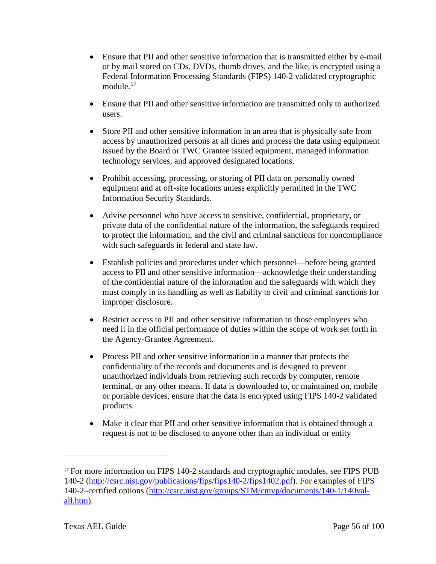- Ensure that PII and other sensitive information that is transmitted either by e-mail or by mail stored on CDs, DVDs, thumb drives, and the like, is encrypted using a Federal Information Processing Standards (FIPS) 140-2 validated cryptographic module.<sup>[17](#page-55-0)</sup>
- Ensure that PII and other sensitive information are transmitted only to authorized users.
- Store PII and other sensitive information in an area that is physically safe from access by unauthorized persons at all times and process the data using equipment issued by the Board or TWC Grantee issued equipment, managed information technology services, and approved designated locations.
- Prohibit accessing, processing, or storing of PII data on personally owned equipment and at off-site locations unless explicitly permitted in the TWC Information Security Standards.
- Advise personnel who have access to sensitive, confidential, proprietary, or private data of the confidential nature of the information, the safeguards required to protect the information, and the civil and criminal sanctions for noncompliance with such safeguards in federal and state law.
- Establish policies and procedures under which personnel—before being granted access to PII and other sensitive information—acknowledge their understanding of the confidential nature of the information and the safeguards with which they must comply in its handling as well as liability to civil and criminal sanctions for improper disclosure.
- Restrict access to PII and other sensitive information to those employees who need it in the official performance of duties within the scope of work set forth in the Agency-Grantee Agreement.
- Process PII and other sensitive information in a manner that protects the confidentiality of the records and documents and is designed to prevent unauthorized individuals from retrieving such records by computer, remote terminal, or any other means. If data is downloaded to, or maintained on, mobile or portable devices, ensure that the data is encrypted using FIPS 140-2 validated products.
- Make it clear that PII and other sensitive information that is obtained through a request is not to be disclosed to anyone other than an individual or entity

<span id="page-55-0"></span><sup>&</sup>lt;sup>17</sup> For more information on FIPS 140-2 standards and cryptographic modules, see FIPS PUB 140-2 [\(http://csrc.nist.gov/publications/fips/fips140-2/fips1402.pdf\)](http://csrc.nist.gov/publications/fips/fips140-2/fips1402.pdf). For examples of FIPS 140-2–certified options [\(http://csrc.nist.gov/groups/STM/cmvp/documents/140-1/140val](http://csrc.nist.gov/groups/STM/cmvp/documents/140-1/140val-all.htm)[all.htm\)](http://csrc.nist.gov/groups/STM/cmvp/documents/140-1/140val-all.htm).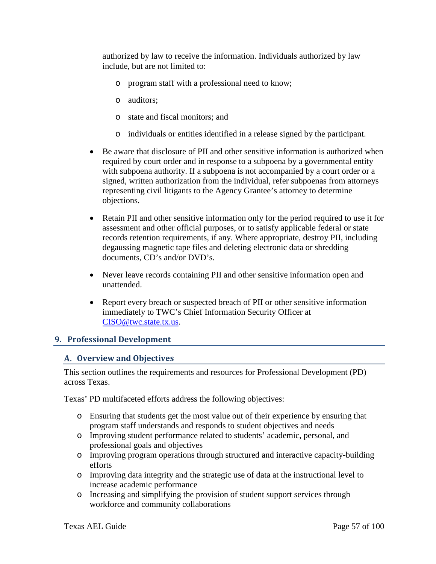authorized by law to receive the information. Individuals authorized by law include, but are not limited to:

- o program staff with a professional need to know;
- o auditors;
- o state and fiscal monitors; and
- o individuals or entities identified in a release signed by the participant.
- Be aware that disclosure of PII and other sensitive information is authorized when required by court order and in response to a subpoena by a governmental entity with subpoena authority. If a subpoena is not accompanied by a court order or a signed, written authorization from the individual, refer subpoenas from attorneys representing civil litigants to the Agency Grantee's attorney to determine objections.
- Retain PII and other sensitive information only for the period required to use it for assessment and other official purposes, or to satisfy applicable federal or state records retention requirements, if any. Where appropriate, destroy PII, including degaussing magnetic tape files and deleting electronic data or shredding documents, CD's and/or DVD's.
- Never leave records containing PII and other sensitive information open and unattended.
- Report every breach or suspected breach of PII or other sensitive information immediately to TWC's Chief Information Security Officer at [CISO@twc.state.tx.us.](mailto:CISO@twc.state.tx.us)

## **9. Professional Development**

## **Overview and Objectives**

This section outlines the requirements and resources for Professional Development (PD) across Texas.

Texas' PD multifaceted efforts address the following objectives:

- o Ensuring that students get the most value out of their experience by ensuring that program staff understands and responds to student objectives and needs
- o Improving student performance related to students' academic, personal, and professional goals and objectives
- o Improving program operations through structured and interactive capacity-building efforts
- o Improving data integrity and the strategic use of data at the instructional level to increase academic performance
- o Increasing and simplifying the provision of student support services through workforce and community collaborations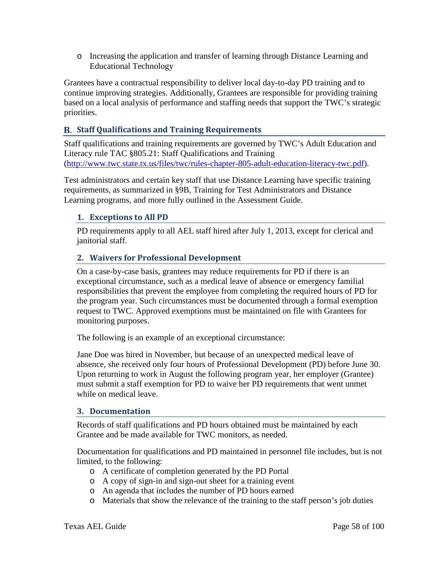o Increasing the application and transfer of learning through Distance Learning and Educational Technology

Grantees have a contractual responsibility to deliver local day-to-day PD training and to continue improving strategies. Additionally, Grantees are responsible for providing training based on a local analysis of performance and staffing needs that support the TWC's strategic priorities.

## **Staff Qualifications and Training Requirements**

Staff qualifications and training requirements are governed by TWC's Adult Education and Literacy rule TAC §805.21: Staff Qualifications and Training [\(http://www.twc.state.tx.us/files/twc/rules-chapter-805-adult-education-literacy-twc.pdf\)](http://www.twc.state.tx.us/files/twc/rules-chapter-805-adult-education-literacy-twc.pdf).

Test administrators and certain key staff that use Distance Learning have specific training requirements, as summarized in §9B, Training for Test Administrators and Distance Learning programs, and more fully outlined in the Assessment Guide.

## **1. Exceptions to All PD**

PD requirements apply to all AEL staff hired after July 1, 2013, except for clerical and janitorial staff.

## **2. Waivers for Professional Development**

On a case-by-case basis, grantees may reduce requirements for PD if there is an exceptional circumstance, such as a medical leave of absence or emergency familial responsibilities that prevent the employee from completing the required hours of PD for the program year. Such circumstances must be documented through a formal exemption request to TWC. Approved exemptions must be maintained on file with Grantees for monitoring purposes.

The following is an example of an exceptional circumstance:

Jane Doe was hired in November, but because of an unexpected medical leave of absence, she received only four hours of Professional Development (PD) before June 30. Upon returning to work in August the following program year, her employer (Grantee) must submit a staff exemption for PD to waive her PD requirements that went unmet while on medical leave.

#### **3. Documentation**

Records of staff qualifications and PD hours obtained must be maintained by each Grantee and be made available for TWC monitors, as needed.

Documentation for qualifications and PD maintained in personnel file includes, but is not limited, to the following:

- o A certificate of completion generated by the PD Portal
- o A copy of sign-in and sign-out sheet for a training event
- o An agenda that includes the number of PD hours earned
- o Materials that show the relevance of the training to the staff person's job duties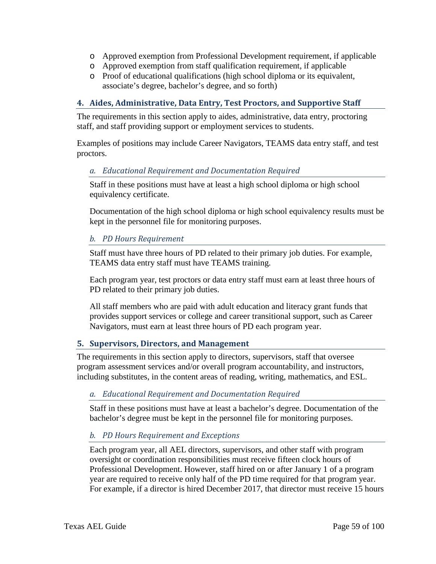- o Approved exemption from Professional Development requirement, if applicable
- o Approved exemption from staff qualification requirement, if applicable
- o Proof of educational qualifications (high school diploma or its equivalent, associate's degree, bachelor's degree, and so forth)

#### **4. Aides, Administrative, Data Entry, Test Proctors, and Supportive Staff**

The requirements in this section apply to aides, administrative, data entry, proctoring staff, and staff providing support or employment services to students.

Examples of positions may include Career Navigators, TEAMS data entry staff, and test proctors.

#### *a. Educational Requirement and Documentation Required*

Staff in these positions must have at least a high school diploma or high school equivalency certificate.

Documentation of the high school diploma or high school equivalency results must be kept in the personnel file for monitoring purposes.

#### *b. PD Hours Requirement*

Staff must have three hours of PD related to their primary job duties. For example, TEAMS data entry staff must have TEAMS training.

Each program year, test proctors or data entry staff must earn at least three hours of PD related to their primary job duties.

All staff members who are paid with adult education and literacy grant funds that provides support services or college and career transitional support, such as Career Navigators, must earn at least three hours of PD each program year.

#### **5. Supervisors, Directors, and Management**

The requirements in this section apply to directors, supervisors, staff that oversee program assessment services and/or overall program accountability, and instructors, including substitutes, in the content areas of reading, writing, mathematics, and ESL.

#### *a. Educational Requirement and Documentation Required*

Staff in these positions must have at least a bachelor's degree. Documentation of the bachelor's degree must be kept in the personnel file for monitoring purposes.

#### *b. PD Hours Requirement and Exceptions*

Each program year, all AEL directors, supervisors, and other staff with program oversight or coordination responsibilities must receive fifteen clock hours of Professional Development. However, staff hired on or after January 1 of a program year are required to receive only half of the PD time required for that program year. For example, if a director is hired December 2017, that director must receive 15 hours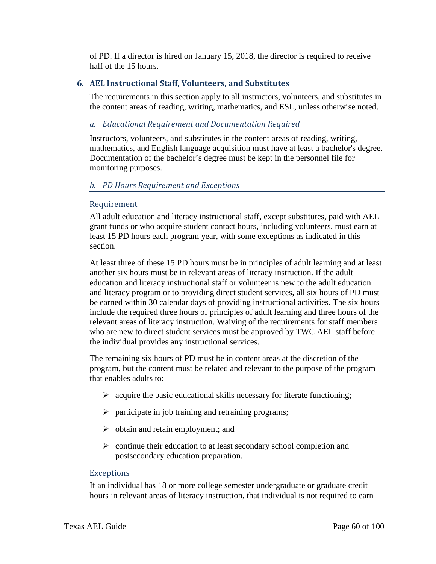of PD. If a director is hired on January 15, 2018, the director is required to receive half of the 15 hours.

#### **6. AEL Instructional Staff, Volunteers, and Substitutes**

The requirements in this section apply to all instructors, volunteers, and substitutes in the content areas of reading, writing, mathematics, and ESL, unless otherwise noted.

#### *a. Educational Requirement and Documentation Required*

Instructors, volunteers, and substitutes in the content areas of reading, writing, mathematics, and English language acquisition must have at least a bachelor's degree. Documentation of the bachelor's degree must be kept in the personnel file for monitoring purposes.

#### *b. PD Hours Requirement and Exceptions*

#### Requirement

All adult education and literacy instructional staff, except substitutes, paid with AEL grant funds or who acquire student contact hours, including volunteers, must earn at least 15 PD hours each program year, with some exceptions as indicated in this section.

At least three of these 15 PD hours must be in principles of adult learning and at least another six hours must be in relevant areas of literacy instruction. If the adult education and literacy instructional staff or volunteer is new to the adult education and literacy program or to providing direct student services, all six hours of PD must be earned within 30 calendar days of providing instructional activities. The six hours include the required three hours of principles of adult learning and three hours of the relevant areas of literacy instruction. Waiving of the requirements for staff members who are new to direct student services must be approved by TWC AEL staff before the individual provides any instructional services.

The remaining six hours of PD must be in content areas at the discretion of the program, but the content must be related and relevant to the purpose of the program that enables adults to:

- $\triangleright$  acquire the basic educational skills necessary for literate functioning;
- $\triangleright$  participate in job training and retraining programs;
- $\triangleright$  obtain and retain employment; and
- $\triangleright$  continue their education to at least secondary school completion and postsecondary education preparation.

#### Exceptions

If an individual has 18 or more college semester undergraduate or graduate credit hours in relevant areas of literacy instruction, that individual is not required to earn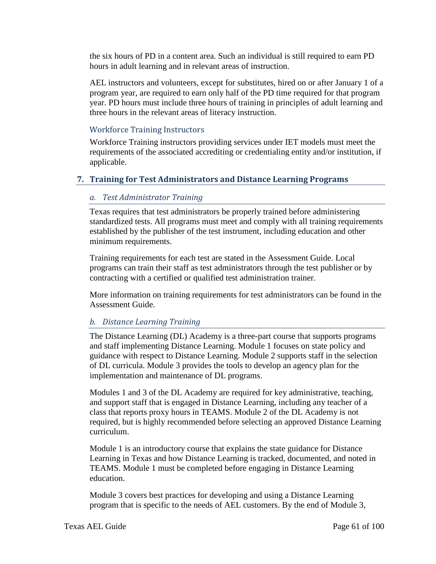the six hours of PD in a content area. Such an individual is still required to earn PD hours in adult learning and in relevant areas of instruction.

AEL instructors and volunteers, except for substitutes, hired on or after January 1 of a program year, are required to earn only half of the PD time required for that program year. PD hours must include three hours of training in principles of adult learning and three hours in the relevant areas of literacy instruction.

#### Workforce Training Instructors

Workforce Training instructors providing services under IET models must meet the requirements of the associated accrediting or credentialing entity and/or institution, if applicable.

## **7. Training for Test Administrators and Distance Learning Programs**

#### *a. Test Administrator Training*

Texas requires that test administrators be properly trained before administering standardized tests. All programs must meet and comply with all training requirements established by the publisher of the test instrument, including education and other minimum requirements.

Training requirements for each test are stated in the Assessment Guide. Local programs can train their staff as test administrators through the test publisher or by contracting with a certified or qualified test administration trainer.

More information on training requirements for test administrators can be found in the Assessment Guide.

#### *b. Distance Learning Training*

The Distance Learning (DL) Academy is a three-part course that supports programs and staff implementing Distance Learning. Module 1 focuses on state policy and guidance with respect to Distance Learning. Module 2 supports staff in the selection of DL curricula. Module 3 provides the tools to develop an agency plan for the implementation and maintenance of DL programs.

Modules 1 and 3 of the DL Academy are required for key administrative, teaching, and support staff that is engaged in Distance Learning, including any teacher of a class that reports proxy hours in TEAMS. Module 2 of the DL Academy is not required, but is highly recommended before selecting an approved Distance Learning curriculum.

Module 1 is an introductory course that explains the state guidance for Distance Learning in Texas and how Distance Learning is tracked, documented, and noted in TEAMS. Module 1 must be completed before engaging in Distance Learning education.

Module 3 covers best practices for developing and using a Distance Learning program that is specific to the needs of AEL customers. By the end of Module 3,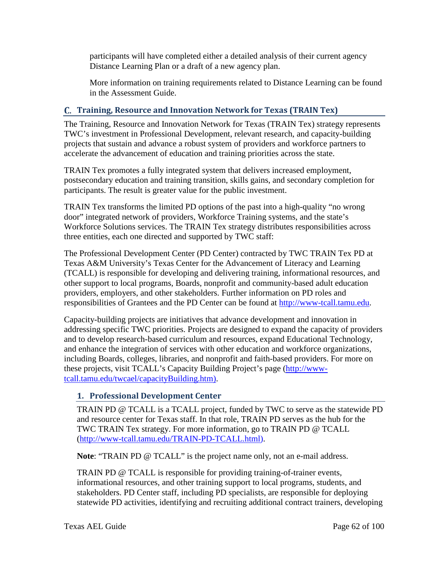participants will have completed either a detailed analysis of their current agency Distance Learning Plan or a draft of a new agency plan.

More information on training requirements related to Distance Learning can be found in the Assessment Guide.

# **Training, Resource and Innovation Network for Texas (TRAIN Tex)**

The Training, Resource and Innovation Network for Texas (TRAIN Tex) strategy represents TWC's investment in Professional Development, relevant research, and capacity-building projects that sustain and advance a robust system of providers and workforce partners to accelerate the advancement of education and training priorities across the state.

TRAIN Tex promotes a fully integrated system that delivers increased employment, postsecondary education and training transition, skills gains, and secondary completion for participants. The result is greater value for the public investment.

TRAIN Tex transforms the limited PD options of the past into a high-quality "no wrong door" integrated network of providers, Workforce Training systems, and the state's Workforce Solutions services. The TRAIN Tex strategy distributes responsibilities across three entities, each one directed and supported by TWC staff:

The Professional Development Center (PD Center) contracted by TWC TRAIN Tex PD at Texas A&M University's Texas Center for the Advancement of Literacy and Learning (TCALL) is responsible for developing and delivering training, informational resources, and other support to local programs, Boards, nonprofit and community-based adult education providers, employers, and other stakeholders. Further information on PD roles and responsibilities of Grantees and the PD Center can be found at [http://www-tcall.tamu.edu.](http://www-tcall.tamu.edu/)

Capacity-building projects are initiatives that advance development and innovation in addressing specific TWC priorities. Projects are designed to expand the capacity of providers and to develop research-based curriculum and resources, expand Educational Technology, and enhance the integration of services with other education and workforce organizations, including Boards, colleges, libraries, and nonprofit and faith-based providers. For more on these projects, visit TCALL's Capacity Building Project's page [\(http://www](http://www-tcall.tamu.edu/twcael/capacityBuilding.htm)[tcall.tamu.edu/twcael/capacityBuilding.htm\)](http://www-tcall.tamu.edu/twcael/capacityBuilding.htm).

# **1. Professional Development Center**

TRAIN PD @ TCALL is a TCALL project, funded by TWC to serve as the statewide PD and resource center for Texas staff. In that role, TRAIN PD serves as the hub for the TWC TRAIN Tex strategy. For more information, go to TRAIN PD @ TCALL [\(http://www-tcall.tamu.edu/TRAIN-PD-TCALL.html\)](http://www-tcall.tamu.edu/TRAIN-PD-TCALL.html).

**Note: "TRAIN PD @ TCALL" is the project name only, not an e-mail address.** 

TRAIN PD @ TCALL is responsible for providing training-of-trainer events, informational resources, and other training support to local programs, students, and stakeholders. PD Center staff, including PD specialists, are responsible for deploying statewide PD activities, identifying and recruiting additional contract trainers, developing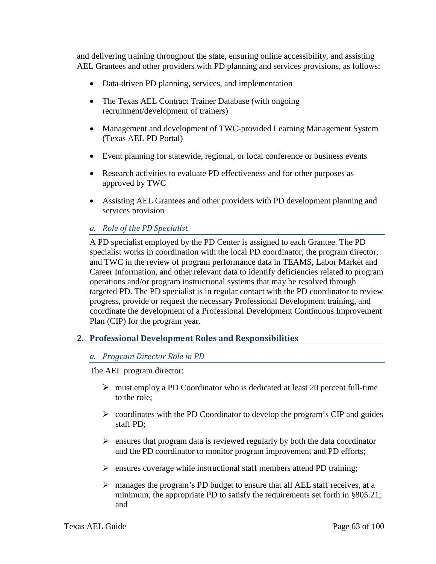and delivering training throughout the state, ensuring online accessibility, and assisting AEL Grantees and other providers with PD planning and services provisions, as follows:

- Data-driven PD planning, services, and implementation
- The Texas AEL Contract Trainer Database (with ongoing recruitment/development of trainers)
- Management and development of TWC-provided Learning Management System (Texas AEL PD Portal)
- Event planning for statewide, regional, or local conference or business events
- Research activities to evaluate PD effectiveness and for other purposes as approved by TWC
- Assisting AEL Grantees and other providers with PD development planning and services provision

## *a. Role of the PD Specialist*

A PD specialist employed by the PD Center is assigned to each Grantee. The PD specialist works in coordination with the local PD coordinator, the program director, and TWC in the review of program performance data in TEAMS, Labor Market and Career Information, and other relevant data to identify deficiencies related to program operations and/or program instructional systems that may be resolved through targeted PD. The PD specialist is in regular contact with the PD coordinator to review progress, provide or request the necessary Professional Development training, and coordinate the development of a Professional Development Continuous Improvement Plan (CIP) for the program year.

## **2. Professional Development Roles and Responsibilities**

#### *a. Program Director Role in PD*

The AEL program director:

- $\triangleright$  must employ a PD Coordinator who is dedicated at least 20 percent full-time to the role;
- $\triangleright$  coordinates with the PD Coordinator to develop the program's CIP and guides staff PD;
- $\triangleright$  ensures that program data is reviewed regularly by both the data coordinator and the PD coordinator to monitor program improvement and PD efforts;
- $\triangleright$  ensures coverage while instructional staff members attend PD training;
- $\triangleright$  manages the program's PD budget to ensure that all AEL staff receives, at a minimum, the appropriate PD to satisfy the requirements set forth in §805.21; and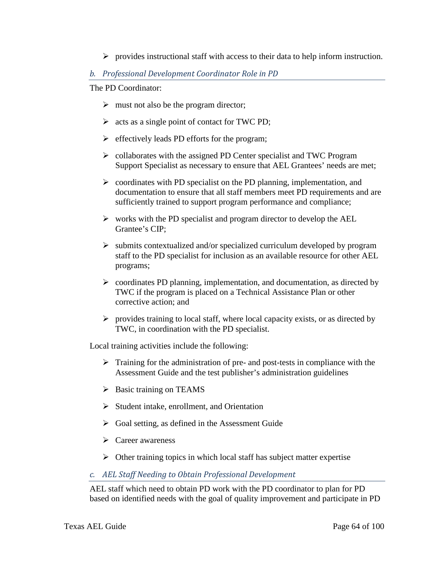$\triangleright$  provides instructional staff with access to their data to help inform instruction.

#### *b. Professional Development Coordinator Role in PD*

The PD Coordinator:

- $\triangleright$  must not also be the program director;
- $\triangleright$  acts as a single point of contact for TWC PD;
- $\triangleright$  effectively leads PD efforts for the program;
- $\triangleright$  collaborates with the assigned PD Center specialist and TWC Program Support Specialist as necessary to ensure that AEL Grantees' needs are met;
- $\triangleright$  coordinates with PD specialist on the PD planning, implementation, and documentation to ensure that all staff members meet PD requirements and are sufficiently trained to support program performance and compliance;
- $\triangleright$  works with the PD specialist and program director to develop the AEL Grantee's CIP;
- $\triangleright$  submits contextualized and/or specialized curriculum developed by program staff to the PD specialist for inclusion as an available resource for other AEL programs;
- $\triangleright$  coordinates PD planning, implementation, and documentation, as directed by TWC if the program is placed on a Technical Assistance Plan or other corrective action; and
- $\triangleright$  provides training to local staff, where local capacity exists, or as directed by TWC, in coordination with the PD specialist.

Local training activities include the following:

- $\triangleright$  Training for the administration of pre- and post-tests in compliance with the Assessment Guide and the test publisher's administration guidelines
- $\triangleright$  Basic training on TEAMS
- $\triangleright$  Student intake, enrollment, and Orientation
- $\triangleright$  Goal setting, as defined in the Assessment Guide
- $\triangleright$  Career awareness
- $\triangleright$  Other training topics in which local staff has subject matter expertise
- *c. AEL Staff Needing to Obtain Professional Development*

AEL staff which need to obtain PD work with the PD coordinator to plan for PD based on identified needs with the goal of quality improvement and participate in PD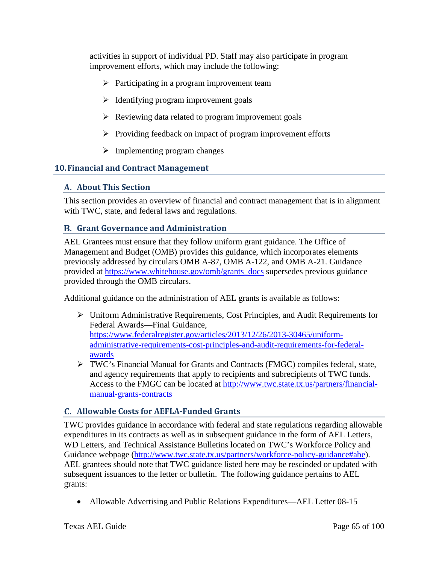activities in support of individual PD. Staff may also participate in program improvement efforts, which may include the following:

- $\triangleright$  Participating in a program improvement team
- $\triangleright$  Identifying program improvement goals
- $\triangleright$  Reviewing data related to program improvement goals
- $\triangleright$  Providing feedback on impact of program improvement efforts
- $\triangleright$  Implementing program changes

## **10.Financial and Contract Management**

## **About This Section**

This section provides an overview of financial and contract management that is in alignment with TWC, state, and federal laws and regulations.

## **Grant Governance and Administration**

AEL Grantees must ensure that they follow uniform grant guidance. The Office of Management and Budget (OMB) provides this guidance, which incorporates elements previously addressed by circulars OMB A-87, OMB A-122, and OMB A-21. Guidance provided at [https://www.whitehouse.gov/omb/grants\\_docs](https://www.whitehouse.gov/omb/grants_docs) supersedes previous guidance provided through the OMB circulars.

Additional guidance on the administration of AEL grants is available as follows:

- Uniform Administrative Requirements, Cost Principles, and Audit Requirements for Federal Awards—Final Guidance, [https://www.federalregister.gov/articles/2013/12/26/2013-30465/uniform](https://www.federalregister.gov/articles/2013/12/26/2013-30465/uniform-administrative-requirements-cost-principles-and-audit-requirements-for-federal-awards)[administrative-requirements-cost-principles-and-audit-requirements-for-federal](https://www.federalregister.gov/articles/2013/12/26/2013-30465/uniform-administrative-requirements-cost-principles-and-audit-requirements-for-federal-awards)[awards](https://www.federalregister.gov/articles/2013/12/26/2013-30465/uniform-administrative-requirements-cost-principles-and-audit-requirements-for-federal-awards)
- TWC's Financial Manual for Grants and Contracts (FMGC) compiles federal, state, and agency requirements that apply to recipients and subrecipients of TWC funds. Access to the FMGC can be located at [http://www.twc.state.tx.us/partners/financial](http://www.twc.state.tx.us/partners/financial-manual-grants-contracts)[manual-grants-contracts](http://www.twc.state.tx.us/partners/financial-manual-grants-contracts)

# **Allowable Costs for AEFLA-Funded Grants**

TWC provides guidance in accordance with federal and state regulations regarding allowable expenditures in its contracts as well as in subsequent guidance in the form of AEL Letters, WD Letters, and Technical Assistance Bulletins located on TWC's Workforce Policy and Guidance webpage [\(http://www.twc.state.tx.us/partners/workforce-policy-guidance#abe\)](http://www.twc.state.tx.us/partners/workforce-policy-guidance#abe). AEL grantees should note that TWC guidance listed here may be rescinded or updated with subsequent issuances to the letter or bulletin. The following guidance pertains to AEL grants:

• Allowable Advertising and Public Relations Expenditures—AEL Letter 08-15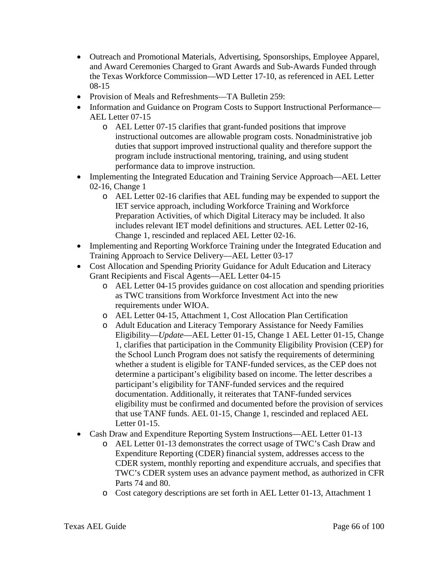- Outreach and Promotional Materials, Advertising, Sponsorships, Employee Apparel, and Award Ceremonies Charged to Grant Awards and Sub-Awards Funded through the Texas Workforce Commission—WD Letter 17-10, as referenced in AEL Letter 08-15
- Provision of Meals and Refreshments—TA Bulletin 259:
- Information and Guidance on Program Costs to Support Instructional Performance— AEL Letter 07-15
	- o AEL Letter 07-15 clarifies that grant-funded positions that improve instructional outcomes are allowable program costs. Nonadministrative job duties that support improved instructional quality and therefore support the program include instructional mentoring, training, and using student performance data to improve instruction.
- Implementing the Integrated Education and Training Service Approach—AEL Letter 02-16, Change 1
	- o AEL Letter 02-16 clarifies that AEL funding may be expended to support the IET service approach, including Workforce Training and Workforce Preparation Activities, of which Digital Literacy may be included. It also includes relevant IET model definitions and structures. AEL Letter 02-16, Change 1, rescinded and replaced AEL Letter 02-16.
- Implementing and Reporting Workforce Training under the Integrated Education and Training Approach to Service Delivery—AEL Letter 03-17
- Cost Allocation and Spending Priority Guidance for Adult Education and Literacy Grant Recipients and Fiscal Agents—AEL Letter 04-15
	- o AEL Letter 04-15 provides guidance on cost allocation and spending priorities as TWC transitions from Workforce Investment Act into the new requirements under WIOA.
	- o AEL Letter 04-15, Attachment 1, Cost Allocation Plan Certification
	- o Adult Education and Literacy Temporary Assistance for Needy Families Eligibility—*Update*—AEL Letter 01-15, Change 1 AEL Letter 01-15, Change 1, clarifies that participation in the Community Eligibility Provision (CEP) for the School Lunch Program does not satisfy the requirements of determining whether a student is eligible for TANF-funded services, as the CEP does not determine a participant's eligibility based on income. The letter describes a participant's eligibility for TANF-funded services and the required documentation. Additionally, it reiterates that TANF-funded services eligibility must be confirmed and documented before the provision of services that use TANF funds. AEL 01-15, Change 1, rescinded and replaced AEL Letter 01-15.
- Cash Draw and Expenditure Reporting System Instructions—AEL Letter 01-13
	- o AEL Letter 01-13 demonstrates the correct usage of TWC's Cash Draw and Expenditure Reporting (CDER) financial system, addresses access to the CDER system, monthly reporting and expenditure accruals, and specifies that TWC's CDER system uses an advance payment method, as authorized in CFR Parts 74 and 80.
	- o Cost category descriptions are set forth in AEL Letter 01-13, Attachment 1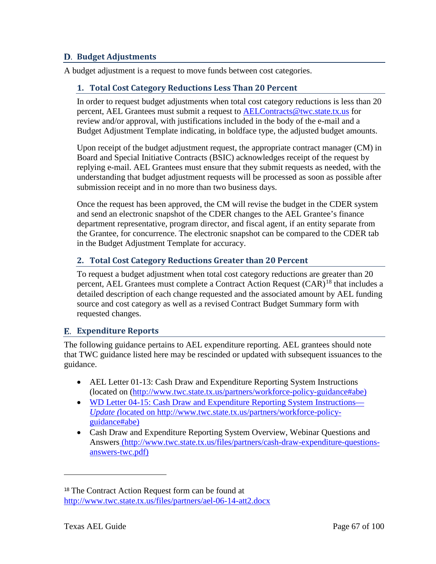## **Budget Adjustments**

A budget adjustment is a request to move funds between cost categories.

## **1. Total Cost Category Reductions Less Than 20 Percent**

In order to request budget adjustments when total cost category reductions is less than 20 percent, AEL Grantees must submit a request to [AELContracts@twc.state.tx.us](mailto:AELContracts@twc.state.tx.us) for review and/or approval, with justifications included in the body of the e-mail and a Budget Adjustment Template indicating, in boldface type, the adjusted budget amounts.

Upon receipt of the budget adjustment request, the appropriate contract manager (CM) in Board and Special Initiative Contracts (BSIC) acknowledges receipt of the request by replying e-mail. AEL Grantees must ensure that they submit requests as needed, with the understanding that budget adjustment requests will be processed as soon as possible after submission receipt and in no more than two business days.

Once the request has been approved, the CM will revise the budget in the CDER system and send an electronic snapshot of the CDER changes to the AEL Grantee's finance department representative, program director, and fiscal agent, if an entity separate from the Grantee, for concurrence. The electronic snapshot can be compared to the CDER tab in the Budget Adjustment Template for accuracy.

# **2. Total Cost Category Reductions Greater than 20 Percent**

To request a budget adjustment when total cost category reductions are greater than 20 percent, AEL Grantees must complete a Contract Action Request  $(CAR)^{18}$  $(CAR)^{18}$  $(CAR)^{18}$  that includes a detailed description of each change requested and the associated amount by AEL funding source and cost category as well as a revised Contract Budget Summary form with requested changes.

# **Expenditure Reports**

The following guidance pertains to AEL expenditure reporting. AEL grantees should note that TWC guidance listed here may be rescinded or updated with subsequent issuances to the guidance.

- AEL Letter 01-13: Cash Draw and Expenditure Reporting System Instructions (located on [\(http://www.twc.state.tx.us/partners/workforce-policy-guidance#abe\)](http://www.twc.state.tx.us/partners/workforce-policy-guidance#abe)
- WD Letter 04-15: Cash Draw and Expenditure Reporting System Instructions— *Update (*located on [http://www.twc.state.tx.us/partners/workforce-policy](http://www.twc.state.tx.us/partners/workforce-policy-guidance#abe)[guidance#abe\)](http://www.twc.state.tx.us/partners/workforce-policy-guidance#abe)
- Cash Draw and Expenditure Reporting System Overview, Webinar Questions and Answers [\(http://www.twc.state.tx.us/files/partners/cash-draw-expenditure-questions](http://www.twc.state.tx.us/files/partners/cash-draw-expenditure-questions-answers-twc.pdf)[answers-twc.pdf\)](http://www.twc.state.tx.us/files/partners/cash-draw-expenditure-questions-answers-twc.pdf)

<span id="page-66-0"></span><sup>18</sup> The Contract Action Request form can be found at <http://www.twc.state.tx.us/files/partners/ael-06-14-att2.docx>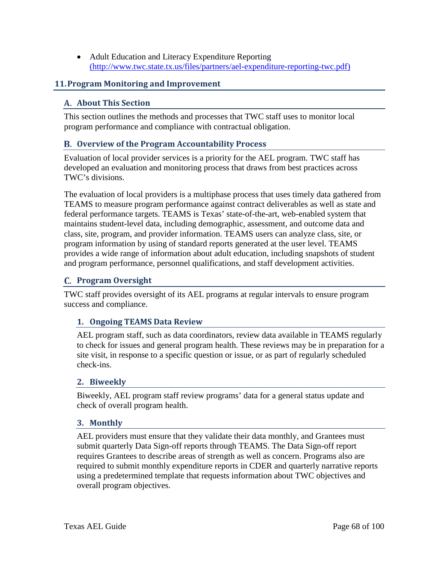• Adult Education and Literacy Expenditure Reporting [\(http://www.twc.state.tx.us/files/partners/ael-expenditure-reporting-twc.pdf\)](http://www.twc.state.tx.us/files/partners/ael-expenditure-reporting-twc.pdf)

## **11.Program Monitoring and Improvement**

#### **About This Section**

This section outlines the methods and processes that TWC staff uses to monitor local program performance and compliance with contractual obligation.

## **Overview of the Program Accountability Process**

Evaluation of local provider services is a priority for the AEL program. TWC staff has developed an evaluation and monitoring process that draws from best practices across TWC's divisions.

The evaluation of local providers is a multiphase process that uses timely data gathered from TEAMS to measure program performance against contract deliverables as well as state and federal performance targets. TEAMS is Texas' state-of-the-art, web-enabled system that maintains student-level data, including demographic, assessment, and outcome data and class, site, program, and provider information. TEAMS users can analyze class, site, or program information by using of standard reports generated at the user level. TEAMS provides a wide range of information about adult education, including snapshots of student and program performance, personnel qualifications, and staff development activities.

## **Program Oversight**

TWC staff provides oversight of its AEL programs at regular intervals to ensure program success and compliance.

#### **1. Ongoing TEAMS Data Review**

AEL program staff, such as data coordinators, review data available in TEAMS regularly to check for issues and general program health. These reviews may be in preparation for a site visit, in response to a specific question or issue, or as part of regularly scheduled check-ins.

#### **2. Biweekly**

Biweekly, AEL program staff review programs' data for a general status update and check of overall program health.

#### **3. Monthly**

AEL providers must ensure that they validate their data monthly, and Grantees must submit quarterly Data Sign-off reports through TEAMS. The Data Sign-off report requires Grantees to describe areas of strength as well as concern. Programs also are required to submit monthly expenditure reports in CDER and quarterly narrative reports using a predetermined template that requests information about TWC objectives and overall program objectives.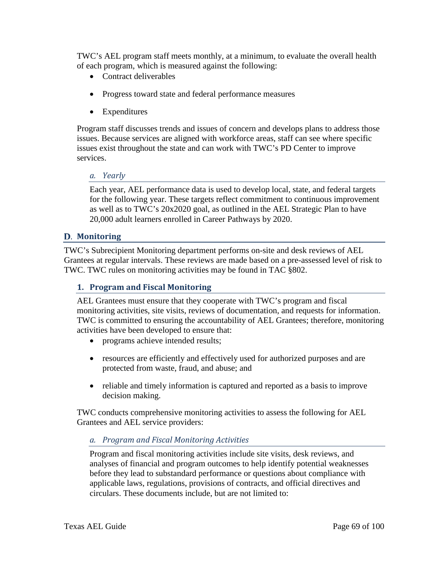TWC's AEL program staff meets monthly, at a minimum, to evaluate the overall health of each program, which is measured against the following:

- Contract deliverables
- Progress toward state and federal performance measures
- Expenditures

Program staff discusses trends and issues of concern and develops plans to address those issues. Because services are aligned with workforce areas, staff can see where specific issues exist throughout the state and can work with TWC's PD Center to improve services.

#### *a. Yearly*

Each year, AEL performance data is used to develop local, state, and federal targets for the following year. These targets reflect commitment to continuous improvement as well as to TWC's 20x2020 goal, as outlined in the AEL Strategic Plan to have 20,000 adult learners enrolled in Career Pathways by 2020.

## **Monitoring**

TWC's Subrecipient Monitoring department performs on-site and desk reviews of AEL Grantees at regular intervals. These reviews are made based on a pre-assessed level of risk to TWC. TWC rules on monitoring activities may be found in TAC §802.

## **1. Program and Fiscal Monitoring**

AEL Grantees must ensure that they cooperate with TWC's program and fiscal monitoring activities, site visits, reviews of documentation, and requests for information. TWC is committed to ensuring the accountability of AEL Grantees; therefore, monitoring activities have been developed to ensure that:

- programs achieve intended results;
- resources are efficiently and effectively used for authorized purposes and are protected from waste, fraud, and abuse; and
- reliable and timely information is captured and reported as a basis to improve decision making.

TWC conducts comprehensive monitoring activities to assess the following for AEL Grantees and AEL service providers:

## *a. Program and Fiscal Monitoring Activities*

Program and fiscal monitoring activities include site visits, desk reviews, and analyses of financial and program outcomes to help identify potential weaknesses before they lead to substandard performance or questions about compliance with applicable laws, regulations, provisions of contracts, and official directives and circulars. These documents include, but are not limited to: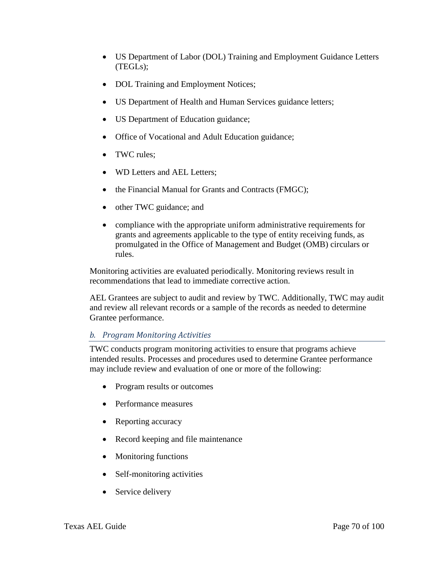- US Department of Labor (DOL) Training and Employment Guidance Letters (TEGLs);
- DOL Training and Employment Notices;
- US Department of Health and Human Services guidance letters;
- US Department of Education guidance;
- Office of Vocational and Adult Education guidance;
- TWC rules:
- WD Letters and AEL Letters:
- the Financial Manual for Grants and Contracts (FMGC);
- other TWC guidance; and
- compliance with the appropriate uniform administrative requirements for grants and agreements applicable to the type of entity receiving funds, as promulgated in the Office of Management and Budget (OMB) circulars or rules.

Monitoring activities are evaluated periodically. Monitoring reviews result in recommendations that lead to immediate corrective action.

AEL Grantees are subject to audit and review by TWC. Additionally, TWC may audit and review all relevant records or a sample of the records as needed to determine Grantee performance.

# *b. Program Monitoring Activities*

TWC conducts program monitoring activities to ensure that programs achieve intended results. Processes and procedures used to determine Grantee performance may include review and evaluation of one or more of the following:

- Program results or outcomes
- Performance measures
- Reporting accuracy
- Record keeping and file maintenance
- Monitoring functions
- Self-monitoring activities
- Service delivery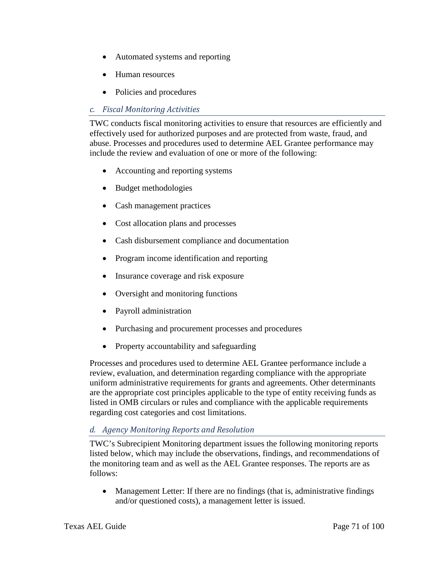- Automated systems and reporting
- Human resources
- Policies and procedures

## *c. Fiscal Monitoring Activities*

TWC conducts fiscal monitoring activities to ensure that resources are efficiently and effectively used for authorized purposes and are protected from waste, fraud, and abuse. Processes and procedures used to determine AEL Grantee performance may include the review and evaluation of one or more of the following:

- Accounting and reporting systems
- Budget methodologies
- Cash management practices
- Cost allocation plans and processes
- Cash disbursement compliance and documentation
- Program income identification and reporting
- Insurance coverage and risk exposure
- Oversight and monitoring functions
- Payroll administration
- Purchasing and procurement processes and procedures
- Property accountability and safeguarding

Processes and procedures used to determine AEL Grantee performance include a review, evaluation, and determination regarding compliance with the appropriate uniform administrative requirements for grants and agreements. Other determinants are the appropriate cost principles applicable to the type of entity receiving funds as listed in OMB circulars or rules and compliance with the applicable requirements regarding cost categories and cost limitations.

## *d. Agency Monitoring Reports and Resolution*

TWC's Subrecipient Monitoring department issues the following monitoring reports listed below, which may include the observations, findings, and recommendations of the monitoring team and as well as the AEL Grantee responses. The reports are as follows:

• Management Letter: If there are no findings (that is, administrative findings and/or questioned costs), a management letter is issued.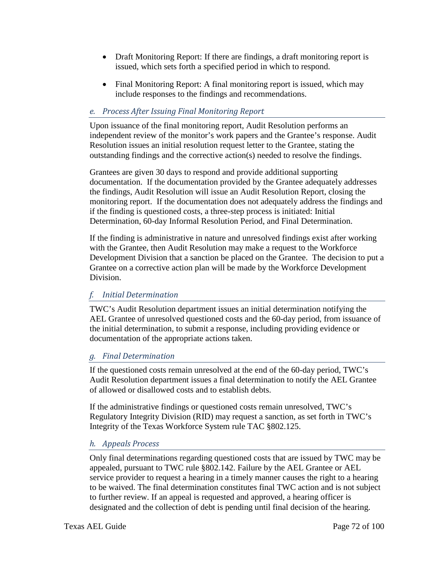- Draft Monitoring Report: If there are findings, a draft monitoring report is issued, which sets forth a specified period in which to respond.
- Final Monitoring Report: A final monitoring report is issued, which may include responses to the findings and recommendations.

## *e. Process After Issuing Final Monitoring Report*

Upon issuance of the final monitoring report, Audit Resolution performs an independent review of the monitor's work papers and the Grantee's response. Audit Resolution issues an initial resolution request letter to the Grantee, stating the outstanding findings and the corrective action(s) needed to resolve the findings.

Grantees are given 30 days to respond and provide additional supporting documentation. If the documentation provided by the Grantee adequately addresses the findings, Audit Resolution will issue an Audit Resolution Report, closing the monitoring report. If the documentation does not adequately address the findings and if the finding is questioned costs, a three-step process is initiated: Initial Determination, 60-day Informal Resolution Period, and Final Determination.

If the finding is administrative in nature and unresolved findings exist after working with the Grantee, then Audit Resolution may make a request to the Workforce Development Division that a sanction be placed on the Grantee. The decision to put a Grantee on a corrective action plan will be made by the Workforce Development Division.

## *f. Initial Determination*

TWC's Audit Resolution department issues an initial determination notifying the AEL Grantee of unresolved questioned costs and the 60-day period, from issuance of the initial determination, to submit a response, including providing evidence or documentation of the appropriate actions taken.

## *g. Final Determination*

If the questioned costs remain unresolved at the end of the 60-day period, TWC's Audit Resolution department issues a final determination to notify the AEL Grantee of allowed or disallowed costs and to establish debts.

If the administrative findings or questioned costs remain unresolved, TWC's Regulatory Integrity Division (RID) may request a sanction, as set forth in TWC's Integrity of the Texas Workforce System rule TAC §802.125.

## *h. Appeals Process*

Only final determinations regarding questioned costs that are issued by TWC may be appealed, pursuant to TWC rule §802.142. Failure by the AEL Grantee or AEL service provider to request a hearing in a timely manner causes the right to a hearing to be waived. The final determination constitutes final TWC action and is not subject to further review. If an appeal is requested and approved, a hearing officer is designated and the collection of debt is pending until final decision of the hearing.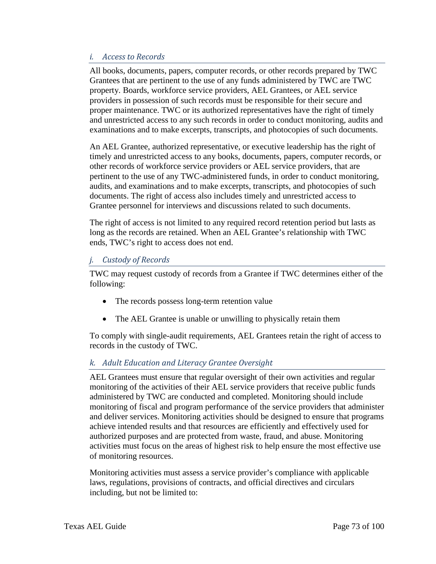### *i. Access to Records*

All books, documents, papers, computer records, or other records prepared by TWC Grantees that are pertinent to the use of any funds administered by TWC are TWC property. Boards, workforce service providers, AEL Grantees, or AEL service providers in possession of such records must be responsible for their secure and proper maintenance. TWC or its authorized representatives have the right of timely and unrestricted access to any such records in order to conduct monitoring, audits and examinations and to make excerpts, transcripts, and photocopies of such documents.

An AEL Grantee, authorized representative, or executive leadership has the right of timely and unrestricted access to any books, documents, papers, computer records, or other records of workforce service providers or AEL service providers, that are pertinent to the use of any TWC-administered funds, in order to conduct monitoring, audits, and examinations and to make excerpts, transcripts, and photocopies of such documents. The right of access also includes timely and unrestricted access to Grantee personnel for interviews and discussions related to such documents.

The right of access is not limited to any required record retention period but lasts as long as the records are retained. When an AEL Grantee's relationship with TWC ends, TWC's right to access does not end.

## *j. Custody of Records*

TWC may request custody of records from a Grantee if TWC determines either of the following:

- The records possess long-term retention value
- The AEL Grantee is unable or unwilling to physically retain them

To comply with single-audit requirements, AEL Grantees retain the right of access to records in the custody of TWC.

## *k. Adult Education and Literacy Grantee Oversight*

AEL Grantees must ensure that regular oversight of their own activities and regular monitoring of the activities of their AEL service providers that receive public funds administered by TWC are conducted and completed. Monitoring should include monitoring of fiscal and program performance of the service providers that administer and deliver services. Monitoring activities should be designed to ensure that programs achieve intended results and that resources are efficiently and effectively used for authorized purposes and are protected from waste, fraud, and abuse. Monitoring activities must focus on the areas of highest risk to help ensure the most effective use of monitoring resources.

Monitoring activities must assess a service provider's compliance with applicable laws, regulations, provisions of contracts, and official directives and circulars including, but not be limited to: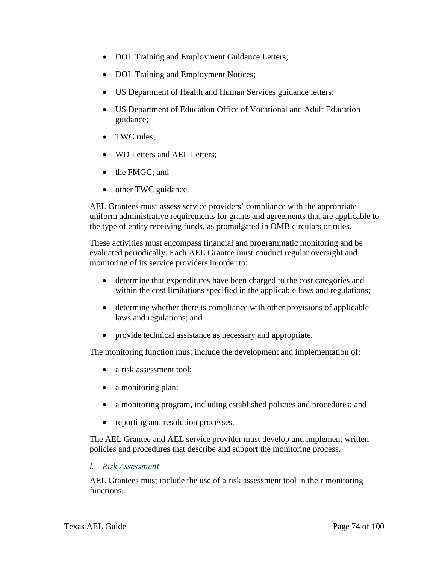- DOL Training and Employment Guidance Letters;
- DOL Training and Employment Notices;
- US Department of Health and Human Services guidance letters;
- US Department of Education Office of Vocational and Adult Education guidance;
- TWC rules;
- WD Letters and AEL Letters:
- the FMGC: and
- other TWC guidance.

AEL Grantees must assess service providers' compliance with the appropriate uniform administrative requirements for grants and agreements that are applicable to the type of entity receiving funds, as promulgated in OMB circulars or rules.

These activities must encompass financial and programmatic monitoring and be evaluated periodically. Each AEL Grantee must conduct regular oversight and monitoring of its service providers in order to:

- determine that expenditures have been charged to the cost categories and within the cost limitations specified in the applicable laws and regulations;
- determine whether there is compliance with other provisions of applicable laws and regulations; and
- provide technical assistance as necessary and appropriate.

The monitoring function must include the development and implementation of:

- a risk assessment tool:
- a monitoring plan;
- a monitoring program, including established policies and procedures; and
- reporting and resolution processes.

The AEL Grantee and AEL service provider must develop and implement written policies and procedures that describe and support the monitoring process.

#### *l. Risk Assessment*

AEL Grantees must include the use of a risk assessment tool in their monitoring functions.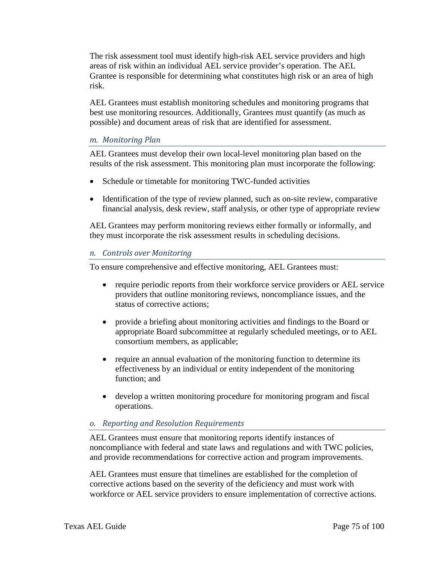The risk assessment tool must identify high-risk AEL service providers and high areas of risk within an individual AEL service provider's operation. The AEL Grantee is responsible for determining what constitutes high risk or an area of high risk.

AEL Grantees must establish monitoring schedules and monitoring programs that best use monitoring resources. Additionally, Grantees must quantify (as much as possible) and document areas of risk that are identified for assessment.

#### *m. Monitoring Plan*

AEL Grantees must develop their own local-level monitoring plan based on the results of the risk assessment. This monitoring plan must incorporate the following:

- Schedule or timetable for monitoring TWC-funded activities
- Identification of the type of review planned, such as on-site review, comparative financial analysis, desk review, staff analysis, or other type of appropriate review

AEL Grantees may perform monitoring reviews either formally or informally, and they must incorporate the risk assessment results in scheduling decisions.

### *n. Controls over Monitoring*

To ensure comprehensive and effective monitoring, AEL Grantees must:

- require periodic reports from their workforce service providers or AEL service providers that outline monitoring reviews, noncompliance issues, and the status of corrective actions;
- provide a briefing about monitoring activities and findings to the Board or appropriate Board subcommittee at regularly scheduled meetings, or to AEL consortium members, as applicable;
- require an annual evaluation of the monitoring function to determine its effectiveness by an individual or entity independent of the monitoring function; and
- develop a written monitoring procedure for monitoring program and fiscal operations.

### *o. Reporting and Resolution Requirements*

AEL Grantees must ensure that monitoring reports identify instances of noncompliance with federal and state laws and regulations and with TWC policies, and provide recommendations for corrective action and program improvements.

AEL Grantees must ensure that timelines are established for the completion of corrective actions based on the severity of the deficiency and must work with workforce or AEL service providers to ensure implementation of corrective actions.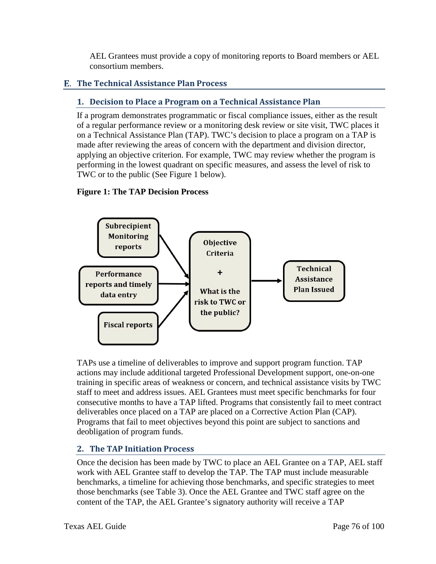AEL Grantees must provide a copy of monitoring reports to Board members or AEL consortium members.

# **The Technical Assistance Plan Process**

# **1. Decision to Place a Program on a Technical Assistance Plan**

If a program demonstrates programmatic or fiscal compliance issues, either as the result of a regular performance review or a monitoring desk review or site visit, TWC places it on a Technical Assistance Plan (TAP). TWC's decision to place a program on a TAP is made after reviewing the areas of concern with the department and division director, applying an objective criterion. For example, TWC may review whether the program is performing in the lowest quadrant on specific measures, and assess the level of risk to TWC or to the public (See Figure 1 below).

## **Figure 1: The TAP Decision Process**



TAPs use a timeline of deliverables to improve and support program function. TAP actions may include additional targeted Professional Development support, one-on-one training in specific areas of weakness or concern, and technical assistance visits by TWC staff to meet and address issues. AEL Grantees must meet specific benchmarks for four consecutive months to have a TAP lifted. Programs that consistently fail to meet contract deliverables once placed on a TAP are placed on a Corrective Action Plan (CAP). Programs that fail to meet objectives beyond this point are subject to sanctions and deobligation of program funds.

# **2. The TAP Initiation Process**

Once the decision has been made by TWC to place an AEL Grantee on a TAP, AEL staff work with AEL Grantee staff to develop the TAP. The TAP must include measurable benchmarks, a timeline for achieving those benchmarks, and specific strategies to meet those benchmarks (see Table 3). Once the AEL Grantee and TWC staff agree on the content of the TAP, the AEL Grantee's signatory authority will receive a TAP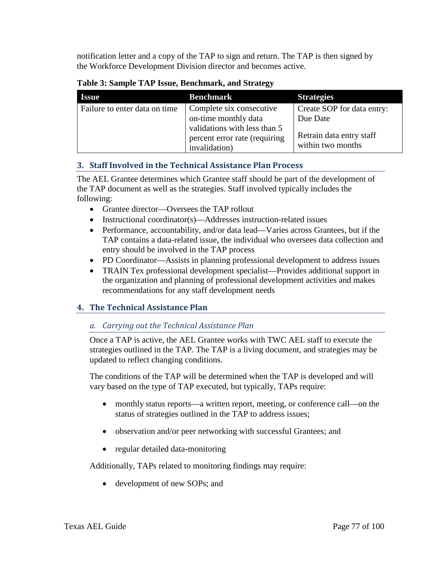notification letter and a copy of the TAP to sign and return. The TAP is then signed by the Workforce Development Division director and becomes active.

|  | Table 3: Sample TAP Issue, Benchmark, and Strategy |
|--|----------------------------------------------------|
|--|----------------------------------------------------|

| <b>Issue</b>                  | <b>Benchmark</b>                                                               | <b>Strategies</b>                             |
|-------------------------------|--------------------------------------------------------------------------------|-----------------------------------------------|
| Failure to enter data on time | Complete six consecutive<br>on-time monthly data                               | Create SOP for data entry:<br>Due Date        |
|                               | validations with less than 5<br>percent error rate (requiring<br>invalidation) | Retrain data entry staff<br>within two months |

## **3. Staff Involved in the Technical Assistance Plan Process**

The AEL Grantee determines which Grantee staff should be part of the development of the TAP document as well as the strategies. Staff involved typically includes the following:

- Grantee director—Oversees the TAP rollout
- Instructional coordinator(s)—Addresses instruction-related issues
- Performance, accountability, and/or data lead—Varies across Grantees, but if the TAP contains a data-related issue, the individual who oversees data collection and entry should be involved in the TAP process
- PD Coordinator—Assists in planning professional development to address issues
- TRAIN Tex professional development specialist—Provides additional support in the organization and planning of professional development activities and makes recommendations for any staff development needs

## **4. The Technical Assistance Plan**

## *a. Carrying out the Technical Assistance Plan*

Once a TAP is active, the AEL Grantee works with TWC AEL staff to execute the strategies outlined in the TAP. The TAP is a living document, and strategies may be updated to reflect changing conditions.

The conditions of the TAP will be determined when the TAP is developed and will vary based on the type of TAP executed, but typically, TAPs require:

- monthly status reports—a written report, meeting, or conference call—on the status of strategies outlined in the TAP to address issues;
- observation and/or peer networking with successful Grantees; and
- regular detailed data-monitoring

Additionally, TAPs related to monitoring findings may require:

• development of new SOPs; and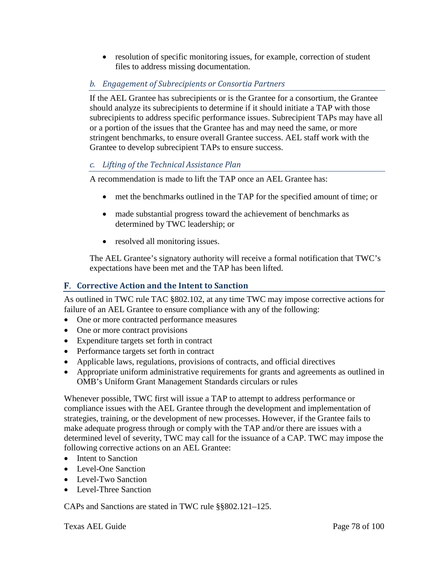• resolution of specific monitoring issues, for example, correction of student files to address missing documentation.

# *b. Engagement of Subrecipients or Consortia Partners*

If the AEL Grantee has subrecipients or is the Grantee for a consortium, the Grantee should analyze its subrecipients to determine if it should initiate a TAP with those subrecipients to address specific performance issues. Subrecipient TAPs may have all or a portion of the issues that the Grantee has and may need the same, or more stringent benchmarks, to ensure overall Grantee success. AEL staff work with the Grantee to develop subrecipient TAPs to ensure success.

## *c. Lifting of the Technical Assistance Plan*

A recommendation is made to lift the TAP once an AEL Grantee has:

- met the benchmarks outlined in the TAP for the specified amount of time; or
- made substantial progress toward the achievement of benchmarks as determined by TWC leadership; or
- resolved all monitoring issues.

The AEL Grantee's signatory authority will receive a formal notification that TWC's expectations have been met and the TAP has been lifted.

## **Corrective Action and the Intent to Sanction**

As outlined in TWC rule TAC §802.102, at any time TWC may impose corrective actions for failure of an AEL Grantee to ensure compliance with any of the following:

- One or more contracted performance measures
- One or more contract provisions
- Expenditure targets set forth in contract
- Performance targets set forth in contract
- Applicable laws, regulations, provisions of contracts, and official directives
- Appropriate uniform administrative requirements for grants and agreements as outlined in OMB's Uniform Grant Management Standards circulars or rules

Whenever possible, TWC first will issue a TAP to attempt to address performance or compliance issues with the AEL Grantee through the development and implementation of strategies, training, or the development of new processes. However, if the Grantee fails to make adequate progress through or comply with the TAP and/or there are issues with a determined level of severity, TWC may call for the issuance of a CAP. TWC may impose the following corrective actions on an AEL Grantee:

- Intent to Sanction
- Level-One Sanction
- Level-Two Sanction
- Level-Three Sanction

CAPs and Sanctions are stated in TWC rule §§802.121–125.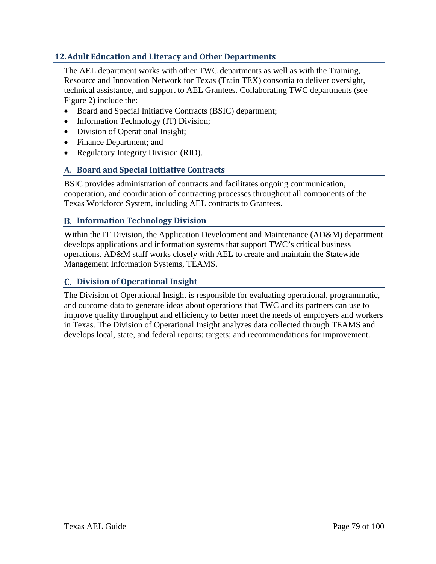## **12.Adult Education and Literacy and Other Departments**

The AEL department works with other TWC departments as well as with the Training, Resource and Innovation Network for Texas (Train TEX) consortia to deliver oversight, technical assistance, and support to AEL Grantees. Collaborating TWC departments (see Figure 2) include the:

- Board and Special Initiative Contracts (BSIC) department;
- Information Technology (IT) Division;
- Division of Operational Insight;
- Finance Department; and
- Regulatory Integrity Division (RID).

### **Board and Special Initiative Contracts**

BSIC provides administration of contracts and facilitates ongoing communication, cooperation, and coordination of contracting processes throughout all components of the Texas Workforce System, including AEL contracts to Grantees.

#### **Information Technology Division**

Within the IT Division, the Application Development and Maintenance (AD&M) department develops applications and information systems that support TWC's critical business operations. AD&M staff works closely with AEL to create and maintain the Statewide Management Information Systems, TEAMS.

#### **Division of Operational Insight**

The Division of Operational Insight is responsible for evaluating operational, programmatic, and outcome data to generate ideas about operations that TWC and its partners can use to improve quality throughput and efficiency to better meet the needs of employers and workers in Texas. The Division of Operational Insight analyzes data collected through TEAMS and develops local, state, and federal reports; targets; and recommendations for improvement.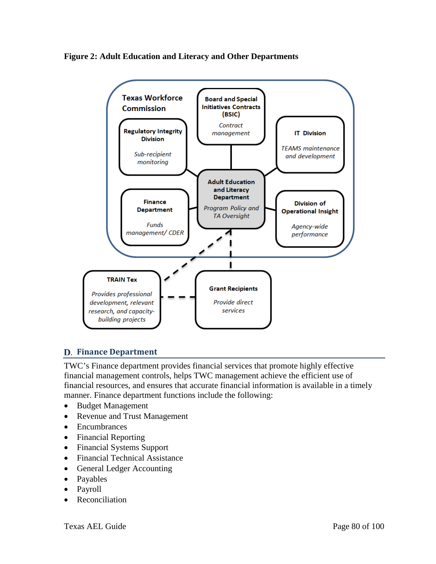



### **Finance Department**

TWC's Finance department provides financial services that promote highly effective financial management controls, helps TWC management achieve the efficient use of financial resources, and ensures that accurate financial information is available in a timely manner. Finance department functions include the following:

- Budget Management
- Revenue and Trust Management
- Encumbrances
- Financial Reporting
- Financial Systems Support
- Financial Technical Assistance
- General Ledger Accounting
- Payables
- Payroll
- **Reconciliation**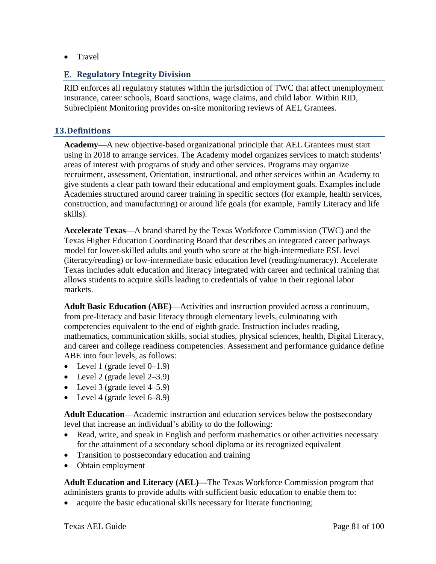• Travel

#### **Regulatory Integrity Division**

RID enforces all regulatory statutes within the jurisdiction of TWC that affect unemployment insurance, career schools, Board sanctions, wage claims, and child labor. Within RID, Subrecipient Monitoring provides on-site monitoring reviews of AEL Grantees.

#### **13.Definitions**

**Academy**—A new objective-based organizational principle that AEL Grantees must start using in 2018 to arrange services. The Academy model organizes services to match students' areas of interest with programs of study and other services. Programs may organize recruitment, assessment, Orientation, instructional, and other services within an Academy to give students a clear path toward their educational and employment goals. Examples include Academies structured around career training in specific sectors (for example, health services, construction, and manufacturing) or around life goals (for example, Family Literacy and life skills).

**Accelerate Texas**—A brand shared by the Texas Workforce Commission (TWC) and the Texas Higher Education Coordinating Board that describes an integrated career pathways model for lower-skilled adults and youth who score at the high-intermediate ESL level (literacy/reading) or low-intermediate basic education level (reading/numeracy). Accelerate Texas includes adult education and literacy integrated with career and technical training that allows students to acquire skills leading to credentials of value in their regional labor markets.

**Adult Basic Education (ABE)**—Activities and instruction provided across a continuum, from pre-literacy and basic literacy through elementary levels, culminating with competencies equivalent to the end of eighth grade. Instruction includes reading, mathematics, communication skills, social studies, physical sciences, health, Digital Literacy, and career and college readiness competencies. Assessment and performance guidance define ABE into four levels, as follows:

- Level 1 (grade level  $0-1.9$ )
- Level 2 (grade level  $2-3.9$ )
- Level 3 (grade level  $4-5.9$ )
- Level 4 (grade level  $6-8.9$ )

**Adult Education**—Academic instruction and education services below the postsecondary level that increase an individual's ability to do the following:

- Read, write, and speak in English and perform mathematics or other activities necessary for the attainment of a secondary school diploma or its recognized equivalent
- Transition to postsecondary education and training
- Obtain employment

**Adult Education and Literacy (AEL)—**The Texas Workforce Commission program that administers grants to provide adults with sufficient basic education to enable them to:

• acquire the basic educational skills necessary for literate functioning;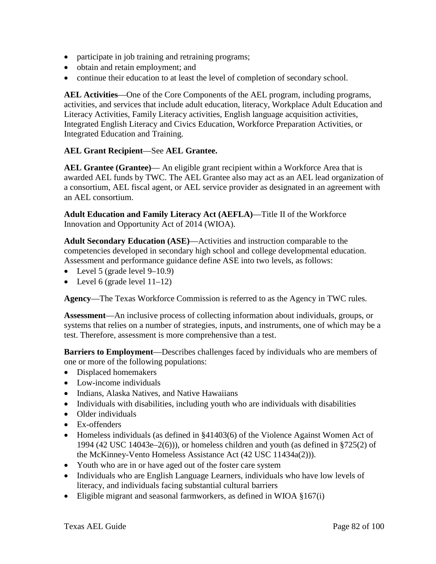- participate in job training and retraining programs;
- obtain and retain employment; and
- continue their education to at least the level of completion of secondary school.

**AEL Activities**—One of the Core Components of the AEL program, including programs, activities, and services that include adult education, literacy, Workplace Adult Education and Literacy Activities, Family Literacy activities, English language acquisition activities, Integrated English Literacy and Civics Education, Workforce Preparation Activities, or Integrated Education and Training.

## **AEL Grant Recipient**—See **AEL Grantee.**

**AEL Grantee (Grantee)**— An eligible grant recipient within a Workforce Area that is awarded AEL funds by TWC. The AEL Grantee also may act as an AEL lead organization of a consortium, AEL fiscal agent, or AEL service provider as designated in an agreement with an AEL consortium.

**Adult Education and Family Literacy Act (AEFLA)**—Title II of the Workforce Innovation and Opportunity Act of 2014 (WIOA).

**Adult Secondary Education (ASE)**—Activities and instruction comparable to the competencies developed in secondary high school and college developmental education. Assessment and performance guidance define ASE into two levels, as follows:

- Level 5 (grade level  $9-10.9$ )
- Level 6 (grade level  $11-12$ )

**Agency**—The Texas Workforce Commission is referred to as the Agency in TWC rules.

**Assessment**—An inclusive process of collecting information about individuals, groups, or systems that relies on a number of strategies, inputs, and instruments, one of which may be a test. Therefore, assessment is more comprehensive than a test.

**Barriers to Employment**—Describes challenges faced by individuals who are members of one or more of the following populations:

- Displaced homemakers
- Low-income individuals
- Indians, Alaska Natives, and Native Hawaiians
- Individuals with disabilities, including youth who are individuals with disabilities
- Older individuals
- Ex-offenders
- Homeless individuals (as defined in §41403(6) of the Violence Against Women Act of 1994 (42 USC 14043e–2(6))), or homeless children and youth (as defined in §725(2) of the McKinney-Vento Homeless Assistance Act (42 USC 11434a(2))).
- Youth who are in or have aged out of the foster care system
- Individuals who are English Language Learners, individuals who have low levels of literacy, and individuals facing substantial cultural barriers
- Eligible migrant and seasonal farmworkers, as defined in WIOA §167(i)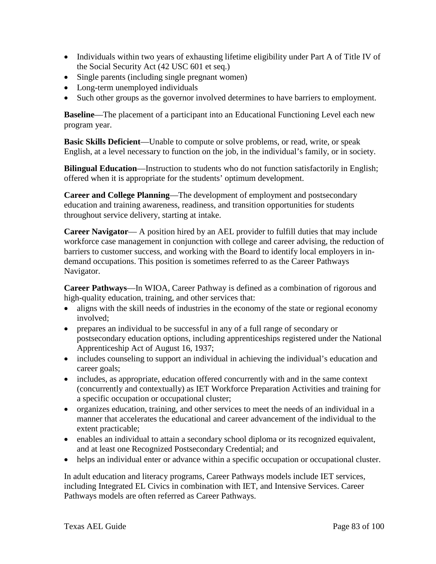- Individuals within two years of exhausting lifetime eligibility under Part A of Title IV of the Social Security Act (42 USC 601 et seq.)
- Single parents (including single pregnant women)
- Long-term unemployed individuals
- Such other groups as the governor involved determines to have barriers to employment.

**Baseline**—The placement of a participant into an Educational Functioning Level each new program year.

**Basic Skills Deficient**—Unable to compute or solve problems, or read, write, or speak English, at a level necessary to function on the job, in the individual's family, or in society.

**Bilingual Education—Instruction to students who do not function satisfactorily in English;** offered when it is appropriate for the students' optimum development.

**Career and College Planning**—The development of employment and postsecondary education and training awareness, readiness, and transition opportunities for students throughout service delivery, starting at intake.

**Career Navigator**— A position hired by an AEL provider to fulfill duties that may include workforce case management in conjunction with college and career advising, the reduction of barriers to customer success, and working with the Board to identify local employers in indemand occupations. This position is sometimes referred to as the Career Pathways Navigator.

**Career Pathways**—In WIOA, Career Pathway is defined as a combination of rigorous and high-quality education, training, and other services that:

- aligns with the skill needs of industries in the economy of the state or regional economy involved;
- prepares an individual to be successful in any of a full range of secondary or postsecondary education options, including apprenticeships registered under the National Apprenticeship Act of August 16, 1937;
- includes counseling to support an individual in achieving the individual's education and career goals;
- includes, as appropriate, education offered concurrently with and in the same context (concurrently and contextually) as IET Workforce Preparation Activities and training for a specific occupation or occupational cluster;
- organizes education, training, and other services to meet the needs of an individual in a manner that accelerates the educational and career advancement of the individual to the extent practicable;
- enables an individual to attain a secondary school diploma or its recognized equivalent, and at least one Recognized Postsecondary Credential; and
- helps an individual enter or advance within a specific occupation or occupational cluster.

In adult education and literacy programs, Career Pathways models include IET services, including Integrated EL Civics in combination with IET, and Intensive Services. Career Pathways models are often referred as Career Pathways.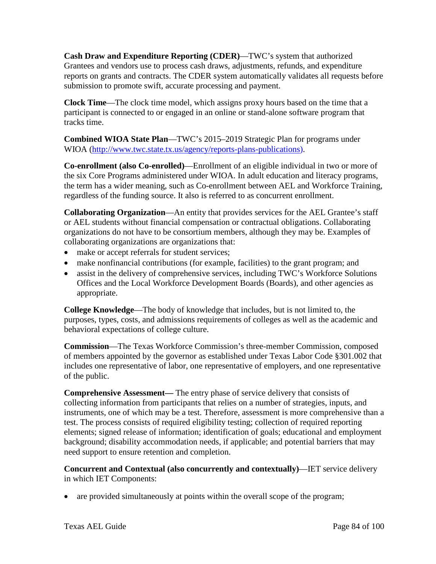**Cash Draw and Expenditure Reporting (CDER)**—TWC's system that authorized Grantees and vendors use to process cash draws, adjustments, refunds, and expenditure reports on grants and contracts. The CDER system automatically validates all requests before submission to promote swift, accurate processing and payment.

**Clock Time**—The clock time model, which assigns proxy hours based on the time that a participant is connected to or engaged in an online or stand-alone software program that tracks time.

**Combined WIOA State Plan**—TWC's 2015–2019 Strategic Plan for programs under WIOA [\(http://www.twc.state.tx.us/agency/reports-plans-publications\)](http://www.twc.state.tx.us/agency/reports-plans-publications).

**Co-enrollment (also Co-enrolled)**—Enrollment of an eligible individual in two or more of the six Core Programs administered under WIOA. In adult education and literacy programs, the term has a wider meaning, such as Co-enrollment between AEL and Workforce Training, regardless of the funding source. It also is referred to as concurrent enrollment.

**Collaborating Organization**—An entity that provides services for the AEL Grantee's staff or AEL students without financial compensation or contractual obligations. Collaborating organizations do not have to be consortium members, although they may be. Examples of collaborating organizations are organizations that:

- make or accept referrals for student services;
- make nonfinancial contributions (for example, facilities) to the grant program; and
- assist in the delivery of comprehensive services, including TWC's Workforce Solutions Offices and the Local Workforce Development Boards (Boards), and other agencies as appropriate.

**College Knowledge**—The body of knowledge that includes, but is not limited to, the purposes, types, costs, and admissions requirements of colleges as well as the academic and behavioral expectations of college culture.

**Commission**—The Texas Workforce Commission's three-member Commission, composed of members appointed by the governor as established under Texas Labor Code §301.002 that includes one representative of labor, one representative of employers, and one representative of the public.

**Comprehensive Assessment—** The entry phase of service delivery that consists of collecting information from participants that relies on a number of strategies, inputs, and instruments, one of which may be a test. Therefore, assessment is more comprehensive than a test. The process consists of required eligibility testing; collection of required reporting elements; signed release of information; identification of goals; educational and employment background; disability accommodation needs, if applicable; and potential barriers that may need support to ensure retention and completion.

**Concurrent and Contextual (also concurrently and contextually)**—IET service delivery in which IET Components:

• are provided simultaneously at points within the overall scope of the program;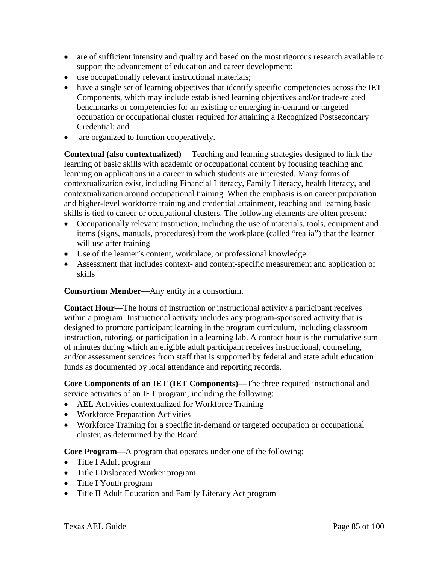- are of sufficient intensity and quality and based on the most rigorous research available to support the advancement of education and career development;
- use occupationally relevant instructional materials;
- have a single set of learning objectives that identify specific competencies across the IET Components, which may include established learning objectives and/or trade-related benchmarks or competencies for an existing or emerging in-demand or targeted occupation or occupational cluster required for attaining a Recognized Postsecondary Credential; and
- are organized to function cooperatively.

**Contextual (also contextualized)**— Teaching and learning strategies designed to link the learning of basic skills with academic or occupational content by focusing teaching and learning on applications in a career in which students are interested. Many forms of contextualization exist, including Financial Literacy, Family Literacy, health literacy, and contextualization around occupational training. When the emphasis is on career preparation and higher-level workforce training and credential attainment, teaching and learning basic skills is tied to career or occupational clusters. The following elements are often present:

- Occupationally relevant instruction, including the use of materials, tools, equipment and items (signs, manuals, procedures) from the workplace (called "realia") that the learner will use after training
- Use of the learner's content, workplace, or professional knowledge
- Assessment that includes context- and content-specific measurement and application of skills

**Consortium Member**—Any entity in a consortium.

**Contact Hour**—The hours of instruction or instructional activity a participant receives within a program. Instructional activity includes any program-sponsored activity that is designed to promote participant learning in the program curriculum, including classroom instruction, tutoring, or participation in a learning lab. A contact hour is the cumulative sum of minutes during which an eligible adult participant receives instructional, counseling, and/or assessment services from staff that is supported by federal and state adult education funds as documented by local attendance and reporting records.

**Core Components of an IET (IET Components)**—The three required instructional and service activities of an IET program, including the following:

- AEL Activities contextualized for Workforce Training
- Workforce Preparation Activities
- Workforce Training for a specific in-demand or targeted occupation or occupational cluster, as determined by the Board

**Core Program**—A program that operates under one of the following:

- Title I Adult program
- Title I Dislocated Worker program
- Title I Youth program
- Title II Adult Education and Family Literacy Act program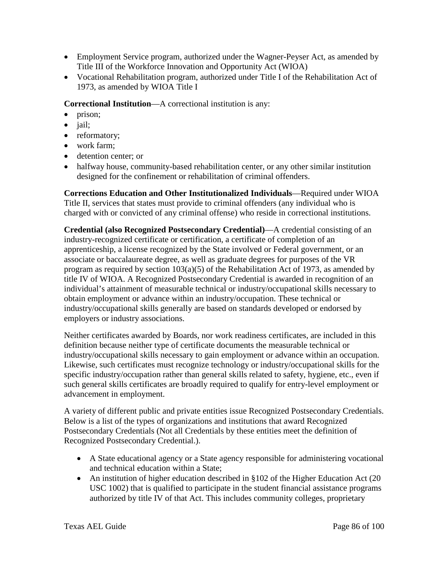- Employment Service program, authorized under the Wagner-Peyser Act, as amended by Title III of the Workforce Innovation and Opportunity Act (WIOA)
- Vocational Rehabilitation program, authorized under Title I of the Rehabilitation Act of 1973, as amended by WIOA Title I

**Correctional Institution**—A correctional institution is any:

- prison:
- *jail*;
- reformatory;
- work farm:
- detention center; or
- halfway house, community-based rehabilitation center, or any other similar institution designed for the confinement or rehabilitation of criminal offenders.

**Corrections Education and Other Institutionalized Individuals**—Required under WIOA Title II, services that states must provide to criminal offenders (any individual who is charged with or convicted of any criminal offense) who reside in correctional institutions.

**Credential (also Recognized Postsecondary Credential)**—A credential consisting of an industry-recognized certificate or certification, a certificate of completion of an apprenticeship, a license recognized by the State involved or Federal government, or an associate or baccalaureate degree, as well as graduate degrees for purposes of the VR program as required by section 103(a)(5) of the Rehabilitation Act of 1973, as amended by title IV of WIOA. A Recognized Postsecondary Credential is awarded in recognition of an individual's attainment of measurable technical or industry/occupational skills necessary to obtain employment or advance within an industry/occupation. These technical or industry/occupational skills generally are based on standards developed or endorsed by employers or industry associations.

Neither certificates awarded by Boards, nor work readiness certificates, are included in this definition because neither type of certificate documents the measurable technical or industry/occupational skills necessary to gain employment or advance within an occupation. Likewise, such certificates must recognize technology or industry/occupational skills for the specific industry/occupation rather than general skills related to safety, hygiene, etc., even if such general skills certificates are broadly required to qualify for entry-level employment or advancement in employment.

A variety of different public and private entities issue Recognized Postsecondary Credentials. Below is a list of the types of organizations and institutions that award Recognized Postsecondary Credentials (Not all Credentials by these entities meet the definition of Recognized Postsecondary Credential.).

- A State educational agency or a State agency responsible for administering vocational and technical education within a State;
- An institution of higher education described in §102 of the Higher Education Act (20 USC 1002) that is qualified to participate in the student financial assistance programs authorized by title IV of that Act. This includes community colleges, proprietary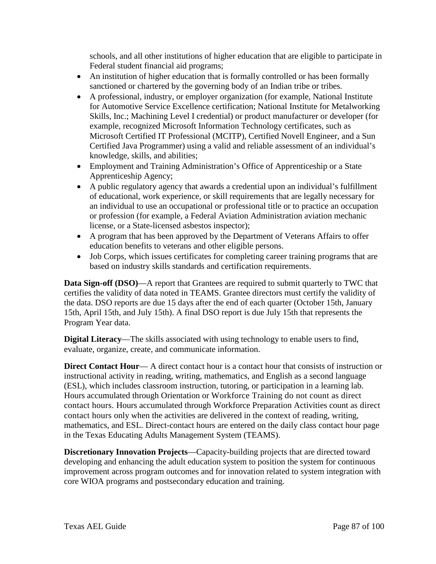schools, and all other institutions of higher education that are eligible to participate in Federal student financial aid programs;

- An institution of higher education that is formally controlled or has been formally sanctioned or chartered by the governing body of an Indian tribe or tribes.
- A professional, industry, or employer organization (for example, National Institute for Automotive Service Excellence certification; National Institute for Metalworking Skills, Inc.; Machining Level I credential) or product manufacturer or developer (for example, recognized Microsoft Information Technology certificates, such as Microsoft Certified IT Professional (MCITP), Certified Novell Engineer, and a Sun Certified Java Programmer) using a valid and reliable assessment of an individual's knowledge, skills, and abilities;
- Employment and Training Administration's Office of Apprenticeship or a State Apprenticeship Agency;
- A public regulatory agency that awards a credential upon an individual's fulfillment of educational, work experience, or skill requirements that are legally necessary for an individual to use an occupational or professional title or to practice an occupation or profession (for example, a Federal Aviation Administration aviation mechanic license, or a State-licensed asbestos inspector);
- A program that has been approved by the Department of Veterans Affairs to offer education benefits to veterans and other eligible persons.
- Job Corps, which issues certificates for completing career training programs that are based on industry skills standards and certification requirements.

**Data Sign-off (DSO)**—A report that Grantees are required to submit quarterly to TWC that certifies the validity of data noted in TEAMS. Grantee directors must certify the validity of the data. DSO reports are due 15 days after the end of each quarter (October 15th, January 15th, April 15th, and July 15th). A final DSO report is due July 15th that represents the Program Year data.

**Digital Literacy**—The skills associated with using technology to enable users to find, evaluate, organize, create, and communicate information.

**Direct Contact Hour—** A direct contact hour is a contact hour that consists of instruction or instructional activity in reading, writing, mathematics, and English as a second language (ESL), which includes classroom instruction, tutoring, or participation in a learning lab. Hours accumulated through Orientation or Workforce Training do not count as direct contact hours. Hours accumulated through Workforce Preparation Activities count as direct contact hours only when the activities are delivered in the context of reading, writing, mathematics, and ESL. Direct-contact hours are entered on the daily class contact hour page in the Texas Educating Adults Management System (TEAMS).

**Discretionary Innovation Projects**—Capacity-building projects that are directed toward developing and enhancing the adult education system to position the system for continuous improvement across program outcomes and for innovation related to system integration with core WIOA programs and postsecondary education and training.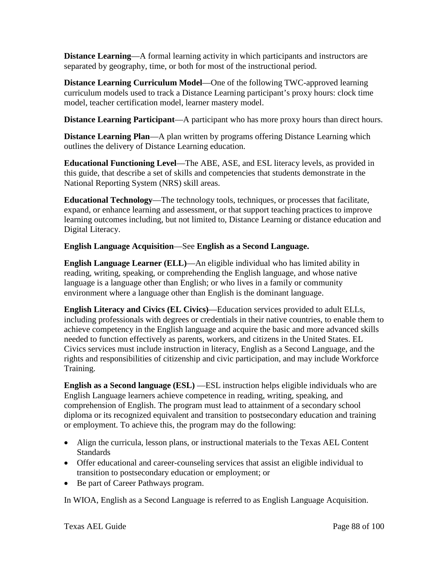**Distance Learning—A** formal learning activity in which participants and instructors are separated by geography, time, or both for most of the instructional period.

**Distance Learning Curriculum Model**—One of the following TWC-approved learning curriculum models used to track a Distance Learning participant's proxy hours: clock time model, teacher certification model, learner mastery model.

**Distance Learning Participant**—A participant who has more proxy hours than direct hours.

**Distance Learning Plan—A** plan written by programs offering Distance Learning which outlines the delivery of Distance Learning education.

**Educational Functioning Level**—The ABE, ASE, and ESL literacy levels, as provided in this guide, that describe a set of skills and competencies that students demonstrate in the National Reporting System (NRS) skill areas.

**Educational Technology**—The technology tools, techniques, or processes that facilitate, expand, or enhance learning and assessment, or that support teaching practices to improve learning outcomes including, but not limited to, Distance Learning or distance education and Digital Literacy.

## **English Language Acquisition**—See **English as a Second Language.**

**English Language Learner (ELL)**—An eligible individual who has limited ability in reading, writing, speaking, or comprehending the English language, and whose native language is a language other than English; or who lives in a family or community environment where a language other than English is the dominant language.

**English Literacy and Civics (EL Civics)**—Education services provided to adult ELLs, including professionals with degrees or credentials in their native countries, to enable them to achieve competency in the English language and acquire the basic and more advanced skills needed to function effectively as parents, workers, and citizens in the United States. EL Civics services must include instruction in literacy, English as a Second Language, and the rights and responsibilities of citizenship and civic participation, and may include Workforce Training.

**English as a Second language (ESL) —ESL instruction helps eligible individuals who are** English Language learners achieve competence in reading, writing, speaking, and comprehension of English. The program must lead to attainment of a secondary school diploma or its recognized equivalent and transition to postsecondary education and training or employment. To achieve this, the program may do the following:

- Align the curricula, lesson plans, or instructional materials to the Texas AEL Content Standards
- Offer educational and career-counseling services that assist an eligible individual to transition to postsecondary education or employment; or
- Be part of Career Pathways program.

In WIOA, English as a Second Language is referred to as English Language Acquisition.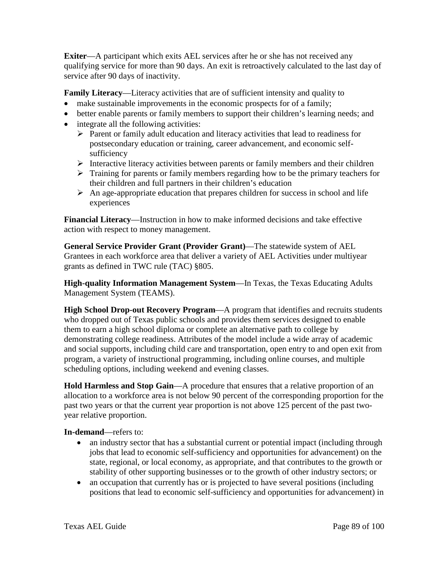**Exiter**—A participant which exits AEL services after he or she has not received any qualifying service for more than 90 days. An exit is retroactively calculated to the last day of service after 90 days of inactivity.

**Family Literacy**—Literacy activities that are of sufficient intensity and quality to

- make sustainable improvements in the economic prospects for of a family;
- better enable parents or family members to support their children's learning needs; and
- integrate all the following activities:
	- $\triangleright$  Parent or family adult education and literacy activities that lead to readiness for postsecondary education or training, career advancement, and economic selfsufficiency
	- $\triangleright$  Interactive literacy activities between parents or family members and their children
	- $\triangleright$  Training for parents or family members regarding how to be the primary teachers for their children and full partners in their children's education
	- $\triangleright$  An age-appropriate education that prepares children for success in school and life experiences

**Financial Literacy**—Instruction in how to make informed decisions and take effective action with respect to money management.

**General Service Provider Grant (Provider Grant)**—The statewide system of AEL Grantees in each workforce area that deliver a variety of AEL Activities under multiyear grants as defined in TWC rule (TAC) §805.

**High-quality Information Management System**—In Texas, the Texas Educating Adults Management System (TEAMS).

**High School Drop-out Recovery Program**—A program that identifies and recruits students who dropped out of Texas public schools and provides them services designed to enable them to earn a high school diploma or complete an alternative path to college by demonstrating college readiness. Attributes of the model include a wide array of academic and social supports, including child care and transportation, open entry to and open exit from program, a variety of instructional programming, including online courses, and multiple scheduling options, including weekend and evening classes.

**Hold Harmless and Stop Gain**—A procedure that ensures that a relative proportion of an allocation to a workforce area is not below 90 percent of the corresponding proportion for the past two years or that the current year proportion is not above 125 percent of the past twoyear relative proportion.

**In-demand**—refers to:

- an industry sector that has a substantial current or potential impact (including through jobs that lead to economic self-sufficiency and opportunities for advancement) on the state, regional, or local economy, as appropriate, and that contributes to the growth or stability of other supporting businesses or to the growth of other industry sectors; or
- an occupation that currently has or is projected to have several positions (including positions that lead to economic self-sufficiency and opportunities for advancement) in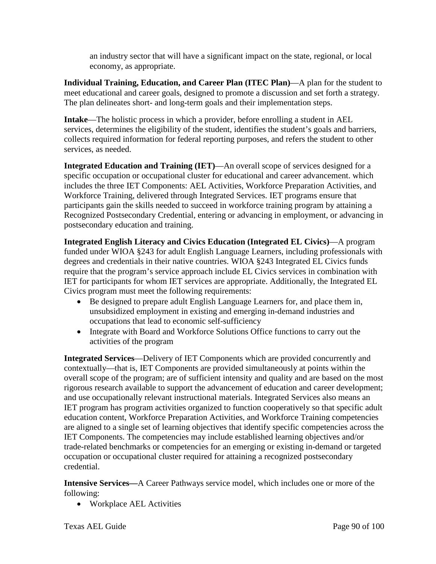an industry sector that will have a significant impact on the state, regional, or local economy, as appropriate.

**Individual Training, Education, and Career Plan (ITEC Plan)**—A plan for the student to meet educational and career goals, designed to promote a discussion and set forth a strategy. The plan delineates short- and long-term goals and their implementation steps.

**Intake**—The holistic process in which a provider, before enrolling a student in AEL services, determines the eligibility of the student, identifies the student's goals and barriers, collects required information for federal reporting purposes, and refers the student to other services, as needed.

**Integrated Education and Training (IET)**—An overall scope of services designed for a specific occupation or occupational cluster for educational and career advancement. which includes the three IET Components: AEL Activities, Workforce Preparation Activities, and Workforce Training, delivered through Integrated Services. IET programs ensure that participants gain the skills needed to succeed in workforce training program by attaining a Recognized Postsecondary Credential, entering or advancing in employment, or advancing in postsecondary education and training.

**Integrated English Literacy and Civics Education (Integrated EL Civics)**—A program funded under WIOA §243 for adult English Language Learners, including professionals with degrees and credentials in their native countries. WIOA §243 Integrated EL Civics funds require that the program's service approach include EL Civics services in combination with IET for participants for whom IET services are appropriate. Additionally, the Integrated EL Civics program must meet the following requirements:

- Be designed to prepare adult English Language Learners for, and place them in, unsubsidized employment in existing and emerging in-demand industries and occupations that lead to economic self-sufficiency
- Integrate with Board and Workforce Solutions Office functions to carry out the activities of the program

**Integrated Services**—Delivery of IET Components which are provided concurrently and contextually—that is, IET Components are provided simultaneously at points within the overall scope of the program; are of sufficient intensity and quality and are based on the most rigorous research available to support the advancement of education and career development; and use occupationally relevant instructional materials. Integrated Services also means an IET program has program activities organized to function cooperatively so that specific adult education content, Workforce Preparation Activities, and Workforce Training competencies are aligned to a single set of learning objectives that identify specific competencies across the IET Components. The competencies may include established learning objectives and/or trade-related benchmarks or competencies for an emerging or existing in-demand or targeted occupation or occupational cluster required for attaining a recognized postsecondary credential.

**Intensive Services—**A Career Pathways service model, which includes one or more of the following:

• Workplace AEL Activities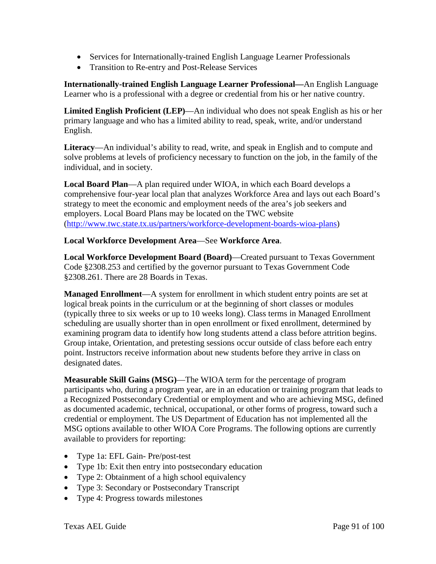- Services for Internationally-trained English Language Learner Professionals
- Transition to Re-entry and Post-Release Services

**Internationally-trained English Language Learner Professional—**An English Language Learner who is a professional with a degree or credential from his or her native country.

**Limited English Proficient (LEP)**—An individual who does not speak English as his or her primary language and who has a limited ability to read, speak, write, and/or understand English.

**Literacy**—An individual's ability to read, write, and speak in English and to compute and solve problems at levels of proficiency necessary to function on the job, in the family of the individual, and in society.

**Local Board Plan**—A plan required under WIOA, in which each Board develops a comprehensive four-year local plan that analyzes Workforce Area and lays out each Board's strategy to meet the economic and employment needs of the area's job seekers and employers. Local Board Plans may be located on the TWC website [\(http://www.twc.state.tx.us/partners/workforce-development-boards-wioa-plans\)](http://www.twc.state.tx.us/partners/workforce-development-boards-wioa-plans)

### **Local Workforce Development Area**—See **Workforce Area**.

**Local Workforce Development Board (Board)**—Created pursuant to Texas Government Code §2308.253 and certified by the governor pursuant to Texas Government Code §2308.261. There are 28 Boards in Texas.

**Managed Enrollment**—A system for enrollment in which student entry points are set at logical break points in the curriculum or at the beginning of short classes or modules (typically three to six weeks or up to 10 weeks long). Class terms in Managed Enrollment scheduling are usually shorter than in open enrollment or fixed enrollment, determined by examining program data to identify how long students attend a class before attrition begins. Group intake, Orientation, and pretesting sessions occur outside of class before each entry point. Instructors receive information about new students before they arrive in class on designated dates.

**Measurable Skill Gains (MSG)**—The WIOA term for the percentage of program participants who, during a program year, are in an education or training program that leads to a Recognized Postsecondary Credential or employment and who are achieving MSG, defined as documented academic, technical, occupational, or other forms of progress, toward such a credential or employment. The US Department of Education has not implemented all the MSG options available to other WIOA Core Programs. The following options are currently available to providers for reporting:

- Type 1a: EFL Gain- Pre/post-test
- Type 1b: Exit then entry into postsecondary education
- Type 2: Obtainment of a high school equivalency
- Type 3: Secondary or Postsecondary Transcript
- Type 4: Progress towards milestones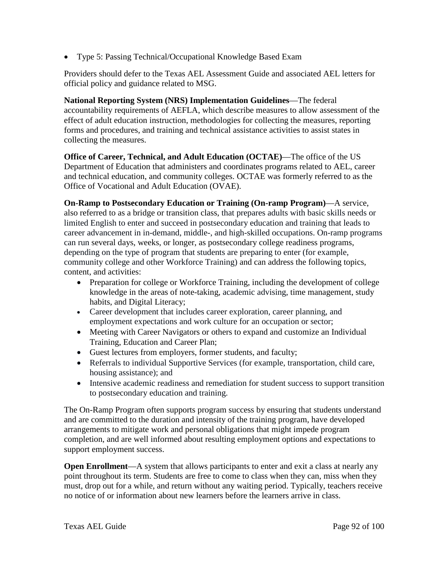• Type 5: Passing Technical/Occupational Knowledge Based Exam

Providers should defer to the Texas AEL Assessment Guide and associated AEL letters for official policy and guidance related to MSG.

**National Reporting System (NRS) Implementation Guidelines**—The federal accountability requirements of AEFLA, which describe measures to allow assessment of the effect of adult education instruction, methodologies for collecting the measures, reporting forms and procedures, and training and technical assistance activities to assist states in collecting the measures.

**Office of Career, Technical, and Adult Education (OCTAE)**—The office of the US Department of Education that administers and coordinates programs related to AEL, career and technical education, and community colleges. OCTAE was formerly referred to as the Office of Vocational and Adult Education (OVAE).

**On-Ramp to Postsecondary Education or Training (On-ramp Program)**—A service, also referred to as a bridge or transition class, that prepares adults with basic skills needs or limited English to enter and succeed in postsecondary education and training that leads to career advancement in in-demand, middle-, and high-skilled occupations. On-ramp programs can run several days, weeks, or longer, as postsecondary college readiness programs, depending on the type of program that students are preparing to enter (for example, community college and other Workforce Training) and can address the following topics, content, and activities:

- Preparation for college or Workforce Training, including the development of college knowledge in the areas of note-taking, academic advising, time management, study habits, and Digital Literacy;
- Career development that includes career exploration, career planning, and employment expectations and work culture for an occupation or sector;
- Meeting with Career Navigators or others to expand and customize an Individual Training, Education and Career Plan;
- Guest lectures from employers, former students, and faculty;
- Referrals to individual Supportive Services (for example, transportation, child care, housing assistance); and
- Intensive academic readiness and remediation for student success to support transition to postsecondary education and training.

The On-Ramp Program often supports program success by ensuring that students understand and are committed to the duration and intensity of the training program, have developed arrangements to mitigate work and personal obligations that might impede program completion, and are well informed about resulting employment options and expectations to support employment success.

**Open Enrollment—A** system that allows participants to enter and exit a class at nearly any point throughout its term. Students are free to come to class when they can, miss when they must, drop out for a while, and return without any waiting period. Typically, teachers receive no notice of or information about new learners before the learners arrive in class.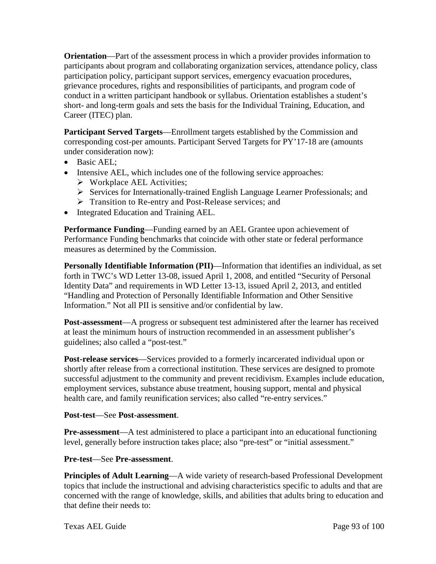**Orientation**—Part of the assessment process in which a provider provides information to participants about program and collaborating organization services, attendance policy, class participation policy, participant support services, emergency evacuation procedures, grievance procedures, rights and responsibilities of participants, and program code of conduct in a written participant handbook or syllabus. Orientation establishes a student's short- and long-term goals and sets the basis for the Individual Training, Education, and Career (ITEC) plan.

**Participant Served Targets**—Enrollment targets established by the Commission and corresponding cost-per amounts. Participant Served Targets for PY'17-18 are (amounts under consideration now):

- Basic AEL;
- Intensive AEL, which includes one of the following service approaches:
	- Workplace AEL Activities;
	- Services for Internationally-trained English Language Learner Professionals; and
	- **Figure** Transition to Re-entry and Post-Release services; and
- Integrated Education and Training AEL.

**Performance Funding**—Funding earned by an AEL Grantee upon achievement of Performance Funding benchmarks that coincide with other state or federal performance measures as determined by the Commission.

**Personally Identifiable Information (PII)—Information that identifies an individual, as set** forth in TWC's WD Letter 13-08, issued April 1, 2008, and entitled "Security of Personal Identity Data" and requirements in WD Letter 13-13, issued April 2, 2013, and entitled "Handling and Protection of Personally Identifiable Information and Other Sensitive Information." Not all PII is sensitive and/or confidential by law.

**Post-assessment**—A progress or subsequent test administered after the learner has received at least the minimum hours of instruction recommended in an assessment publisher's guidelines; also called a "post-test."

**Post-release services**—Services provided to a formerly incarcerated individual upon or shortly after release from a correctional institution. These services are designed to promote successful adjustment to the community and prevent recidivism. Examples include education, employment services, substance abuse treatment, housing support, mental and physical health care, and family reunification services; also called "re-entry services."

**Post-test**—See **Post-assessment**.

**Pre-assessment**—A test administered to place a participant into an educational functioning level, generally before instruction takes place; also "pre-test" or "initial assessment."

### **Pre-test**—See **Pre-assessment**.

**Principles of Adult Learning**—A wide variety of research-based Professional Development topics that include the instructional and advising characteristics specific to adults and that are concerned with the range of knowledge, skills, and abilities that adults bring to education and that define their needs to: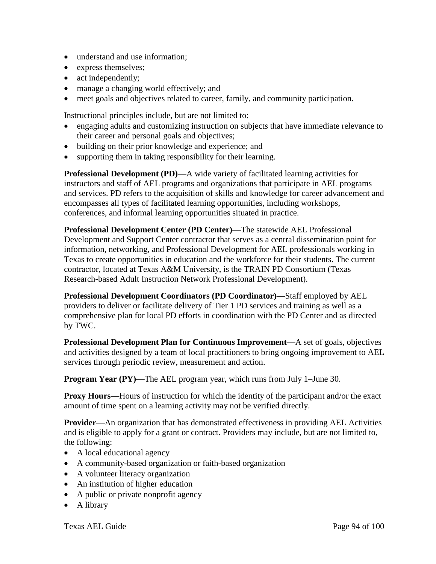- understand and use information;
- express themselves;
- act independently;
- manage a changing world effectively; and
- meet goals and objectives related to career, family, and community participation.

Instructional principles include, but are not limited to:

- engaging adults and customizing instruction on subjects that have immediate relevance to their career and personal goals and objectives;
- building on their prior knowledge and experience; and
- supporting them in taking responsibility for their learning.

**Professional Development (PD)**—A wide variety of facilitated learning activities for instructors and staff of AEL programs and organizations that participate in AEL programs and services. PD refers to the acquisition of skills and knowledge for career advancement and encompasses all types of facilitated learning opportunities, including workshops, conferences, and informal learning opportunities situated in practice.

**Professional Development Center (PD Center)**—The statewide AEL Professional Development and Support Center contractor that serves as a central dissemination point for information, networking, and Professional Development for AEL professionals working in Texas to create opportunities in education and the workforce for their students. The current contractor, located at Texas A&M University, is the TRAIN PD Consortium (Texas Research-based Adult Instruction Network Professional Development).

**Professional Development Coordinators (PD Coordinator)**—Staff employed by AEL providers to deliver or facilitate delivery of Tier 1 PD services and training as well as a comprehensive plan for local PD efforts in coordination with the PD Center and as directed by TWC.

**Professional Development Plan for Continuous Improvement—**A set of goals, objectives and activities designed by a team of local practitioners to bring ongoing improvement to AEL services through periodic review, [measurement](https://www.thebalance.com/you-can-t-manage-what-you-dont-measure-2275996) and action.

**Program Year (PY)—The AEL program year, which runs from July 1–June 30.** 

**Proxy Hours**—Hours of instruction for which the identity of the participant and/or the exact amount of time spent on a learning activity may not be verified directly.

**Provider**—An organization that has demonstrated effectiveness in providing AEL Activities and is eligible to apply for a grant or contract. Providers may include, but are not limited to, the following:

- A local educational agency
- A community-based organization or faith-based organization
- A volunteer literacy organization
- An institution of higher education
- A public or private nonprofit agency
- A library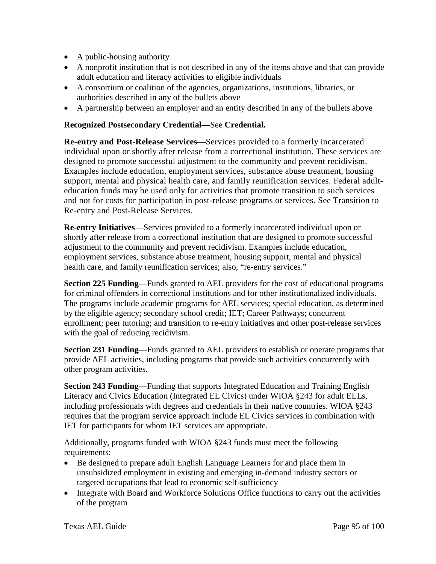- A public-housing authority
- A nonprofit institution that is not described in any of the items above and that can provide adult education and literacy activities to eligible individuals
- A consortium or coalition of the agencies, organizations, institutions, libraries, or authorities described in any of the bullets above
- A partnership between an employer and an entity described in any of the bullets above

#### **Recognized Postsecondary Credential—**See **Credential.**

**Re-entry and Post-Release Services—**Services provided to a formerly incarcerated individual upon or shortly after release from a correctional institution. These services are designed to promote successful adjustment to the community and prevent recidivism. Examples include education, employment services, substance abuse treatment, housing support, mental and physical health care, and family reunification services. Federal adulteducation funds may be used only for activities that promote transition to such services and not for costs for participation in post-release programs or services. See Transition to Re-entry and Post-Release Services.

**Re-entry Initiatives**—Services provided to a formerly incarcerated individual upon or shortly after release from a correctional institution that are designed to promote successful adjustment to the community and prevent recidivism. Examples include education, employment services, substance abuse treatment, housing support, mental and physical health care, and family reunification services; also, "re-entry services."

**Section 225 Funding**—Funds granted to AEL providers for the cost of educational programs for criminal offenders in correctional institutions and for other institutionalized individuals. The programs include academic programs for AEL services; special education, as determined by the eligible agency; secondary school credit; IET; Career Pathways; concurrent enrollment; peer tutoring; and transition to re-entry initiatives and other post-release services with the goal of reducing recidivism.

**Section 231 Funding**—Funds granted to AEL providers to establish or operate programs that provide AEL activities, including programs that provide such activities concurrently with other program activities.

**Section 243 Funding**—Funding that supports Integrated Education and Training English Literacy and Civics Education (Integrated EL Civics) under WIOA §243 for adult ELLs, including professionals with degrees and credentials in their native countries. WIOA §243 requires that the program service approach include EL Civics services in combination with IET for participants for whom IET services are appropriate.

Additionally, programs funded with WIOA §243 funds must meet the following requirements:

- Be designed to prepare adult English Language Learners for and place them in unsubsidized employment in existing and emerging in-demand industry sectors or targeted occupations that lead to economic self-sufficiency
- Integrate with Board and Workforce Solutions Office functions to carry out the activities of the program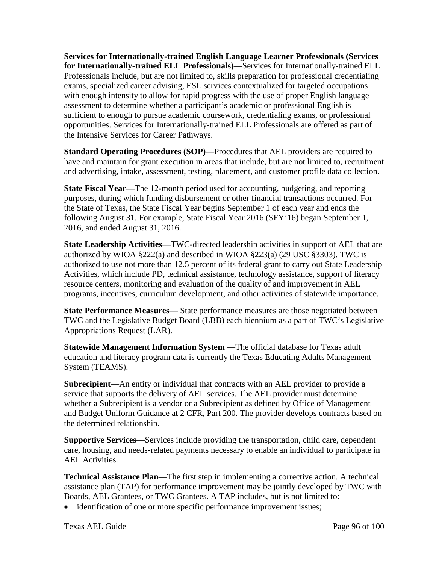**Services for Internationally-trained English Language Learner Professionals (Services for Internationally-trained ELL Professionals)**—Services for Internationally-trained ELL Professionals include, but are not limited to, skills preparation for professional credentialing exams, specialized career advising, ESL services contextualized for targeted occupations with enough intensity to allow for rapid progress with the use of proper English language assessment to determine whether a participant's academic or professional English is sufficient to enough to pursue academic coursework, credentialing exams, or professional opportunities. Services for Internationally-trained ELL Professionals are offered as part of the Intensive Services for Career Pathways.

**Standard Operating Procedures (SOP)**—Procedures that AEL providers are required to have and maintain for grant execution in areas that include, but are not limited to, recruitment and advertising, intake, assessment, testing, placement, and customer profile data collection.

**State Fiscal Year**—The 12-month period used for accounting, budgeting, and reporting purposes, during which funding disbursement or other financial transactions occurred. For the State of Texas, the State Fiscal Year begins September 1 of each year and ends the following August 31. For example, State Fiscal Year 2016 (SFY'16) began September 1, 2016, and ended August 31, 2016.

**State Leadership Activities**—TWC-directed leadership activities in support of AEL that are authorized by WIOA §222(a) and described in WIOA §223(a) (29 USC §3303). TWC is authorized to use not more than 12.5 percent of its federal grant to carry out State Leadership Activities, which include PD, technical assistance, technology assistance, support of literacy resource centers, monitoring and evaluation of the quality of and improvement in AEL programs, incentives, curriculum development, and other activities of statewide importance.

**State Performance Measures**— State performance measures are those negotiated between TWC and the Legislative Budget Board (LBB) each biennium as a part of TWC's Legislative Appropriations Request (LAR).

**Statewide Management Information System** —The official database for Texas adult education and literacy program data is currently the Texas Educating Adults Management System (TEAMS).

**Subrecipient**—An entity or individual that contracts with an AEL provider to provide a service that supports the delivery of AEL services. The AEL provider must determine whether a Subrecipient is a vendor or a Subrecipient as defined by Office of Management and Budget Uniform Guidance at 2 CFR, Part 200. The provider develops contracts based on the determined relationship.

**Supportive Services**—Services include providing the transportation, child care, dependent care, housing, and needs-related payments necessary to enable an individual to participate in AEL Activities.

**Technical Assistance Plan**—The first step in implementing a corrective action. A technical assistance plan (TAP) for performance improvement may be jointly developed by TWC with Boards, AEL Grantees, or TWC Grantees. A TAP includes, but is not limited to:

• identification of one or more specific performance improvement issues;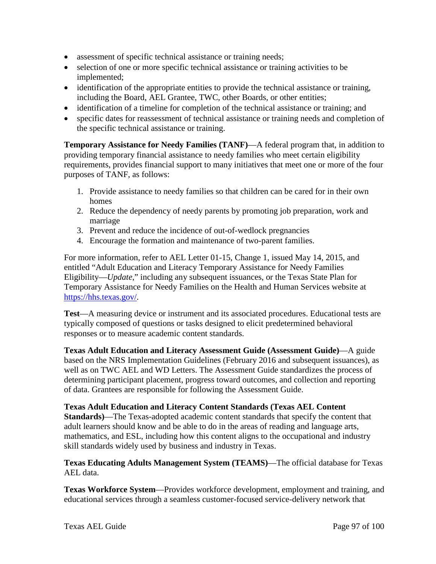- assessment of specific technical assistance or training needs;
- selection of one or more specific technical assistance or training activities to be implemented;
- identification of the appropriate entities to provide the technical assistance or training, including the Board, AEL Grantee, TWC, other Boards, or other entities;
- identification of a timeline for completion of the technical assistance or training; and
- specific dates for reassessment of technical assistance or training needs and completion of the specific technical assistance or training.

**Temporary Assistance for Needy Families (TANF)**—A federal program that, in addition to providing temporary financial assistance to needy families who meet certain eligibility requirements, provides financial support to many initiatives that meet one or more of the four purposes of TANF, as follows:

- 1. Provide assistance to needy families so that children can be cared for in their own homes
- 2. Reduce the dependency of needy parents by promoting job preparation, work and marriage
- 3. Prevent and reduce the incidence of out-of-wedlock pregnancies
- 4. Encourage the formation and maintenance of two-parent families.

For more information, refer to AEL Letter 01-15, Change 1, issued May 14, 2015, and entitled "Adult Education and Literacy Temporary Assistance for Needy Families Eligibility—*Update*," including any subsequent issuances, or the Texas State Plan for Temporary Assistance for Needy Families on the Health and Human Services website at [https://hhs.texas.gov/.](https://hhs.texas.gov/)

**Test**—A measuring device or instrument and its associated procedures. Educational tests are typically composed of questions or tasks designed to elicit predetermined behavioral responses or to measure academic content standards.

**Texas Adult Education and Literacy Assessment Guide (Assessment Guide)**—A guide based on the NRS Implementation Guidelines (February 2016 and subsequent issuances), as well as on TWC AEL and WD Letters. The Assessment Guide standardizes the process of determining participant placement, progress toward outcomes, and collection and reporting of data. Grantees are responsible for following the Assessment Guide.

#### **Texas Adult Education and Literacy Content Standards (Texas AEL Content**

**Standards)**—The Texas-adopted academic content standards that specify the content that adult learners should know and be able to do in the areas of reading and language arts, mathematics, and ESL, including how this content aligns to the occupational and industry skill standards widely used by business and industry in Texas.

**Texas Educating Adults Management System (TEAMS)**—The official database for Texas AEL data.

**Texas Workforce System**—Provides workforce development, employment and training, and educational services through a seamless customer-focused service-delivery network that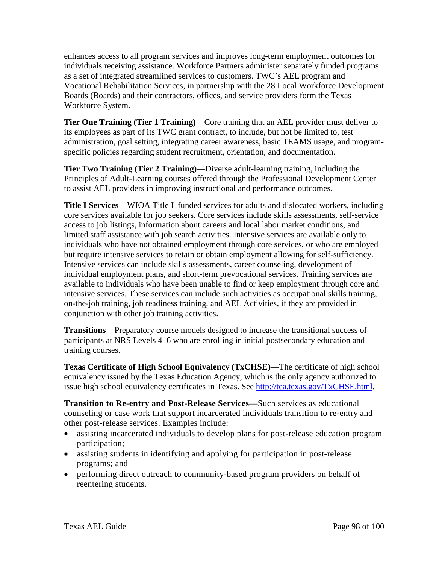enhances access to all program services and improves long-term employment outcomes for individuals receiving assistance. Workforce Partners administer separately funded programs as a set of integrated streamlined services to customers. TWC's AEL program and Vocational Rehabilitation Services, in partnership with the 28 Local Workforce Development Boards (Boards) and their contractors, offices, and service providers form the Texas Workforce System.

**Tier One Training (Tier 1 Training)**—Core training that an AEL provider must deliver to its employees as part of its TWC grant contract, to include, but not be limited to, test administration, goal setting, integrating career awareness, basic TEAMS usage, and programspecific policies regarding student recruitment, orientation, and documentation.

**Tier Two Training (Tier 2 Training)**—Diverse adult-learning training, including the Principles of Adult-Learning courses offered through the Professional Development Center to assist AEL providers in improving instructional and performance outcomes.

**Title I Services**—WIOA Title I–funded services for adults and dislocated workers, including core services available for job seekers. Core services include skills assessments, self-service access to job listings, information about careers and local labor market conditions, and limited staff assistance with job search activities. Intensive services are available only to individuals who have not obtained employment through core services, or who are employed but require intensive services to retain or obtain employment allowing for self-sufficiency. Intensive services can include skills assessments, career counseling, development of individual employment plans, and short-term prevocational services. Training services are available to individuals who have been unable to find or keep employment through core and intensive services. These services can include such activities as occupational skills training, on-the-job training, job readiness training, and AEL Activities, if they are provided in conjunction with other job training activities.

**Transitions**—Preparatory course models designed to increase the transitional success of participants at NRS Levels 4–6 who are enrolling in initial postsecondary education and training courses.

**Texas Certificate of High School Equivalency (TxCHSE)**—The certificate of high school equivalency issued by the Texas Education Agency, which is the only agency authorized to issue high school equivalency certificates in Texas. See [http://tea.texas.gov/TxCHSE.html.](http://tea.texas.gov/TxCHSE.html)

**Transition to Re-entry and Post-Release Services—**Such services as educational counseling or case work that support incarcerated individuals transition to re-entry and other post-release services. Examples include:

- assisting incarcerated individuals to develop plans for post-release education program participation;
- assisting students in identifying and applying for participation in post-release programs; and
- performing direct outreach to community-based program providers on behalf of reentering students.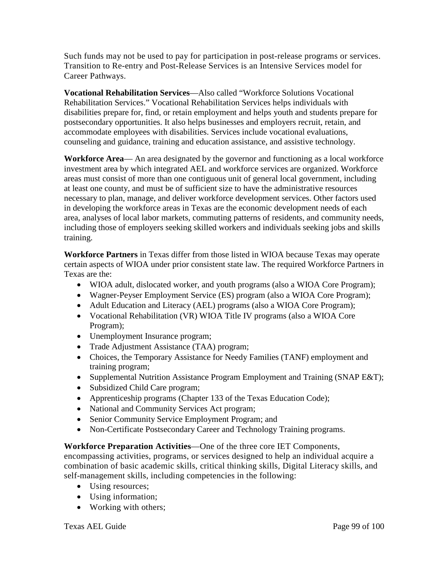Such funds may not be used to pay for participation in post-release programs or services. Transition to Re-entry and Post-Release Services is an Intensive Services model for Career Pathways.

**Vocational Rehabilitation Services**—Also called "Workforce Solutions Vocational Rehabilitation Services." Vocational Rehabilitation Services helps individuals with disabilities prepare for, find, or retain employment and helps youth and students prepare for postsecondary opportunities. It also helps businesses and employers recruit, retain, and accommodate employees with disabilities. Services include vocational evaluations, counseling and guidance, training and education assistance, and assistive technology.

**Workforce Area**— An area designated by the governor and functioning as a local workforce investment area by which integrated AEL and workforce services are organized. Workforce areas must consist of more than one contiguous unit of general local government, including at least one county, and must be of sufficient size to have the administrative resources necessary to plan, manage, and deliver workforce development services. Other factors used in developing the workforce areas in Texas are the economic development needs of each area, analyses of local labor markets, commuting patterns of residents, and community needs, including those of employers seeking skilled workers and individuals seeking jobs and skills training.

**Workforce Partners** in Texas differ from those listed in WIOA because Texas may operate certain aspects of WIOA under prior consistent state law. The required Workforce Partners in Texas are the:

- WIOA adult, dislocated worker, and youth programs (also a WIOA Core Program);
- Wagner-Peyser Employment Service (ES) program (also a WIOA Core Program);
- Adult Education and Literacy (AEL) programs (also a WIOA Core Program);
- Vocational Rehabilitation (VR) WIOA Title IV programs (also a WIOA Core Program);
- Unemployment Insurance program;
- Trade Adjustment Assistance (TAA) program;
- Choices, the Temporary Assistance for Needy Families (TANF) employment and training program;
- Supplemental Nutrition Assistance Program Employment and Training (SNAP E&T);
- Subsidized Child Care program;
- Apprenticeship programs (Chapter 133 of the Texas Education Code);
- National and Community Services Act program;
- Senior Community Service Employment Program; and
- Non-Certificate Postsecondary Career and Technology Training programs.

**Workforce Preparation Activities**—One of the three core IET Components,

encompassing activities, programs, or services designed to help an individual acquire a combination of basic academic skills, critical thinking skills, Digital Literacy skills, and self-management skills, including competencies in the following:

- Using resources;
- Using information;
- Working with others;